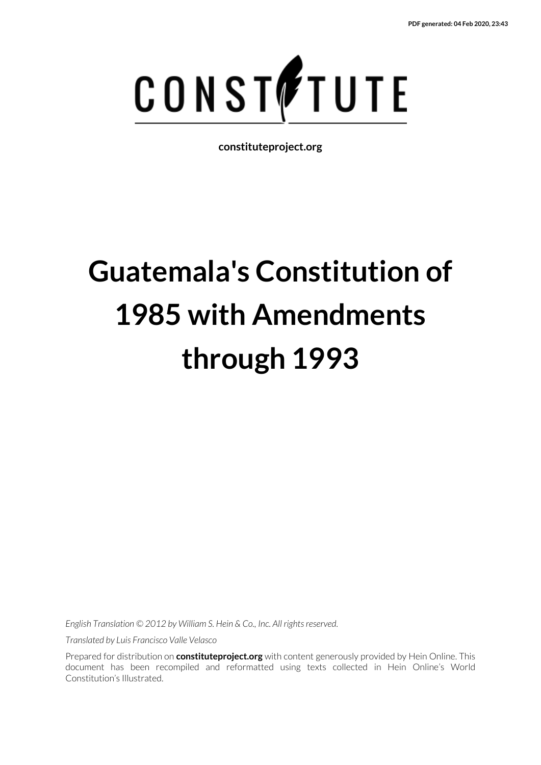

**constituteproject.org**

# **Guatemala's Constitution of 1985 with Amendments through 1993**

*English Translation © 2012 by William S. Hein & Co., Inc. All rights reserved.*

*Translated by Luis Francisco Valle Velasco*

Prepared for distribution on **constituteproject.org** with content generously provided by Hein Online. This document has been recompiled and reformatted using texts collected in Hein Online's World Constitution's Illustrated.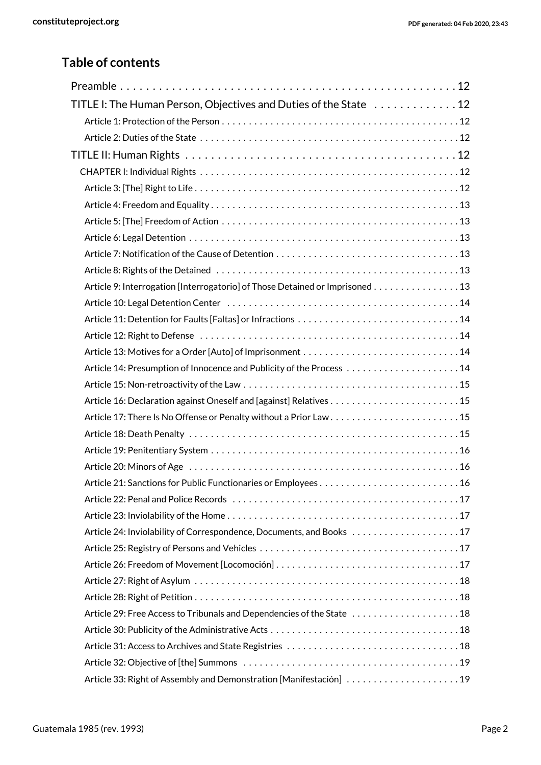# **Table of contents**

| TITLE I: The Human Person, Objectives and Duties of the State 12             |
|------------------------------------------------------------------------------|
|                                                                              |
|                                                                              |
|                                                                              |
|                                                                              |
|                                                                              |
|                                                                              |
|                                                                              |
|                                                                              |
|                                                                              |
|                                                                              |
| Article 9: Interrogation [Interrogatorio] of Those Detained or Imprisoned 13 |
|                                                                              |
|                                                                              |
|                                                                              |
|                                                                              |
|                                                                              |
|                                                                              |
|                                                                              |
|                                                                              |
|                                                                              |
|                                                                              |
|                                                                              |
|                                                                              |
|                                                                              |
|                                                                              |
|                                                                              |
|                                                                              |
|                                                                              |
|                                                                              |
|                                                                              |
| Article 29: Free Access to Tribunals and Dependencies of the State  18       |
|                                                                              |
|                                                                              |
|                                                                              |
|                                                                              |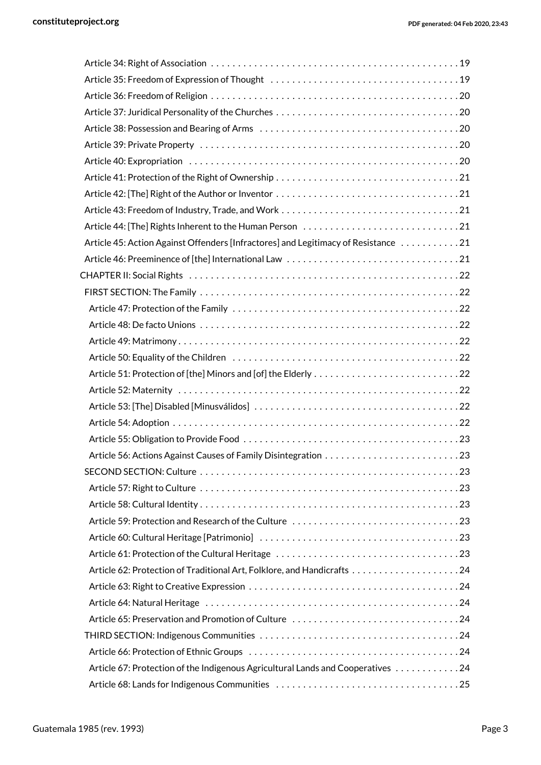| Article 44: [The] Rights Inherent to the Human Person 21                           |
|------------------------------------------------------------------------------------|
| Article 45: Action Against Offenders [Infractores] and Legitimacy of Resistance 21 |
|                                                                                    |
|                                                                                    |
|                                                                                    |
|                                                                                    |
|                                                                                    |
|                                                                                    |
|                                                                                    |
|                                                                                    |
|                                                                                    |
|                                                                                    |
|                                                                                    |
|                                                                                    |
|                                                                                    |
|                                                                                    |
|                                                                                    |
|                                                                                    |
|                                                                                    |
|                                                                                    |
|                                                                                    |
|                                                                                    |
|                                                                                    |
|                                                                                    |
| Article 65: Preservation and Promotion of Culture 24                               |
|                                                                                    |
|                                                                                    |
| Article 67: Protection of the Indigenous Agricultural Lands and Cooperatives 24    |
|                                                                                    |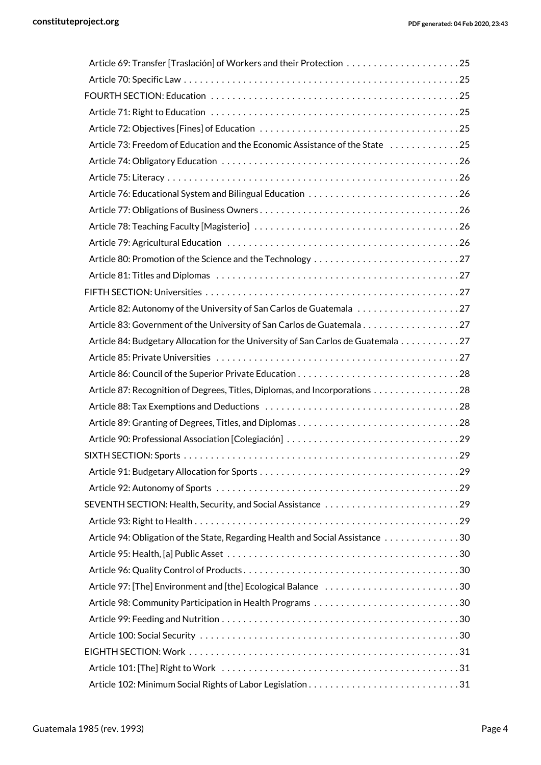| Article 73: Freedom of Education and the Economic Assistance of the State 25      |
|-----------------------------------------------------------------------------------|
|                                                                                   |
|                                                                                   |
|                                                                                   |
|                                                                                   |
|                                                                                   |
|                                                                                   |
|                                                                                   |
|                                                                                   |
|                                                                                   |
|                                                                                   |
| Article 83: Government of the University of San Carlos de Guatemala               |
| Article 84: Budgetary Allocation for the University of San Carlos de Guatemala 27 |
|                                                                                   |
|                                                                                   |
| Article 87: Recognition of Degrees, Titles, Diplomas, and Incorporations 28       |
|                                                                                   |
| Article 89: Granting of Degrees, Titles, and Diplomas28                           |
|                                                                                   |
|                                                                                   |
|                                                                                   |
|                                                                                   |
| SEVENTH SECTION: Health, Security, and Social Assistance 29                       |
|                                                                                   |
| Article 94: Obligation of the State, Regarding Health and Social Assistance 30    |
|                                                                                   |
|                                                                                   |
| Article 97: [The] Environment and [the] Ecological Balance 30                     |
|                                                                                   |
|                                                                                   |
|                                                                                   |
|                                                                                   |
|                                                                                   |
|                                                                                   |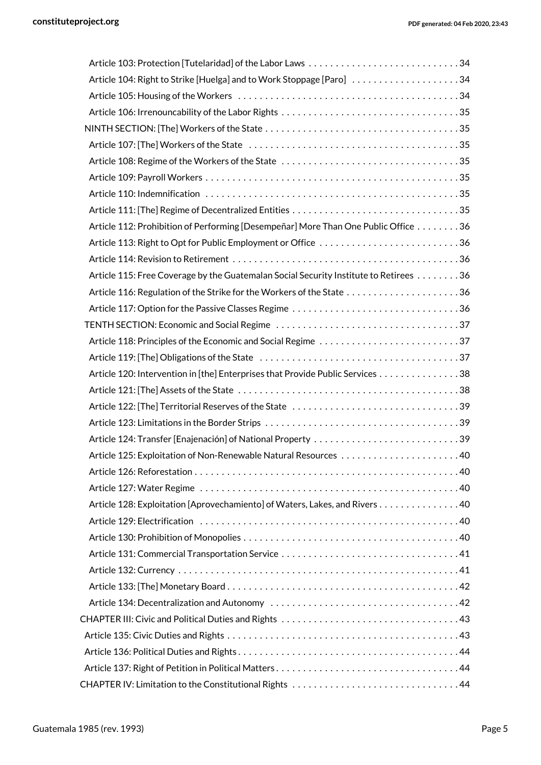| Article 103: Protection [Tutelaridad] of the Labor Laws 34                            |  |
|---------------------------------------------------------------------------------------|--|
|                                                                                       |  |
|                                                                                       |  |
|                                                                                       |  |
|                                                                                       |  |
|                                                                                       |  |
|                                                                                       |  |
|                                                                                       |  |
|                                                                                       |  |
|                                                                                       |  |
| Article 112: Prohibition of Performing [Desempeñar] More Than One Public Office 36    |  |
|                                                                                       |  |
|                                                                                       |  |
| Article 115: Free Coverage by the Guatemalan Social Security Institute to Retirees 36 |  |
|                                                                                       |  |
| Article 117: Option for the Passive Classes Regime 36                                 |  |
|                                                                                       |  |
|                                                                                       |  |
|                                                                                       |  |
| Article 120: Intervention in [the] Enterprises that Provide Public Services 38        |  |
|                                                                                       |  |
| Article 122: [The] Territorial Reserves of the State 39                               |  |
|                                                                                       |  |
|                                                                                       |  |
|                                                                                       |  |
|                                                                                       |  |
|                                                                                       |  |
| Article 128: Exploitation [Aprovechamiento] of Waters, Lakes, and Rivers 40           |  |
|                                                                                       |  |
|                                                                                       |  |
|                                                                                       |  |
|                                                                                       |  |
|                                                                                       |  |
|                                                                                       |  |
|                                                                                       |  |
|                                                                                       |  |
|                                                                                       |  |
|                                                                                       |  |
| CHAPTER IV: Limitation to the Constitutional Rights 44                                |  |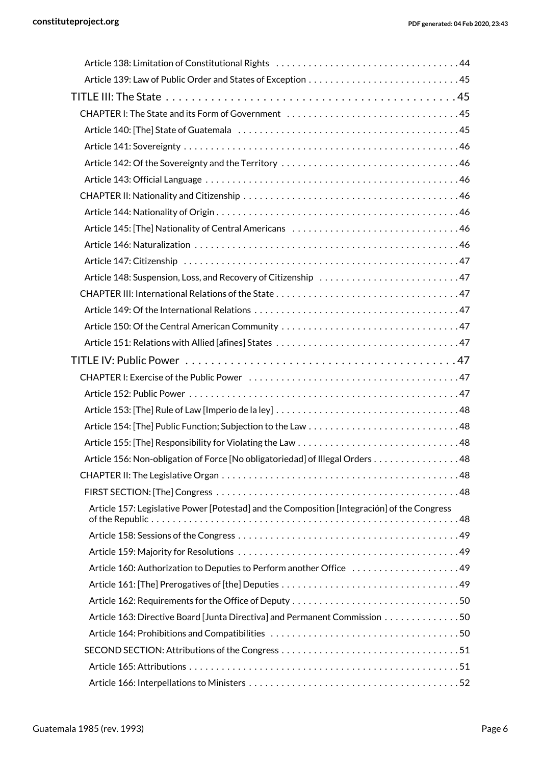| Article 148: Suspension, Loss, and Recovery of Citizenship 47                               |
|---------------------------------------------------------------------------------------------|
|                                                                                             |
|                                                                                             |
|                                                                                             |
|                                                                                             |
|                                                                                             |
|                                                                                             |
|                                                                                             |
|                                                                                             |
|                                                                                             |
| Article 155: [The] Responsibility for Violating the Law 48                                  |
| Article 156: Non-obligation of Force [No obligatoriedad] of Illegal Orders 48               |
|                                                                                             |
|                                                                                             |
| Article 157: Legislative Power [Potestad] and the Composition [Integración] of the Congress |
|                                                                                             |
|                                                                                             |
| Article 160: Authorization to Deputies to Perform another Office 49                         |
|                                                                                             |
| Article 162: Requirements for the Office of Deputy 50                                       |
| Article 163: Directive Board [Junta Directiva] and Permanent Commission 50                  |
|                                                                                             |
|                                                                                             |
|                                                                                             |
|                                                                                             |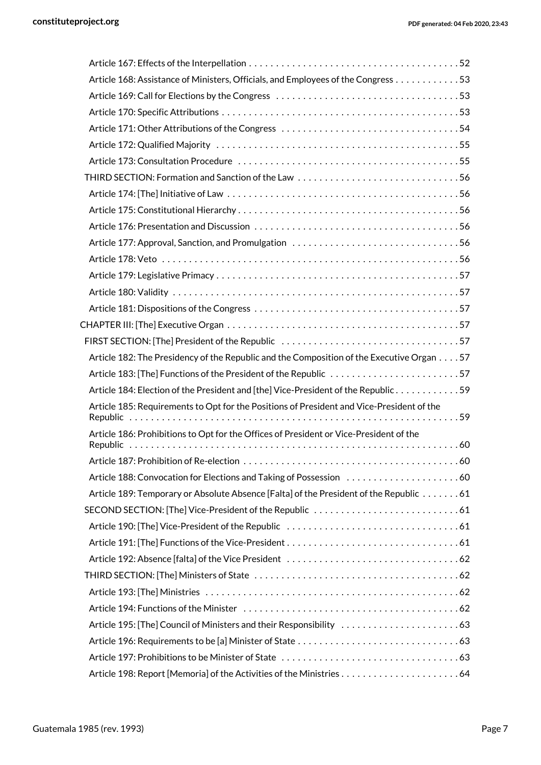| Article 168: Assistance of Ministers, Officials, and Employees of the Congress 53         |
|-------------------------------------------------------------------------------------------|
| Article 169: Call for Elections by the Congress 53                                        |
|                                                                                           |
| Article 171: Other Attributions of the Congress 54                                        |
|                                                                                           |
|                                                                                           |
| THIRD SECTION: Formation and Sanction of the Law 56                                       |
|                                                                                           |
|                                                                                           |
|                                                                                           |
|                                                                                           |
|                                                                                           |
|                                                                                           |
|                                                                                           |
|                                                                                           |
|                                                                                           |
| FIRST SECTION: [The] President of the Republic 57                                         |
| Article 182: The Presidency of the Republic and the Composition of the Executive Organ 57 |
| Article 183: [The] Functions of the President of the Republic 57                          |
| Article 184: Election of the President and [the] Vice-President of the Republic59         |
| Article 185: Requirements to Opt for the Positions of President and Vice-President of the |
| Article 186: Prohibitions to Opt for the Offices of President or Vice-President of the    |
|                                                                                           |
|                                                                                           |
|                                                                                           |
| Article 189: Temporary or Absolute Absence [Falta] of the President of the Republic 61    |
|                                                                                           |
|                                                                                           |
|                                                                                           |
|                                                                                           |
|                                                                                           |
|                                                                                           |
|                                                                                           |
|                                                                                           |
|                                                                                           |
|                                                                                           |
|                                                                                           |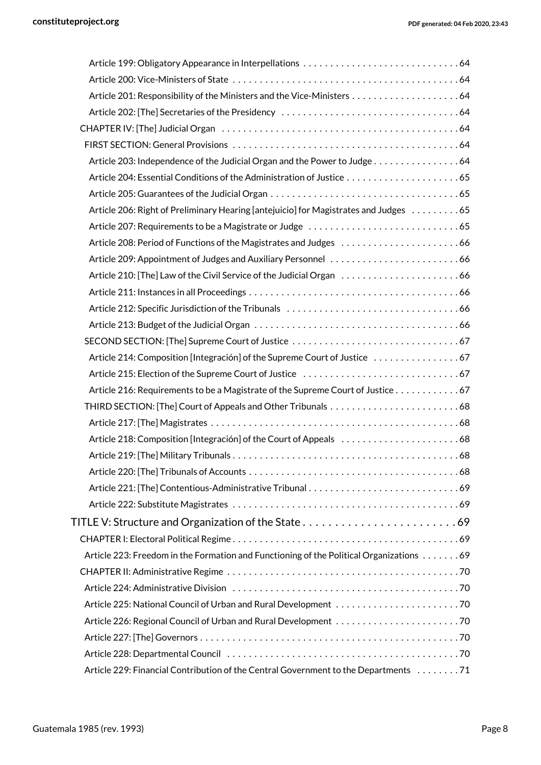| Article 203: Independence of the Judicial Organ and the Power to Judge 64               |
|-----------------------------------------------------------------------------------------|
|                                                                                         |
|                                                                                         |
| Article 206: Right of Preliminary Hearing [antejuicio] for Magistrates and Judges 65    |
|                                                                                         |
|                                                                                         |
|                                                                                         |
|                                                                                         |
|                                                                                         |
|                                                                                         |
|                                                                                         |
|                                                                                         |
| Article 214: Composition [Integración] of the Supreme Court of Justice 67               |
|                                                                                         |
| Article 216: Requirements to be a Magistrate of the Supreme Court of Justice 67         |
|                                                                                         |
|                                                                                         |
|                                                                                         |
|                                                                                         |
|                                                                                         |
|                                                                                         |
|                                                                                         |
|                                                                                         |
|                                                                                         |
| Article 223: Freedom in the Formation and Functioning of the Political Organizations 69 |
|                                                                                         |
|                                                                                         |
|                                                                                         |
|                                                                                         |
|                                                                                         |
|                                                                                         |
| Article 229: Financial Contribution of the Central Government to the Departments 71     |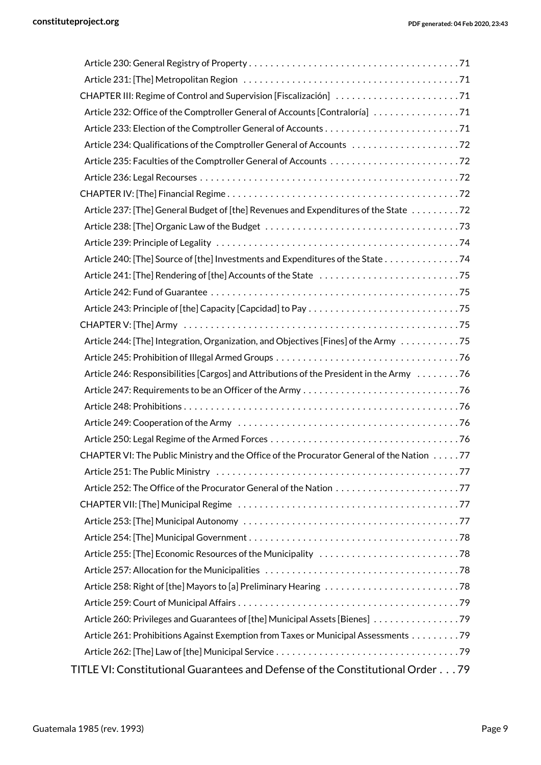| CHAPTER III: Regime of Control and Supervision [Fiscalización] 71                         |
|-------------------------------------------------------------------------------------------|
| Article 232: Office of the Comptroller General of Accounts [Contraloría] 71               |
|                                                                                           |
|                                                                                           |
|                                                                                           |
|                                                                                           |
|                                                                                           |
| Article 237: [The] General Budget of [the] Revenues and Expenditures of the State 72      |
|                                                                                           |
|                                                                                           |
| Article 240: [The] Source of [the] Investments and Expenditures of the State 74           |
|                                                                                           |
|                                                                                           |
|                                                                                           |
|                                                                                           |
| Article 244: [The] Integration, Organization, and Objectives [Fines] of the Army 75       |
|                                                                                           |
| Article 246: Responsibilities [Cargos] and Attributions of the President in the Army 76   |
|                                                                                           |
|                                                                                           |
|                                                                                           |
|                                                                                           |
| CHAPTER VI: The Public Ministry and the Office of the Procurator General of the Nation 77 |
|                                                                                           |
|                                                                                           |
|                                                                                           |
|                                                                                           |
|                                                                                           |
|                                                                                           |
|                                                                                           |
|                                                                                           |
|                                                                                           |
| Article 260: Privileges and Guarantees of [the] Municipal Assets [Bienes] 79              |
| Article 261: Prohibitions Against Exemption from Taxes or Municipal Assessments 79        |
|                                                                                           |
| TITLE VI: Constitutional Guarantees and Defense of the Constitutional Order 79            |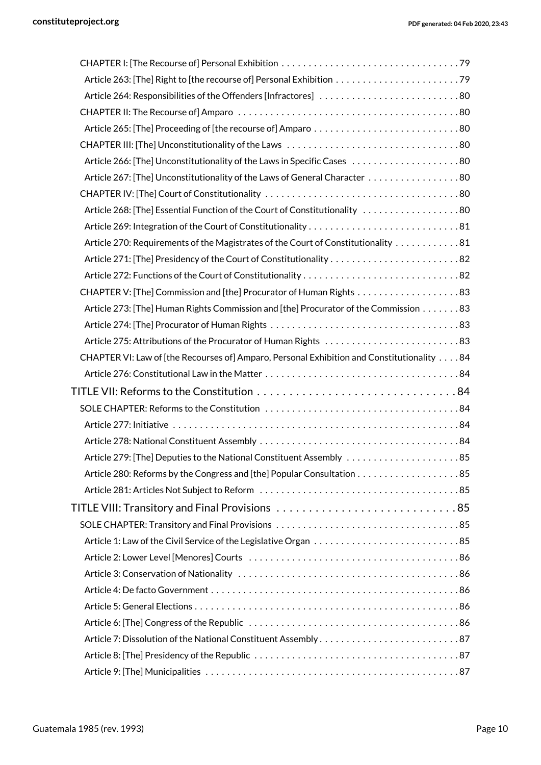| Article 264: Responsibilities of the Offenders [Infractores] 80                            |
|--------------------------------------------------------------------------------------------|
|                                                                                            |
|                                                                                            |
|                                                                                            |
| Article 266: [The] Unconstitutionality of the Laws in Specific Cases 80                    |
| Article 267: [The] Unconstitutionality of the Laws of General Character 80                 |
|                                                                                            |
| Article 268: [The] Essential Function of the Court of Constitutionality 80                 |
|                                                                                            |
| Article 270: Requirements of the Magistrates of the Court of Constitutionality 81          |
|                                                                                            |
|                                                                                            |
|                                                                                            |
| Article 273: [The] Human Rights Commission and [the] Procurator of the Commission 83       |
|                                                                                            |
|                                                                                            |
| CHAPTER VI: Law of [the Recourses of] Amparo, Personal Exhibition and Constitutionality 84 |
|                                                                                            |
|                                                                                            |
|                                                                                            |
|                                                                                            |
|                                                                                            |
|                                                                                            |
| Article 280: Reforms by the Congress and [the] Popular Consultation 85                     |
|                                                                                            |
|                                                                                            |
|                                                                                            |
|                                                                                            |
|                                                                                            |
|                                                                                            |
|                                                                                            |
|                                                                                            |
|                                                                                            |
|                                                                                            |
|                                                                                            |
|                                                                                            |
|                                                                                            |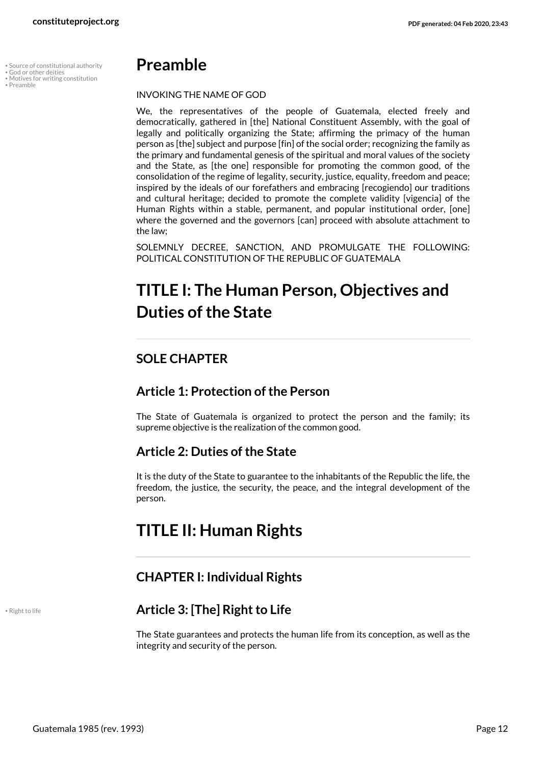• • Source of constitutional authority God or other deities **Preamble**

• Motives for writing constitution • Preamble

<span id="page-11-0"></span>INVOKING THE NAME OF GOD

We, the representatives of the people of Guatemala, elected freely and democratically, gathered in [the] National Constituent Assembly, with the goal of legally and politically organizing the State; affirming the primacy of the human person as [the] subject and purpose [fin] of the social order; recognizing the family as the primary and fundamental genesis of the spiritual and moral values of the society and the State, as [the one] responsible for promoting the common good, of the consolidation of the regime of legality, security, justice, equality, freedom and peace; inspired by the ideals of our forefathers and embracing [recogiendo] our traditions and cultural heritage; decided to promote the complete validity [vigencia] of the Human Rights within a stable, permanent, and popular institutional order, [one] where the governed and the governors [can] proceed with absolute attachment to the law;

SOLEMNLY DECREE, SANCTION, AND PROMULGATE THE FOLLOWING: POLITICAL CONSTITUTION OF THE REPUBLIC OF GUATEMALA

# <span id="page-11-1"></span>**TITLE I: The Human Person, Objectives and Duties of the State**

#### **SOLE CHAPTER**

#### <span id="page-11-2"></span>**Article 1: Protection of the Person**

The State of Guatemala is organized to protect the person and the family; its supreme objective is the realization of the common good.

#### <span id="page-11-3"></span>**Article 2: Duties of the State**

It is the duty of the State to guarantee to the inhabitants of the Republic the life, the freedom, the justice, the security, the peace, and the integral development of the person.

# <span id="page-11-4"></span>**TITLE II: Human Rights**

#### <span id="page-11-6"></span><span id="page-11-5"></span>**CHAPTER I: Individual Rights**

#### • Right to life **Article 3: [The] Right to Life**

The State guarantees and protects the human life from its conception, as well as the integrity and security of the person.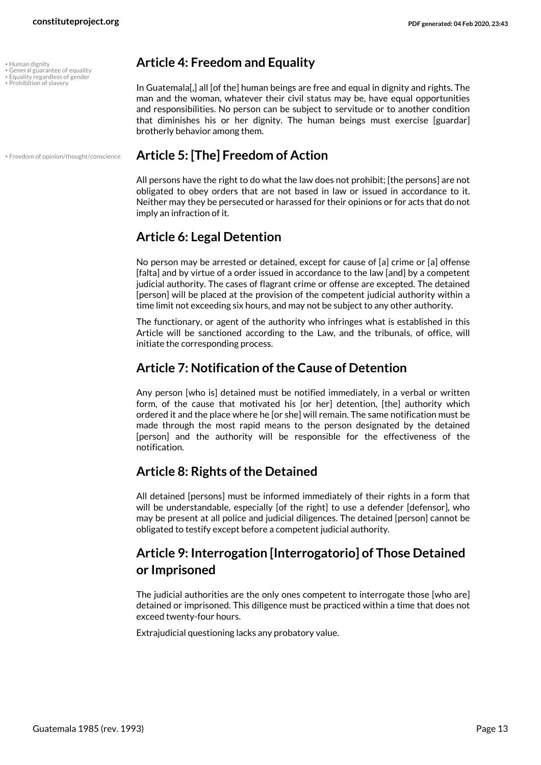- General guarantee of equality Equality regardless of gender
- 
- 

#### • Human dignity **Article 4: Freedom and Equality**

• Prohibition of slavery In Guatemala[,] all [of the] human beings are free and equal in dignity and rights. The man and the woman, whatever their civil status may be, have equal opportunities and responsibilities. No person can be subject to servitude or to another condition that diminishes his or her dignity. The human beings must exercise [guardar] brotherly behavior among them.

#### • Freedom of opinion/thought/conscience **Article 5: [The] Freedom of Action**

<span id="page-12-1"></span><span id="page-12-0"></span>All persons have the right to do what the law does not prohibit; [the persons] are not obligated to obey orders that are not based in law or issued in accordance to it. Neither may they be persecuted or harassed for their opinions or for acts that do not imply an infraction of it.

### <span id="page-12-2"></span>**Article 6: Legal Detention**

No person may be arrested or detained, except for cause of [a] crime or [a] offense [falta] and by virtue of a order issued in accordance to the law [and] by a competent judicial authority. The cases of flagrant crime or offense are excepted. The detained [person] will be placed at the provision of the competent judicial authority within a time limit not exceeding six hours, and may not be subject to any other authority.

The functionary, or agent of the authority who infringes what is established in this Article will be sanctioned according to the Law, and the tribunals, of office, will initiate the corresponding process.

#### <span id="page-12-3"></span>**Article 7: Notification of the Cause of Detention**

Any person [who is] detained must be notified immediately, in a verbal or written form, of the cause that motivated his [or her] detention, [the] authority which ordered it and the place where he [or she] will remain. The same notification must be made through the most rapid means to the person designated by the detained [person] and the authority will be responsible for the effectiveness of the notification.

#### <span id="page-12-4"></span>**Article 8: Rights of the Detained**

All detained [persons] must be informed immediately of their rights in a form that will be understandable, especially [of the right] to use a defender [defensor], who may be present at all police and judicial diligences. The detained [person] cannot be obligated to testify except before a competent judicial authority.

#### <span id="page-12-5"></span>**Article 9: Interrogation [Interrogatorio] of Those Detained or Imprisoned**

The judicial authorities are the only ones competent to interrogate those [who are] detained or imprisoned. This diligence must be practiced within a time that does not exceed twenty-four hours.

Extrajudicial questioning lacks any probatory value.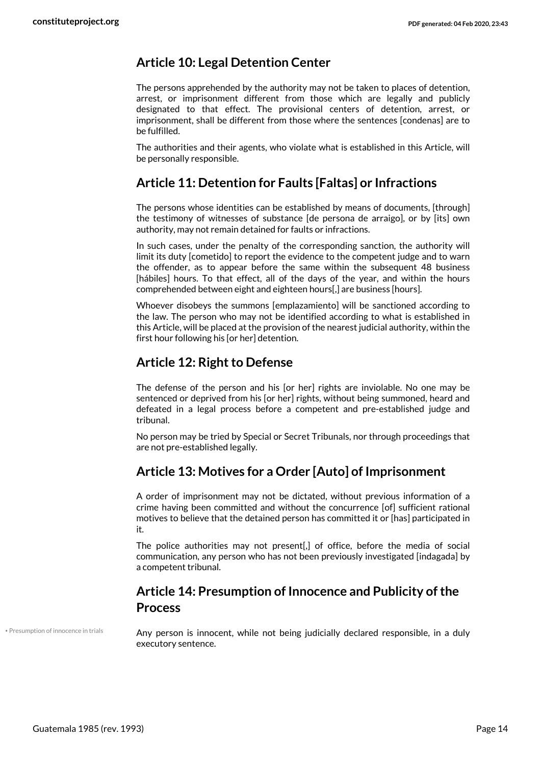#### <span id="page-13-0"></span>**Article 10: Legal Detention Center**

The persons apprehended by the authority may not be taken to places of detention, arrest, or imprisonment different from those which are legally and publicly designated to that effect. The provisional centers of detention, arrest, or imprisonment, shall be different from those where the sentences [condenas] are to be fulfilled.

The authorities and their agents, who violate what is established in this Article, will be personally responsible.

#### <span id="page-13-1"></span>**Article 11: Detention for Faults [Faltas] or Infractions**

The persons whose identities can be established by means of documents, [through] the testimony of witnesses of substance [de persona de arraigo], or by [its] own authority, may not remain detained for faults or infractions.

In such cases, under the penalty of the corresponding sanction, the authority will limit its duty [cometido] to report the evidence to the competent judge and to warn the offender, as to appear before the same within the subsequent 48 business [hábiles] hours. To that effect, all of the days of the year, and within the hours comprehended between eight and eighteen hours[,] are business [hours].

Whoever disobeys the summons [emplazamiento] will be sanctioned according to the law. The person who may not be identified according to what is established in this Article, will be placed at the provision of the nearest judicial authority, within the first hour following his [or her] detention.

#### <span id="page-13-2"></span>**Article 12: Right to Defense**

The defense of the person and his [or her] rights are inviolable. No one may be sentenced or deprived from his [or her] rights, without being summoned, heard and defeated in a legal process before a competent and pre-established judge and tribunal.

No person may be tried by Special or Secret Tribunals, nor through proceedings that are not pre-established legally.

#### <span id="page-13-3"></span>**Article 13: Motives for a Order [Auto] of Imprisonment**

A order of imprisonment may not be dictated, without previous information of a crime having been committed and without the concurrence [of] sufficient rational motives to believe that the detained person has committed it or [has] participated in it.

The police authorities may not present[,] of office, before the media of social communication, any person who has not been previously investigated [indagada] by a competent tribunal.

#### <span id="page-13-4"></span>**Article 14: Presumption of Innocence and Publicity of the Process**

• Presumption of innocence in trials

Any person is innocent, while not being judicially declared responsible, in a duly executory sentence.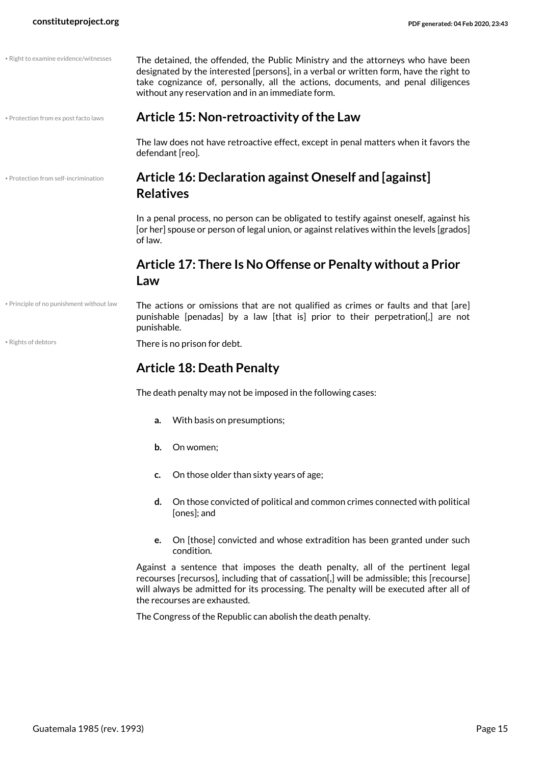<span id="page-14-2"></span><span id="page-14-1"></span><span id="page-14-0"></span>

| • Right to examine evidence/witnesses    | The detained, the offended, the Public Ministry and the attorneys who have been<br>designated by the interested [persons], in a verbal or written form, have the right to<br>take cognizance of, personally, all the actions, documents, and penal diligences<br>without any reservation and in an immediate form. |
|------------------------------------------|--------------------------------------------------------------------------------------------------------------------------------------------------------------------------------------------------------------------------------------------------------------------------------------------------------------------|
| . Protection from ex post facto laws     | Article 15: Non-retroactivity of the Law                                                                                                                                                                                                                                                                           |
|                                          | The law does not have retroactive effect, except in penal matters when it favors the<br>defendant [reo].                                                                                                                                                                                                           |
| · Protection from self-incrimination     | Article 16: Declaration against Oneself and [against]<br><b>Relatives</b>                                                                                                                                                                                                                                          |
|                                          | In a penal process, no person can be obligated to testify against oneself, against his<br>[or her] spouse or person of legal union, or against relatives within the levels [grados]<br>of law.                                                                                                                     |
|                                          | Article 17: There Is No Offense or Penalty without a Prior<br>Law                                                                                                                                                                                                                                                  |
| . Principle of no punishment without law | The actions or omissions that are not qualified as crimes or faults and that [are]<br>punishable [penadas] by a law [that is] prior to their perpetration[,] are not<br>punishable.                                                                                                                                |
| • Rights of debtors                      | There is no prison for debt.                                                                                                                                                                                                                                                                                       |
|                                          | <b>Article 18: Death Penalty</b>                                                                                                                                                                                                                                                                                   |
|                                          | The death penalty may not be imposed in the following cases:                                                                                                                                                                                                                                                       |
|                                          | With basis on presumptions;<br>a.                                                                                                                                                                                                                                                                                  |
|                                          | On women;<br>b.                                                                                                                                                                                                                                                                                                    |
|                                          | On those older than sixty years of age;<br>c.                                                                                                                                                                                                                                                                      |
|                                          | On those convicted of political and common crimes connected with political<br>d.<br>[ones]; and                                                                                                                                                                                                                    |
|                                          | On [those] convicted and whose extradition has been granted under such<br>e.                                                                                                                                                                                                                                       |

<span id="page-14-3"></span>condition. Against a sentence that imposes the death penalty, all of the pertinent legal recourses [recursos], including that of cassation[,] will be admissible; this [recourse]

will always be admitted for its processing. The penalty will be executed after all of the recourses are exhausted.

The Congress of the Republic can abolish the death penalty.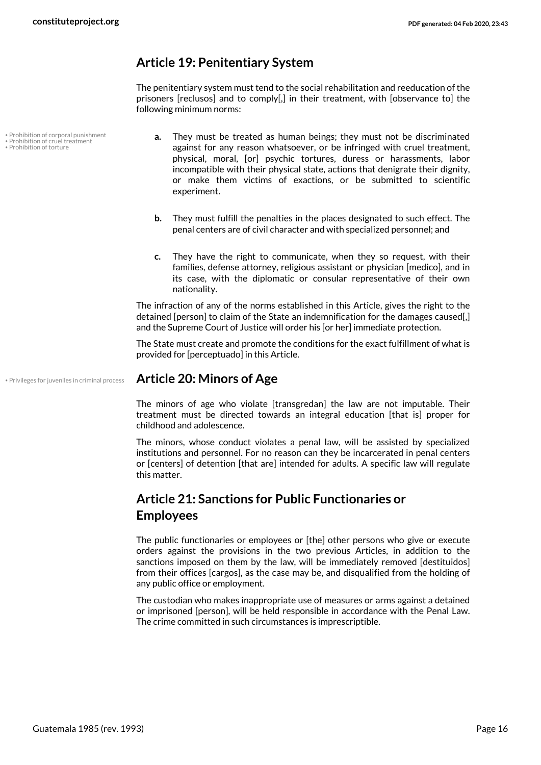#### <span id="page-15-0"></span>**Article 19: Penitentiary System**

The penitentiary system must tend to the social rehabilitation and reeducation of the prisoners [reclusos] and to comply[,] in their treatment, with [observance to] the following minimum norms:

- Prohibition of corporal punishment
- Prohibition of cruel treatment • Prohibition of torture
- **a.** They must be treated as human beings; they must not be discriminated against for any reason whatsoever, or be infringed with cruel treatment, physical, moral, [or] psychic tortures, duress or harassments, labor incompatible with their physical state, actions that denigrate their dignity, or make them victims of exactions, or be submitted to scientific experiment.
- **b.** They must fulfill the penalties in the places designated to such effect. The penal centers are of civil character and with specialized personnel; and
- **c.** They have the right to communicate, when they so request, with their families, defense attorney, religious assistant or physician [medico], and in its case, with the diplomatic or consular representative of their own nationality.

The infraction of any of the norms established in this Article, gives the right to the detained [person] to claim of the State an indemnification for the damages caused[,] and the Supreme Court of Justice will order his [or her] immediate protection.

<span id="page-15-1"></span>The State must create and promote the conditions for the exact fulfillment of what is provided for [perceptuado] in this Article.

#### • Privileges for juveniles in criminal process **Article 20: Minors of Age**

The minors of age who violate [transgredan] the law are not imputable. Their treatment must be directed towards an integral education [that is] proper for childhood and adolescence.

The minors, whose conduct violates a penal law, will be assisted by specialized institutions and personnel. For no reason can they be incarcerated in penal centers or [centers] of detention [that are] intended for adults. A specific law will regulate this matter.

### <span id="page-15-2"></span>**Article 21: Sanctions for Public Functionaries or Employees**

The public functionaries or employees or [the] other persons who give or execute orders against the provisions in the two previous Articles, in addition to the sanctions imposed on them by the law, will be immediately removed [destituidos] from their offices [cargos], as the case may be, and disqualified from the holding of any public office or employment.

The custodian who makes inappropriate use of measures or arms against a detained or imprisoned [person], will be held responsible in accordance with the Penal Law. The crime committed in such circumstances is imprescriptible.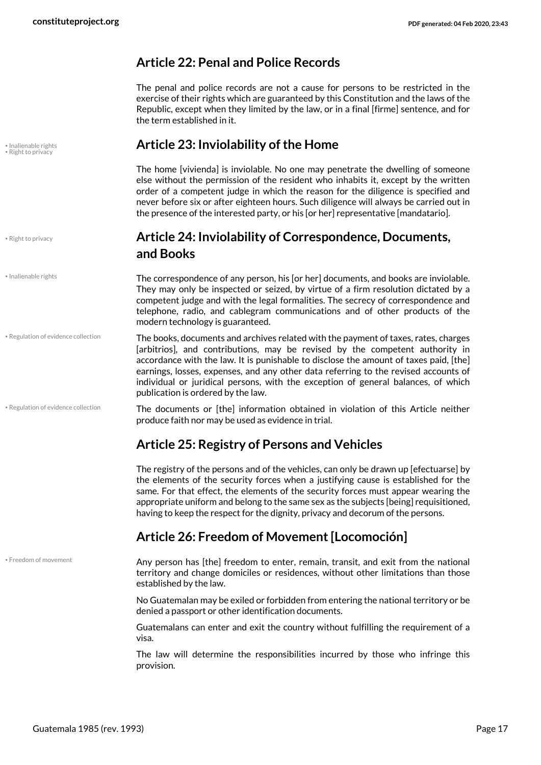• Right to privacy

• Right to privacy

• Inalienable rights

#### <span id="page-16-0"></span>**Article 22: Penal and Police Records**

The penal and police records are not a cause for persons to be restricted in the exercise of their rights which are guaranteed by this Constitution and the laws of the Republic, except when they limited by the law, or in a final [firme] sentence, and for the term established in it.

#### • Inalienable rights **Article 23: Inviolability of the Home**

<span id="page-16-1"></span>The home [vivienda] is inviolable. No one may penetrate the dwelling of someone else without the permission of the resident who inhabits it, except by the written order of a competent judge in which the reason for the diligence is specified and never before six or after eighteen hours. Such diligence will always be carried out in the presence of the interested party, or his [or her] representative [mandatario].

#### <span id="page-16-2"></span>**Article 24: Inviolability of Correspondence, Documents, and Books**

The correspondence of any person, his [or her] documents, and books are inviolable. They may only be inspected or seized, by virtue of a firm resolution dictated by a competent judge and with the legal formalities. The secrecy of correspondence and telephone, radio, and cablegram communications and of other products of the modern technology is guaranteed.

The books, documents and archives related with the payment of taxes, rates, charges [arbitrios], and contributions, may be revised by the competent authority in accordance with the law. It is punishable to disclose the amount of taxes paid, [the] earnings, losses, expenses, and any other data referring to the revised accounts of individual or juridical persons, with the exception of general balances, of which publication is ordered by the law. • Regulation of evidence collection

> The documents or [the] information obtained in violation of this Article neither produce faith nor may be used as evidence in trial.

#### <span id="page-16-3"></span>**Article 25: Registry of Persons and Vehicles**

The registry of the persons and of the vehicles, can only be drawn up [efectuarse] by the elements of the security forces when a justifying cause is established for the same. For that effect, the elements of the security forces must appear wearing the appropriate uniform and belong to the same sex as the subjects [being] requisitioned, having to keep the respect for the dignity, privacy and decorum of the persons.

### <span id="page-16-4"></span>**Article 26: Freedom of Movement [Locomoción]**

Any person has [the] freedom to enter, remain, transit, and exit from the national territory and change domiciles or residences, without other limitations than those established by the law.

No Guatemalan may be exiled or forbidden from entering the national territory or be denied a passport or other identification documents.

Guatemalans can enter and exit the country without fulfilling the requirement of a visa.

The law will determine the responsibilities incurred by those who infringe this provision.

• Freedom of movement

• Regulation of evidence collection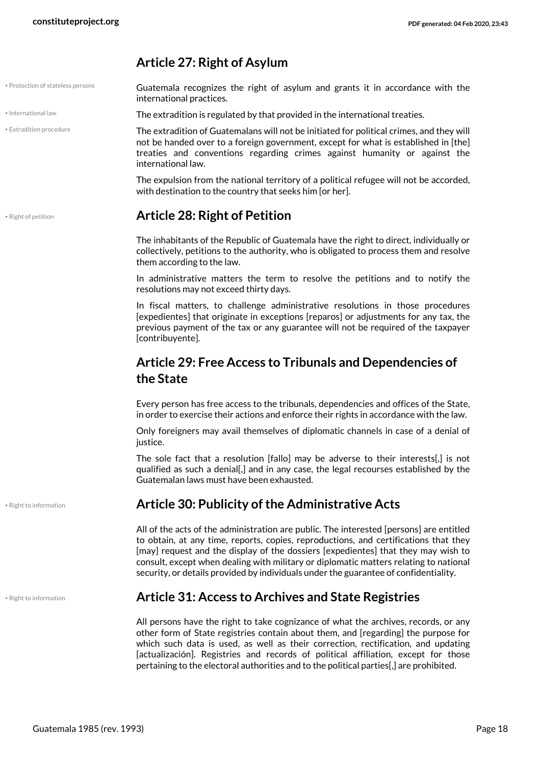#### <span id="page-17-0"></span>**Article 27: Right of Asylum**

• Protection of stateless persons

• Extradition procedure

Guatemala recognizes the right of asylum and grants it in accordance with the international practices.

• International law **The extradition is regulated by that provided in the international treaties.** 

The extradition of Guatemalans will not be initiated for political crimes, and they will not be handed over to a foreign government, except for what is established in [the] treaties and conventions regarding crimes against humanity or against the international law.

<span id="page-17-1"></span>The expulsion from the national territory of a political refugee will not be accorded, with destination to the country that seeks him [or her].

#### • Right of petition **Article 28: Right of Petition**

The inhabitants of the Republic of Guatemala have the right to direct, individually or collectively, petitions to the authority, who is obligated to process them and resolve them according to the law.

In administrative matters the term to resolve the petitions and to notify the resolutions may not exceed thirty days.

In fiscal matters, to challenge administrative resolutions in those procedures [expedientes] that originate in exceptions [reparos] or adjustments for any tax, the previous payment of the tax or any guarantee will not be required of the taxpayer [contribuyente].

#### <span id="page-17-2"></span>**Article 29: Free Access to Tribunals and Dependencies of the State**

Every person has free access to the tribunals, dependencies and offices of the State, in order to exercise their actions and enforce their rights in accordance with the law.

Only foreigners may avail themselves of diplomatic channels in case of a denial of justice.

The sole fact that a resolution [fallo] may be adverse to their interests[,] is not qualified as such a denial[,] and in any case, the legal recourses established by the Guatemalan laws must have been exhausted.

#### • Right to information **Article 30: Publicity of the Administrative Acts**

<span id="page-17-3"></span>All of the acts of the administration are public. The interested [persons] are entitled to obtain, at any time, reports, copies, reproductions, and certifications that they [may] request and the display of the dossiers [expedientes] that they may wish to consult, except when dealing with military or diplomatic matters relating to national security, or details provided by individuals under the guarantee of confidentiality.

#### • Right to information **Article 31: Access to Archives and State Registries**

<span id="page-17-4"></span>All persons have the right to take cognizance of what the archives, records, or any other form of State registries contain about them, and [regarding] the purpose for which such data is used, as well as their correction, rectification, and updating [actualización]. Registries and records of political affiliation, except for those pertaining to the electoral authorities and to the political parties[,] are prohibited.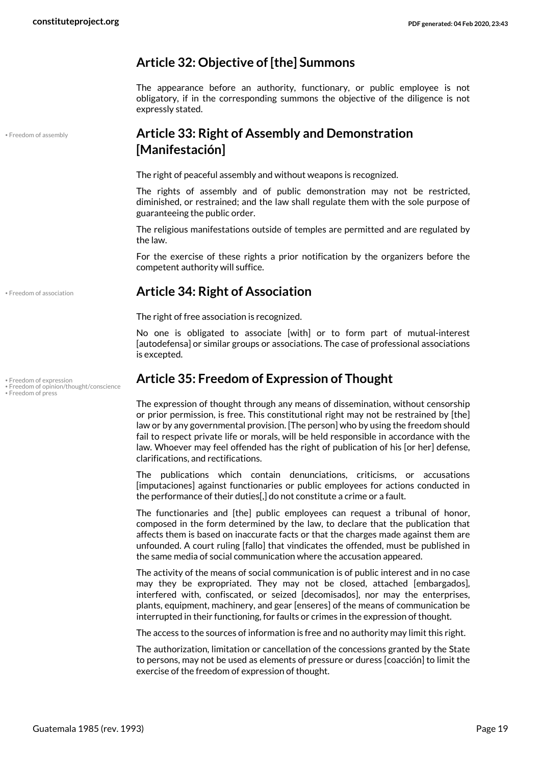#### <span id="page-18-0"></span>**Article 32: Objective of [the] Summons**

The appearance before an authority, functionary, or public employee is not obligatory, if in the corresponding summons the objective of the diligence is not expressly stated.

• Freedom of assembly

#### <span id="page-18-1"></span>**Article 33: Right of Assembly and Demonstration [Manifestación]**

The right of peaceful assembly and without weapons is recognized.

The rights of assembly and of public demonstration may not be restricted, diminished, or restrained; and the law shall regulate them with the sole purpose of guaranteeing the public order.

The religious manifestations outside of temples are permitted and are regulated by the law.

<span id="page-18-2"></span>For the exercise of these rights a prior notification by the organizers before the competent authority will suffice.

• Freedom of opinion/thought/conscience • Freedom of press

#### • Freedom of association **Article 34: Right of Association**

The right of free association is recognized.

No one is obligated to associate [with] or to form part of mutual-interest [autodefensa] or similar groups or associations. The case of professional associations is excepted.

#### • Freedom of expression **Article 35: Freedom of Expression of Thought**

<span id="page-18-3"></span>The expression of thought through any means of dissemination, without censorship or prior permission, is free. This constitutional right may not be restrained by [the] law or by any governmental provision. [The person] who by using the freedom should fail to respect private life or morals, will be held responsible in accordance with the law. Whoever may feel offended has the right of publication of his [or her] defense, clarifications, and rectifications.

The publications which contain denunciations, criticisms, or accusations [imputaciones] against functionaries or public employees for actions conducted in the performance of their duties[,] do not constitute a crime or a fault.

The functionaries and [the] public employees can request a tribunal of honor, composed in the form determined by the law, to declare that the publication that affects them is based on inaccurate facts or that the charges made against them are unfounded. A court ruling [fallo] that vindicates the offended, must be published in the same media of social communication where the accusation appeared.

The activity of the means of social communication is of public interest and in no case may they be expropriated. They may not be closed, attached [embargados], interfered with, confiscated, or seized [decomisados], nor may the enterprises, plants, equipment, machinery, and gear [enseres] of the means of communication be interrupted in their functioning, for faults or crimes in the expression of thought.

The access to the sources of information is free and no authority may limit this right.

The authorization, limitation or cancellation of the concessions granted by the State to persons, may not be used as elements of pressure or duress [coacción] to limit the exercise of the freedom of expression of thought.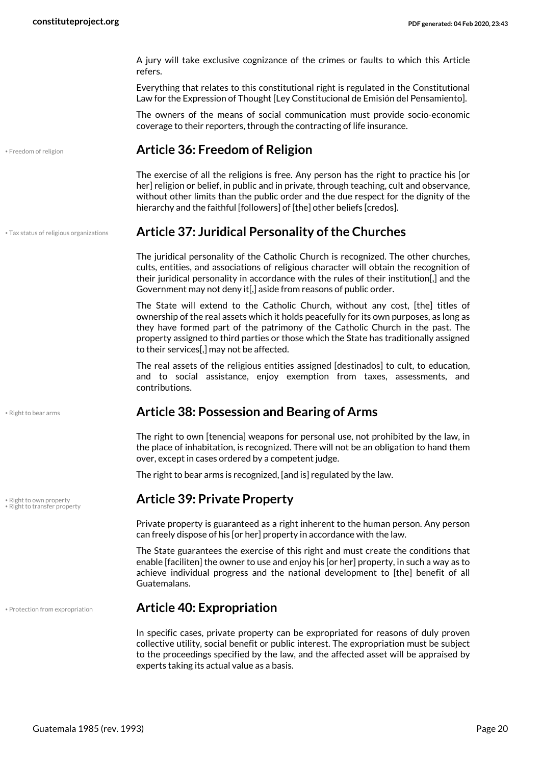A jury will take exclusive cognizance of the crimes or faults to which this Article refers.

Everything that relates to this constitutional right is regulated in the Constitutional Law for the Expression of Thought [Ley Constitucional de Emisión del Pensamiento].

<span id="page-19-0"></span>The owners of the means of social communication must provide socio-economic coverage to their reporters, through the contracting of life insurance.

#### • Freedom of religion **Article 36: Freedom of Religion**

The exercise of all the religions is free. Any person has the right to practice his [or her] religion or belief, in public and in private, through teaching, cult and observance, without other limits than the public order and the due respect for the dignity of the hierarchy and the faithful [followers] of [the] other beliefs [credos].

#### • Tax status of religious organizations **Article 37: Juridical Personality of the Churches**

<span id="page-19-1"></span>The juridical personality of the Catholic Church is recognized. The other churches, cults, entities, and associations of religious character will obtain the recognition of their juridical personality in accordance with the rules of their institution[,] and the Government may not deny it[,] aside from reasons of public order.

The State will extend to the Catholic Church, without any cost, [the] titles of ownership of the real assets which it holds peacefully for its own purposes, as long as they have formed part of the patrimony of the Catholic Church in the past. The property assigned to third parties or those which the State has traditionally assigned to their services[,] may not be affected.

The real assets of the religious entities assigned [destinados] to cult, to education, and to social assistance, enjoy exemption from taxes, assessments, and contributions.

#### • Right to bear arms **Article 38: Possession and Bearing of Arms**

<span id="page-19-2"></span>The right to own [tenencia] weapons for personal use, not prohibited by the law, in the place of inhabitation, is recognized. There will not be an obligation to hand them over, except in cases ordered by a competent judge.

<span id="page-19-3"></span>The right to bear arms is recognized, [and is] regulated by the law.

#### • Right to own property **Article 39: Private Property**

Private property is guaranteed as a right inherent to the human person. Any person can freely dispose of his [or her] property in accordance with the law.

The State guarantees the exercise of this right and must create the conditions that enable [faciliten] the owner to use and enjoy his [or her] property, in such a way as to achieve individual progress and the national development to [the] benefit of all Guatemalans.

#### • Protection from expropriation **Article 40: Expropriation**

<span id="page-19-4"></span>In specific cases, private property can be expropriated for reasons of duly proven collective utility, social benefit or public interest. The expropriation must be subject to the proceedings specified by the law, and the affected asset will be appraised by experts taking its actual value as a basis.

• Right to transfer property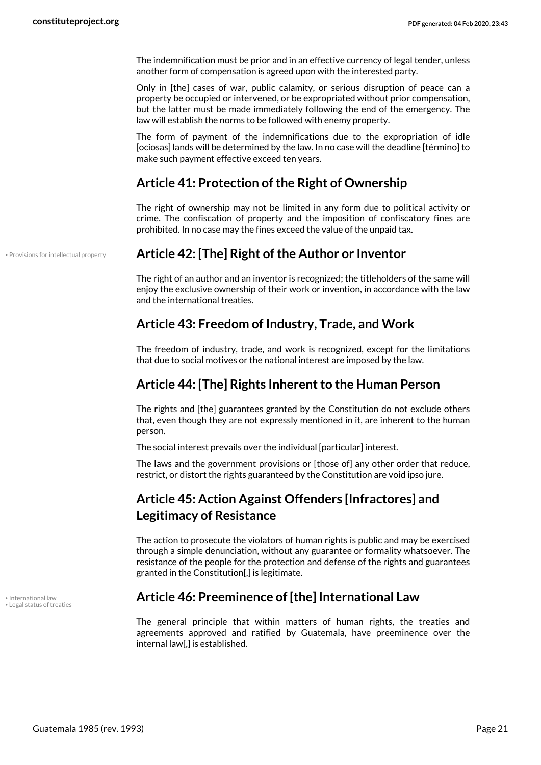The indemnification must be prior and in an effective currency of legal tender, unless another form of compensation is agreed upon with the interested party.

Only in [the] cases of war, public calamity, or serious disruption of peace can a property be occupied or intervened, or be expropriated without prior compensation, but the latter must be made immediately following the end of the emergency. The law will establish the norms to be followed with enemy property.

The form of payment of the indemnifications due to the expropriation of idle [ociosas] lands will be determined by the law. In no case will the deadline [término] to make such payment effective exceed ten years.

#### <span id="page-20-0"></span>**Article 41: Protection of the Right of Ownership**

The right of ownership may not be limited in any form due to political activity or crime. The confiscation of property and the imposition of confiscatory fines are prohibited. In no case may the fines exceed the value of the unpaid tax.

#### • Provisions for intellectual property **Article 42: [The] Right of the Author or Inventor**

<span id="page-20-1"></span>The right of an author and an inventor is recognized; the titleholders of the same will enjoy the exclusive ownership of their work or invention, in accordance with the law and the international treaties.

#### <span id="page-20-2"></span>**Article 43: Freedom of Industry, Trade, and Work**

The freedom of industry, trade, and work is recognized, except for the limitations that due to social motives or the national interest are imposed by the law.

#### <span id="page-20-3"></span>**Article 44: [The] Rights Inherent to the Human Person**

The rights and [the] guarantees granted by the Constitution do not exclude others that, even though they are not expressly mentioned in it, are inherent to the human person.

The social interest prevails over the individual [particular] interest.

The laws and the government provisions or [those of] any other order that reduce, restrict, or distort the rights guaranteed by the Constitution are void ipso jure.

#### <span id="page-20-4"></span>**Article 45: Action Against Offenders [Infractores] and Legitimacy of Resistance**

The action to prosecute the violators of human rights is public and may be exercised through a simple denunciation, without any guarantee or formality whatsoever. The resistance of the people for the protection and defense of the rights and guarantees granted in the Constitution[,] is legitimate.

# **•** International law **Article 46: Preeminence of [the] International Law** • Legal status of treaties

<span id="page-20-5"></span>The general principle that within matters of human rights, the treaties and agreements approved and ratified by Guatemala, have preeminence over the internal law[,] is established.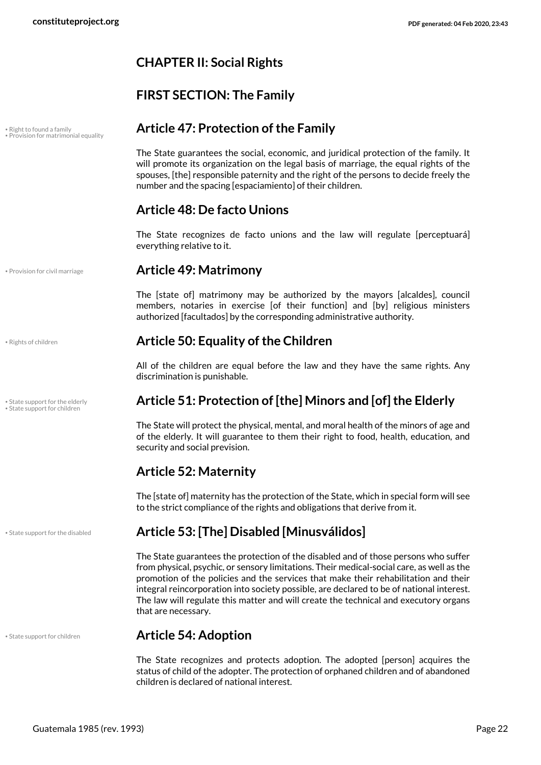• Provision for matrimonial equality

#### <span id="page-21-0"></span>**CHAPTER II: Social Rights**

#### <span id="page-21-2"></span><span id="page-21-1"></span>**FIRST SECTION: The Family**

#### • Right to found a family **Article 47: Protection of the Family**

The State guarantees the social, economic, and juridical protection of the family. It will promote its organization on the legal basis of marriage, the equal rights of the spouses, [the] responsible paternity and the right of the persons to decide freely the number and the spacing [espaciamiento] of their children.

#### <span id="page-21-3"></span>**Article 48: De facto Unions**

<span id="page-21-4"></span>The State recognizes de facto unions and the law will regulate [perceptuará] everything relative to it.

#### • Provision for civil marriage **Article 49: Matrimony**

The [state of] matrimony may be authorized by the mayors [alcaldes], council members, notaries in exercise [of their function] and [by] religious ministers authorized [facultados] by the corresponding administrative authority.

#### • Rights of children **Article 50: Equality of the Children**

<span id="page-21-6"></span><span id="page-21-5"></span>All of the children are equal before the law and they have the same rights. Any discrimination is punishable.

#### • State support for the elderly **Article 51: Protection of [the] Minors and [of] the Elderly**

The State will protect the physical, mental, and moral health of the minors of age and of the elderly. It will guarantee to them their right to food, health, education, and security and social prevision.

#### <span id="page-21-7"></span>**Article 52: Maternity**

<span id="page-21-8"></span>The [state of] maternity has the protection of the State, which in special form will see to the strict compliance of the rights and obligations that derive from it.

#### • State support for the disabled **Article 53: [The] Disabled [Minusválidos]**

The State guarantees the protection of the disabled and of those persons who suffer from physical, psychic, or sensory limitations. Their medical-social care, as well as the promotion of the policies and the services that make their rehabilitation and their integral reincorporation into society possible, are declared to be of national interest. The law will regulate this matter and will create the technical and executory organs that are necessary.

#### • State support for children **Article 54: Adoption**

<span id="page-21-9"></span>The State recognizes and protects adoption. The adopted [person] acquires the status of child of the adopter. The protection of orphaned children and of abandoned children is declared of national interest.

• State support for children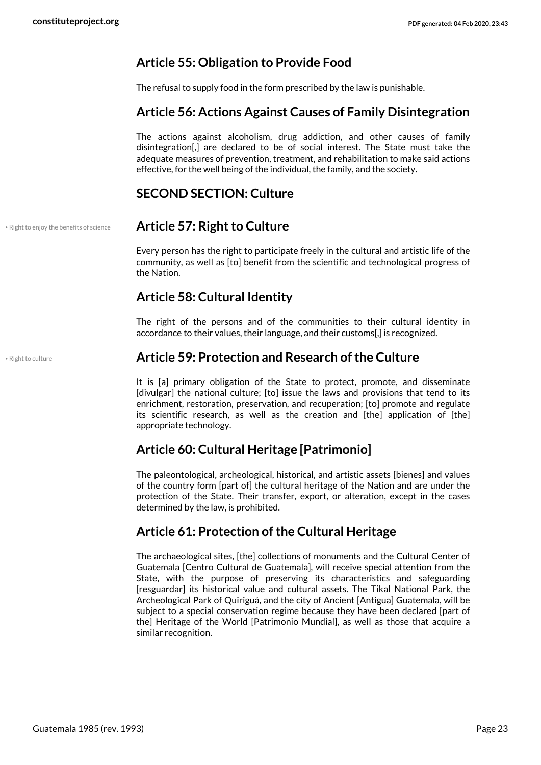#### <span id="page-22-0"></span>**Article 55: Obligation to Provide Food**

The refusal to supply food in the form prescribed by the law is punishable.

#### <span id="page-22-1"></span>**Article 56: Actions Against Causes of Family Disintegration**

The actions against alcoholism, drug addiction, and other causes of family disintegration[,] are declared to be of social interest. The State must take the adequate measures of prevention, treatment, and rehabilitation to make said actions effective, for the well being of the individual, the family, and the society.

#### <span id="page-22-3"></span><span id="page-22-2"></span>**SECOND SECTION: Culture**

#### • Right to enjoy the benefits of science **Article 57: Right to Culture**

Every person has the right to participate freely in the cultural and artistic life of the community, as well as [to] benefit from the scientific and technological progress of the Nation.

#### <span id="page-22-4"></span>**Article 58: Cultural Identity**

<span id="page-22-5"></span>The right of the persons and of the communities to their cultural identity in accordance to their values, their language, and their customs[,] is recognized.

#### • Right to culture **Article 59: Protection and Research of the Culture**

It is [a] primary obligation of the State to protect, promote, and disseminate [divulgar] the national culture; [to] issue the laws and provisions that tend to its enrichment, restoration, preservation, and recuperation; [to] promote and regulate its scientific research, as well as the creation and [the] application of [the] appropriate technology.

#### <span id="page-22-6"></span>**Article 60: Cultural Heritage [Patrimonio]**

The paleontological, archeological, historical, and artistic assets [bienes] and values of the country form [part of] the cultural heritage of the Nation and are under the protection of the State. Their transfer, export, or alteration, except in the cases determined by the law, is prohibited.

#### <span id="page-22-7"></span>**Article 61: Protection of the Cultural Heritage**

The archaeological sites, [the] collections of monuments and the Cultural Center of Guatemala [Centro Cultural de Guatemala], will receive special attention from the State, with the purpose of preserving its characteristics and safeguarding [resguardar] its historical value and cultural assets. The Tikal National Park, the Archeological Park of Quiriguá, and the city of Ancient [Antigua] Guatemala, will be subject to a special conservation regime because they have been declared [part of the] Heritage of the World [Patrimonio Mundial], as well as those that acquire a similar recognition.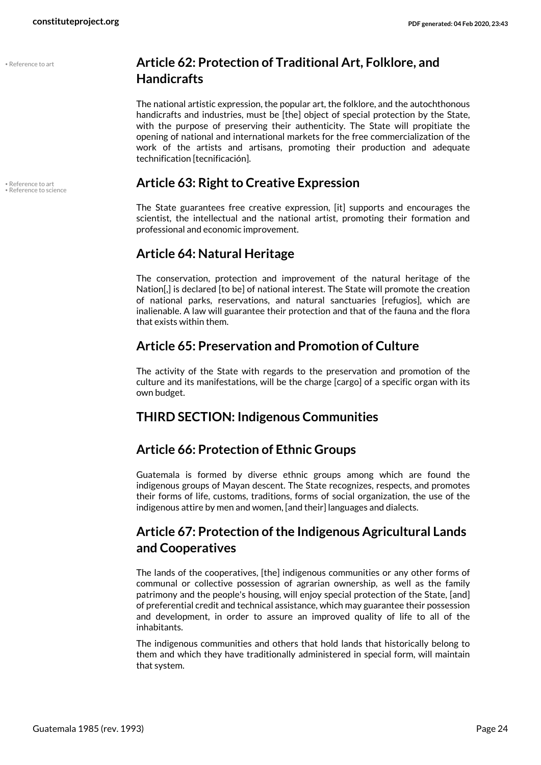• Reference to art

## • Reference to science

#### <span id="page-23-0"></span>**Article 62: Protection of Traditional Art, Folklore, and Handicrafts**

The national artistic expression, the popular art, the folklore, and the autochthonous handicrafts and industries, must be [the] object of special protection by the State, with the purpose of preserving their authenticity. The State will propitiate the opening of national and international markets for the free commercialization of the work of the artists and artisans, promoting their production and adequate technification [tecnificación].

#### Reference to art **Article 63: Right to Creative Expression**

<span id="page-23-1"></span>The State guarantees free creative expression, [it] supports and encourages the scientist, the intellectual and the national artist, promoting their formation and professional and economic improvement.

#### <span id="page-23-2"></span>**Article 64: Natural Heritage**

The conservation, protection and improvement of the natural heritage of the Nation[,] is declared [to be] of national interest. The State will promote the creation of national parks, reservations, and natural sanctuaries [refugios], which are inalienable. A law will guarantee their protection and that of the fauna and the flora that exists within them.

#### <span id="page-23-3"></span>**Article 65: Preservation and Promotion of Culture**

The activity of the State with regards to the preservation and promotion of the culture and its manifestations, will be the charge [cargo] of a specific organ with its own budget.

#### <span id="page-23-4"></span>**THIRD SECTION: Indigenous Communities**

#### <span id="page-23-5"></span>**Article 66: Protection of Ethnic Groups**

Guatemala is formed by diverse ethnic groups among which are found the indigenous groups of Mayan descent. The State recognizes, respects, and promotes their forms of life, customs, traditions, forms of social organization, the use of the indigenous attire by men and women, [and their] languages and dialects.

### <span id="page-23-6"></span>**Article 67: Protection of the Indigenous Agricultural Lands and Cooperatives**

The lands of the cooperatives, [the] indigenous communities or any other forms of communal or collective possession of agrarian ownership, as well as the family patrimony and the people's housing, will enjoy special protection of the State, [and] of preferential credit and technical assistance, which may guarantee their possession and development, in order to assure an improved quality of life to all of the inhabitants.

The indigenous communities and others that hold lands that historically belong to them and which they have traditionally administered in special form, will maintain that system.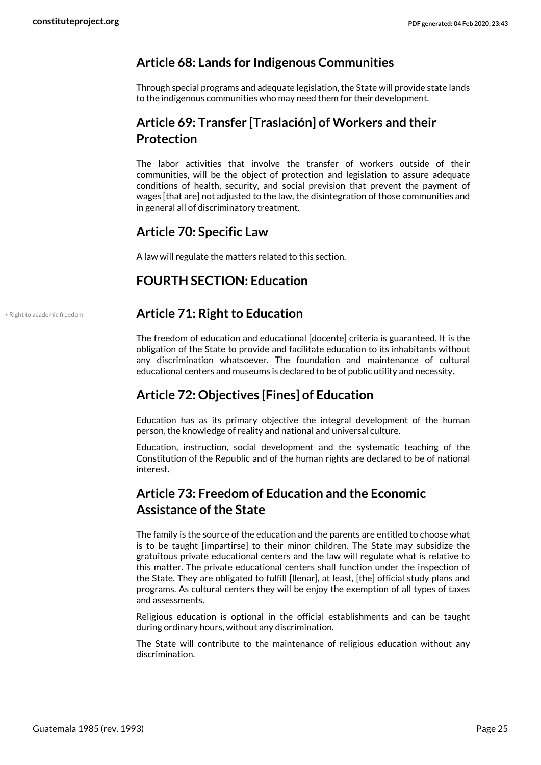#### <span id="page-24-0"></span>**Article 68: Lands for Indigenous Communities**

Through special programs and adequate legislation, the State will provide state lands to the indigenous communities who may need them for their development.

### <span id="page-24-1"></span>**Article 69: Transfer [Traslación] of Workers and their Protection**

The labor activities that involve the transfer of workers outside of their communities, will be the object of protection and legislation to assure adequate conditions of health, security, and social prevision that prevent the payment of wages [that are] not adjusted to the law, the disintegration of those communities and in general all of discriminatory treatment.

#### <span id="page-24-2"></span>**Article 70: Specific Law**

A law will regulate the matters related to this section.

#### <span id="page-24-4"></span><span id="page-24-3"></span>**FOURTH SECTION: Education**

#### • Right to academic freedom **Article 71: Right to Education**

The freedom of education and educational [docente] criteria is guaranteed. It is the obligation of the State to provide and facilitate education to its inhabitants without any discrimination whatsoever. The foundation and maintenance of cultural educational centers and museums is declared to be of public utility and necessity.

#### <span id="page-24-5"></span>**Article 72: Objectives [Fines] of Education**

Education has as its primary objective the integral development of the human person, the knowledge of reality and national and universal culture.

Education, instruction, social development and the systematic teaching of the Constitution of the Republic and of the human rights are declared to be of national interest.

### <span id="page-24-6"></span>**Article 73: Freedom of Education and the Economic Assistance of the State**

The family is the source of the education and the parents are entitled to choose what is to be taught [impartirse] to their minor children. The State may subsidize the gratuitous private educational centers and the law will regulate what is relative to this matter. The private educational centers shall function under the inspection of the State. They are obligated to fulfill [llenar], at least, [the] official study plans and programs. As cultural centers they will be enjoy the exemption of all types of taxes and assessments.

Religious education is optional in the official establishments and can be taught during ordinary hours, without any discrimination.

The State will contribute to the maintenance of religious education without any discrimination.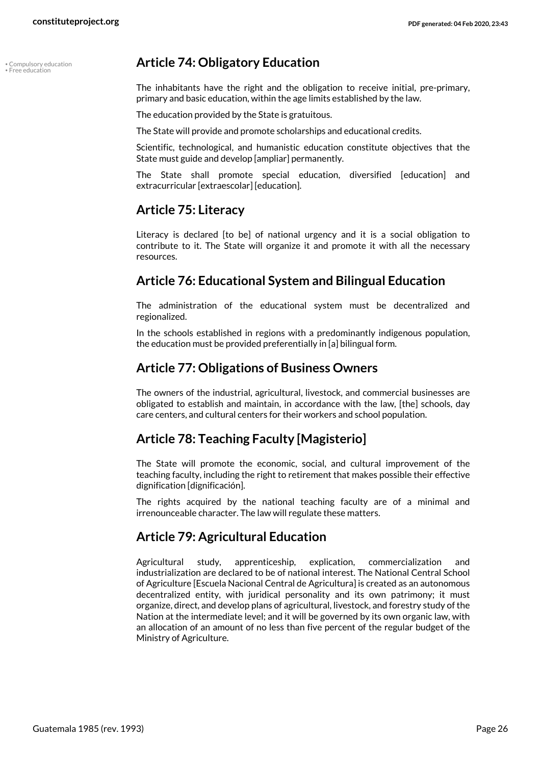• Free education

#### • Compulsory education **Article 74: Obligatory Education**

<span id="page-25-0"></span>The inhabitants have the right and the obligation to receive initial, pre-primary, primary and basic education, within the age limits established by the law.

The education provided by the State is gratuitous.

The State will provide and promote scholarships and educational credits.

Scientific, technological, and humanistic education constitute objectives that the State must guide and develop [ampliar] permanently.

The State shall promote special education, diversified [education] and extracurricular [extraescolar] [education].

#### <span id="page-25-1"></span>**Article 75: Literacy**

Literacy is declared [to be] of national urgency and it is a social obligation to contribute to it. The State will organize it and promote it with all the necessary resources.

#### <span id="page-25-2"></span>**Article 76: Educational System and Bilingual Education**

The administration of the educational system must be decentralized and regionalized.

In the schools established in regions with a predominantly indigenous population, the education must be provided preferentially in [a] bilingual form.

#### <span id="page-25-3"></span>**Article 77: Obligations of Business Owners**

The owners of the industrial, agricultural, livestock, and commercial businesses are obligated to establish and maintain, in accordance with the law, [the] schools, day care centers, and cultural centers for their workers and school population.

#### <span id="page-25-4"></span>**Article 78: Teaching Faculty [Magisterio]**

The State will promote the economic, social, and cultural improvement of the teaching faculty, including the right to retirement that makes possible their effective dignification [dignificación].

The rights acquired by the national teaching faculty are of a minimal and irrenounceable character. The law will regulate these matters.

#### <span id="page-25-5"></span>**Article 79: Agricultural Education**

Agricultural study, apprenticeship, explication, commercialization and industrialization are declared to be of national interest. The National Central School of Agriculture [Escuela Nacional Central de Agricultura] is created as an autonomous decentralized entity, with juridical personality and its own patrimony; it must organize, direct, and develop plans of agricultural, livestock, and forestry study of the Nation at the intermediate level; and it will be governed by its own organic law, with an allocation of an amount of no less than five percent of the regular budget of the Ministry of Agriculture.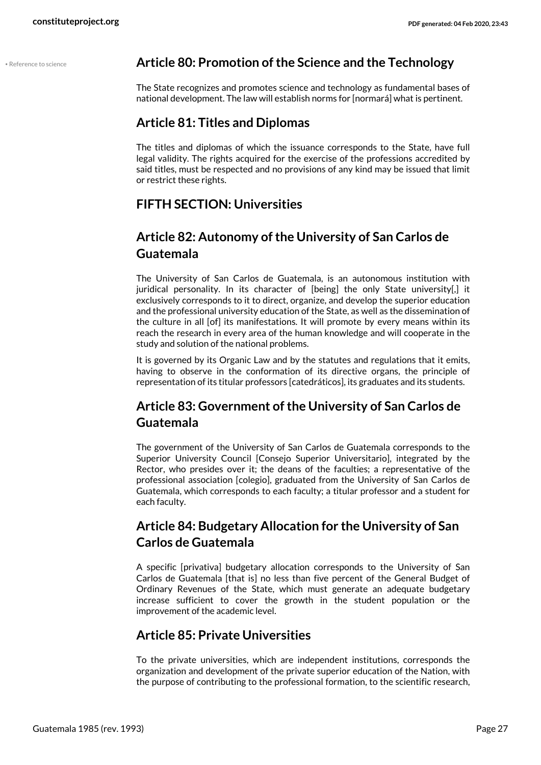#### • Reference to science **Article 80: Promotion of the Science and the Technology**

<span id="page-26-0"></span>The State recognizes and promotes science and technology as fundamental bases of national development. The law will establish norms for [normará] what is pertinent.

#### <span id="page-26-1"></span>**Article 81: Titles and Diplomas**

The titles and diplomas of which the issuance corresponds to the State, have full legal validity. The rights acquired for the exercise of the professions accredited by said titles, must be respected and no provisions of any kind may be issued that limit or restrict these rights.

#### <span id="page-26-2"></span>**FIFTH SECTION: Universities**

#### <span id="page-26-3"></span>**Article 82: Autonomy of the University of San Carlos de Guatemala**

The University of San Carlos de Guatemala, is an autonomous institution with juridical personality. In its character of [being] the only State university[,] it exclusively corresponds to it to direct, organize, and develop the superior education and the professional university education of the State, as well as the dissemination of the culture in all [of] its manifestations. It will promote by every means within its reach the research in every area of the human knowledge and will cooperate in the study and solution of the national problems.

It is governed by its Organic Law and by the statutes and regulations that it emits, having to observe in the conformation of its directive organs, the principle of representation of its titular professors [catedráticos], its graduates and its students.

### <span id="page-26-4"></span>**Article 83: Government of the University of San Carlos de Guatemala**

The government of the University of San Carlos de Guatemala corresponds to the Superior University Council [Consejo Superior Universitario], integrated by the Rector, who presides over it; the deans of the faculties; a representative of the professional association [colegio], graduated from the University of San Carlos de Guatemala, which corresponds to each faculty; a titular professor and a student for each faculty.

#### <span id="page-26-5"></span>**Article 84: Budgetary Allocation for the University of San Carlos de Guatemala**

A specific [privativa] budgetary allocation corresponds to the University of San Carlos de Guatemala [that is] no less than five percent of the General Budget of Ordinary Revenues of the State, which must generate an adequate budgetary increase sufficient to cover the growth in the student population or the improvement of the academic level.

#### <span id="page-26-6"></span>**Article 85: Private Universities**

To the private universities, which are independent institutions, corresponds the organization and development of the private superior education of the Nation, with the purpose of contributing to the professional formation, to the scientific research,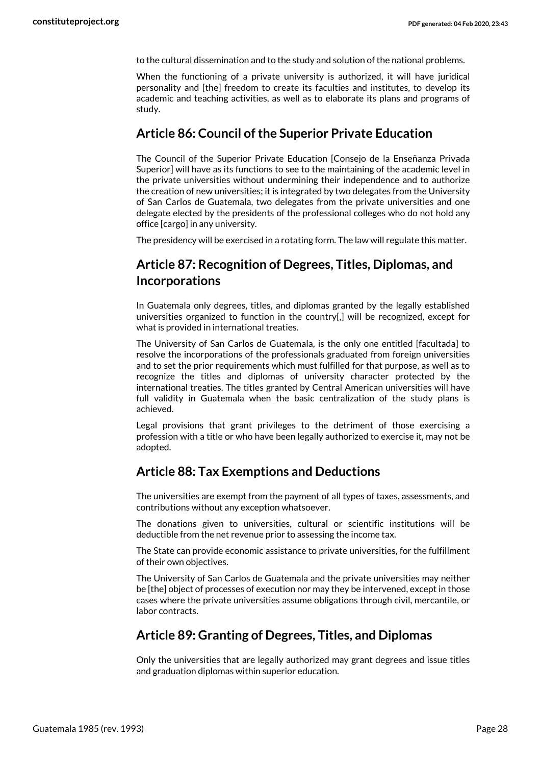to the cultural dissemination and to the study and solution of the national problems.

When the functioning of a private university is authorized, it will have juridical personality and [the] freedom to create its faculties and institutes, to develop its academic and teaching activities, as well as to elaborate its plans and programs of study.

#### <span id="page-27-0"></span>**Article 86: Council of the Superior Private Education**

The Council of the Superior Private Education [Consejo de la Enseñanza Privada Superior] will have as its functions to see to the maintaining of the academic level in the private universities without undermining their independence and to authorize the creation of new universities; it is integrated by two delegates from the University of San Carlos de Guatemala, two delegates from the private universities and one delegate elected by the presidents of the professional colleges who do not hold any office [cargo] in any university.

The presidency will be exercised in a rotating form. The law will regulate this matter.

#### <span id="page-27-1"></span>**Article 87: Recognition of Degrees, Titles, Diplomas, and Incorporations**

In Guatemala only degrees, titles, and diplomas granted by the legally established universities organized to function in the country[,] will be recognized, except for what is provided in international treaties.

The University of San Carlos de Guatemala, is the only one entitled [facultada] to resolve the incorporations of the professionals graduated from foreign universities and to set the prior requirements which must fulfilled for that purpose, as well as to recognize the titles and diplomas of university character protected by the international treaties. The titles granted by Central American universities will have full validity in Guatemala when the basic centralization of the study plans is achieved.

Legal provisions that grant privileges to the detriment of those exercising a profession with a title or who have been legally authorized to exercise it, may not be adopted.

#### <span id="page-27-2"></span>**Article 88: Tax Exemptions and Deductions**

The universities are exempt from the payment of all types of taxes, assessments, and contributions without any exception whatsoever.

The donations given to universities, cultural or scientific institutions will be deductible from the net revenue prior to assessing the income tax.

The State can provide economic assistance to private universities, for the fulfillment of their own objectives.

The University of San Carlos de Guatemala and the private universities may neither be [the] object of processes of execution nor may they be intervened, except in those cases where the private universities assume obligations through civil, mercantile, or labor contracts.

#### <span id="page-27-3"></span>**Article 89: Granting of Degrees, Titles, and Diplomas**

Only the universities that are legally authorized may grant degrees and issue titles and graduation diplomas within superior education.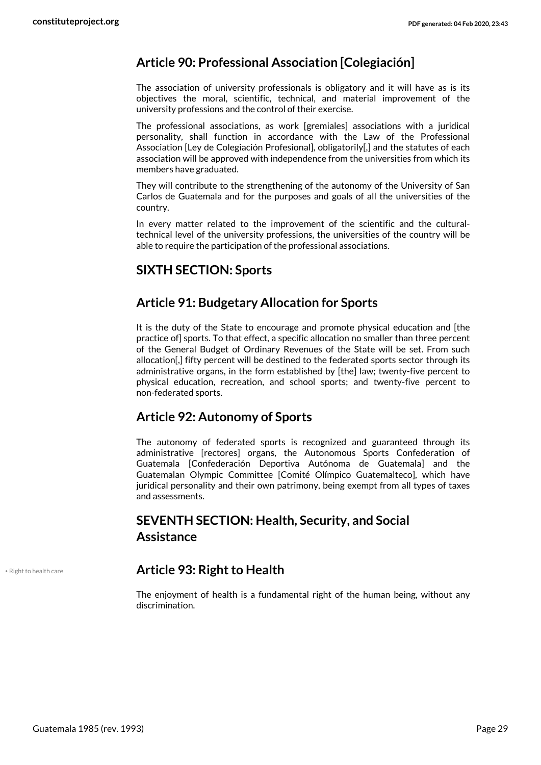#### <span id="page-28-0"></span>**Article 90: Professional Association [Colegiación]**

The association of university professionals is obligatory and it will have as is its objectives the moral, scientific, technical, and material improvement of the university professions and the control of their exercise.

The professional associations, as work [gremiales] associations with a juridical personality, shall function in accordance with the Law of the Professional Association [Ley de Colegiación Profesional], obligatorily[,] and the statutes of each association will be approved with independence from the universities from which its members have graduated.

They will contribute to the strengthening of the autonomy of the University of San Carlos de Guatemala and for the purposes and goals of all the universities of the country.

In every matter related to the improvement of the scientific and the culturaltechnical level of the university professions, the universities of the country will be able to require the participation of the professional associations.

#### <span id="page-28-1"></span>**SIXTH SECTION: Sports**

#### <span id="page-28-2"></span>**Article 91: Budgetary Allocation for Sports**

It is the duty of the State to encourage and promote physical education and [the practice of] sports. To that effect, a specific allocation no smaller than three percent of the General Budget of Ordinary Revenues of the State will be set. From such allocation[,] fifty percent will be destined to the federated sports sector through its administrative organs, in the form established by [the] law; twenty-five percent to physical education, recreation, and school sports; and twenty-five percent to non-federated sports.

#### <span id="page-28-3"></span>**Article 92: Autonomy of Sports**

The autonomy of federated sports is recognized and guaranteed through its administrative [rectores] organs, the Autonomous Sports Confederation of Guatemala [Confederación Deportiva Autónoma de Guatemala] and the Guatemalan Olympic Committee [Comité Olímpico Guatemalteco], which have juridical personality and their own patrimony, being exempt from all types of taxes and assessments.

#### <span id="page-28-4"></span>**SEVENTH SECTION: Health, Security, and Social Assistance**

#### • Right to health care **Article 93: Right to Health**

<span id="page-28-5"></span>The enjoyment of health is a fundamental right of the human being, without any discrimination.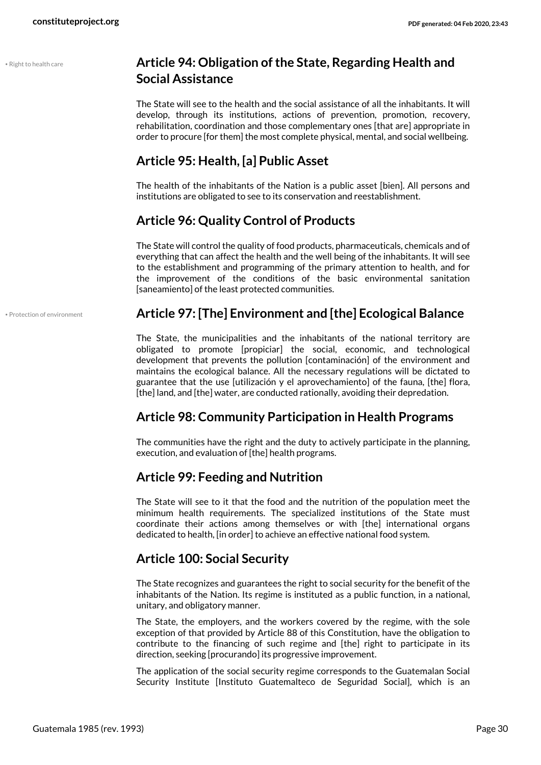#### <span id="page-29-0"></span>**Article 94: Obligation of the State, Regarding Health and Social Assistance**

The State will see to the health and the social assistance of all the inhabitants. It will develop, through its institutions, actions of prevention, promotion, recovery, rehabilitation, coordination and those complementary ones [that are] appropriate in order to procure [for them] the most complete physical, mental, and social wellbeing.

#### <span id="page-29-1"></span>**Article 95: Health, [a] Public Asset**

The health of the inhabitants of the Nation is a public asset [bien]. All persons and institutions are obligated to see to its conservation and reestablishment.

#### <span id="page-29-2"></span>**Article 96: Quality Control of Products**

The State will control the quality of food products, pharmaceuticals, chemicals and of everything that can affect the health and the well being of the inhabitants. It will see to the establishment and programming of the primary attention to health, and for the improvement of the conditions of the basic environmental sanitation [saneamiento] of the least protected communities.

#### • Protection of environment **Article 97: [The] Environment and [the] Ecological Balance**

<span id="page-29-3"></span>The State, the municipalities and the inhabitants of the national territory are obligated to promote [propiciar] the social, economic, and technological development that prevents the pollution [contaminación] of the environment and maintains the ecological balance. All the necessary regulations will be dictated to guarantee that the use [utilización y el aprovechamiento] of the fauna, [the] flora, [the] land, and [the] water, are conducted rationally, avoiding their depredation.

#### <span id="page-29-4"></span>**Article 98: Community Participation in Health Programs**

The communities have the right and the duty to actively participate in the planning, execution, and evaluation of [the] health programs.

#### <span id="page-29-5"></span>**Article 99: Feeding and Nutrition**

The State will see to it that the food and the nutrition of the population meet the minimum health requirements. The specialized institutions of the State must coordinate their actions among themselves or with [the] international organs dedicated to health, [in order] to achieve an effective national food system.

#### <span id="page-29-6"></span>**Article 100: Social Security**

The State recognizes and guarantees the right to social security for the benefit of the inhabitants of the Nation. Its regime is instituted as a public function, in a national, unitary, and obligatory manner.

The State, the employers, and the workers covered by the regime, with the sole exception of that provided by Article 88 of this Constitution, have the obligation to contribute to the financing of such regime and [the] right to participate in its direction, seeking [procurando] its progressive improvement.

The application of the social security regime corresponds to the Guatemalan Social Security Institute [Instituto Guatemalteco de Seguridad Social], which is an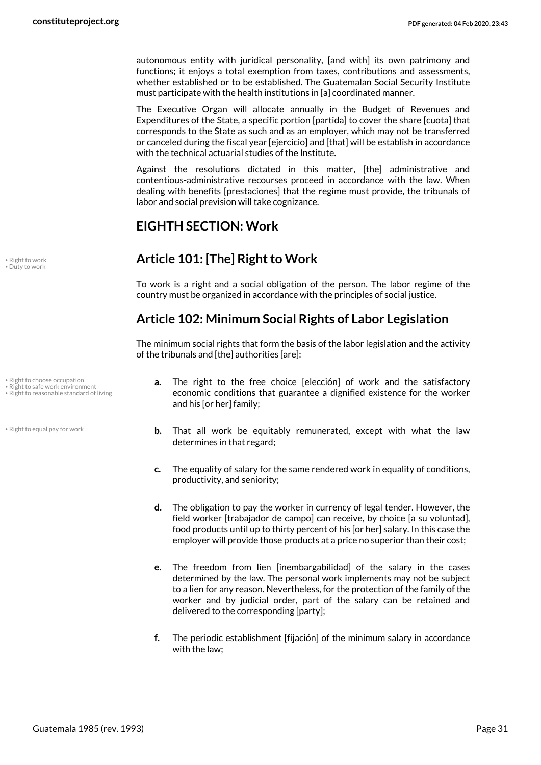autonomous entity with juridical personality, [and with] its own patrimony and functions; it enjoys a total exemption from taxes, contributions and assessments, whether established or to be established. The Guatemalan Social Security Institute must participate with the health institutions in [a] coordinated manner.

The Executive Organ will allocate annually in the Budget of Revenues and Expenditures of the State, a specific portion [partida] to cover the share [cuota] that corresponds to the State as such and as an employer, which may not be transferred or canceled during the fiscal year [ejercicio] and [that] will be establish in accordance with the technical actuarial studies of the Institute.

Against the resolutions dictated in this matter, [the] administrative and contentious-administrative recourses proceed in accordance with the law. When dealing with benefits [prestaciones] that the regime must provide, the tribunals of labor and social prevision will take cognizance.

#### <span id="page-30-1"></span><span id="page-30-0"></span>**EIGHTH SECTION: Work**

#### • Right to work **Article 101: [The] Right to Work**

To work is a right and a social obligation of the person. The labor regime of the country must be organized in accordance with the principles of social justice.

#### **Article 102: Minimum Social Rights of Labor Legislation**

The minimum social rights that form the basis of the labor legislation and the activity of the tribunals and [the] authorities [are]:

- <span id="page-30-2"></span>**a.** The right to the free choice [elección] of work and the satisfactory economic conditions that guarantee a dignified existence for the worker and his [or her] family;
- **b.** That all work be equitably remunerated, except with what the law determines in that regard;
- **c.** The equality of salary for the same rendered work in equality of conditions, productivity, and seniority;
- **d.** The obligation to pay the worker in currency of legal tender. However, the field worker [trabajador de campo] can receive, by choice [a su voluntad], food products until up to thirty percent of his [or her] salary. In this case the employer will provide those products at a price no superior than their cost;
- **e.** The freedom from lien [inembargabilidad] of the salary in the cases determined by the law. The personal work implements may not be subject to a lien for any reason. Nevertheless, for the protection of the family of the worker and by judicial order, part of the salary can be retained and delivered to the corresponding [party];
- **f.** The periodic establishment [fijación] of the minimum salary in accordance with the law;

• Duty to work

• Right to choose occupation

- Right to safe work environment Right to reasonable standard of living
- Right to equal pay for work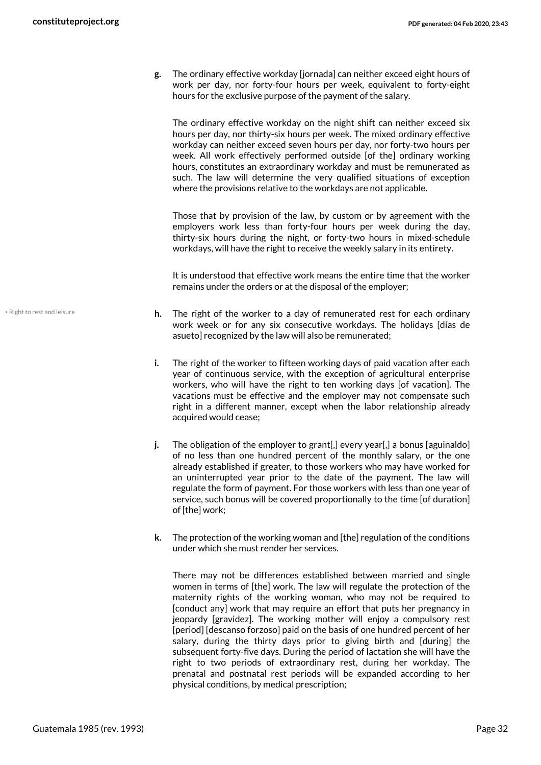**g.** The ordinary effective workday [jornada] can neither exceed eight hours of work per day, nor forty-four hours per week, equivalent to forty-eight hours for the exclusive purpose of the payment of the salary.

The ordinary effective workday on the night shift can neither exceed six hours per day, nor thirty-six hours per week. The mixed ordinary effective workday can neither exceed seven hours per day, nor forty-two hours per week. All work effectively performed outside [of the] ordinary working hours, constitutes an extraordinary workday and must be remunerated as such. The law will determine the very qualified situations of exception where the provisions relative to the workdays are not applicable.

Those that by provision of the law, by custom or by agreement with the employers work less than forty-four hours per week during the day, thirty-six hours during the night, or forty-two hours in mixed-schedule workdays, will have the right to receive the weekly salary in its entirety.

It is understood that effective work means the entire time that the worker remains under the orders or at the disposal of the employer;

- **h.** The right of the worker to a day of remunerated rest for each ordinary work week or for any six consecutive workdays. The holidays [días de asueto] recognized by the law will also be remunerated;
- **i.** The right of the worker to fifteen working days of paid vacation after each year of continuous service, with the exception of agricultural enterprise workers, who will have the right to ten working days [of vacation]. The vacations must be effective and the employer may not compensate such right in a different manner, except when the labor relationship already acquired would cease;
- **j.** The obligation of the employer to grant[,] every year[,] a bonus [aguinaldo] of no less than one hundred percent of the monthly salary, or the one already established if greater, to those workers who may have worked for an uninterrupted year prior to the date of the payment. The law will regulate the form of payment. For those workers with less than one year of service, such bonus will be covered proportionally to the time [of duration] of [the] work;
- **k.** The protection of the working woman and [the] regulation of the conditions under which she must render her services.

There may not be differences established between married and single women in terms of [the] work. The law will regulate the protection of the maternity rights of the working woman, who may not be required to [conduct any] work that may require an effort that puts her pregnancy in jeopardy [gravidez]. The working mother will enjoy a compulsory rest [period] [descanso forzoso] paid on the basis of one hundred percent of her salary, during the thirty days prior to giving birth and [during] the subsequent forty-five days. During the period of lactation she will have the right to two periods of extraordinary rest, during her workday. The prenatal and postnatal rest periods will be expanded according to her physical conditions, by medical prescription;

• Right to rest and leisure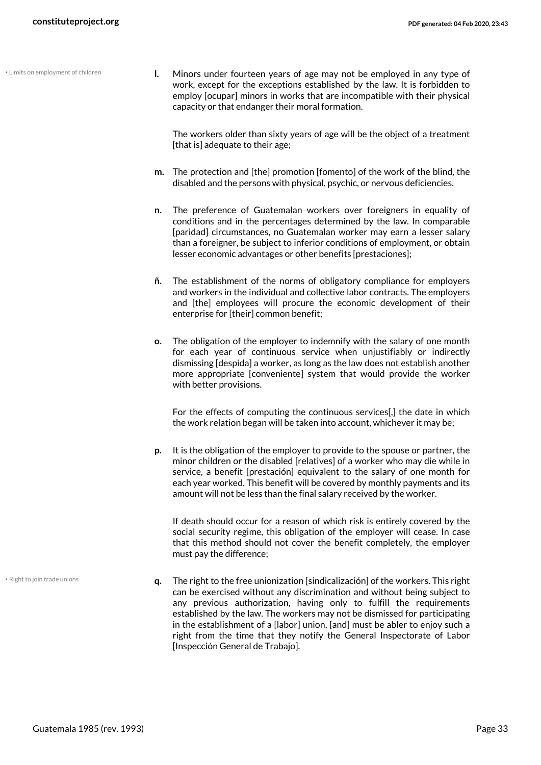**l.** Minors under fourteen years of age may not be employed in any type of work, except for the exceptions established by the law. It is forbidden to employ [ocupar] minors in works that are incompatible with their physical capacity or that endanger their moral formation. • Limits on employment of children The workers older than sixty years of age will be the object of a treatment [that is] adequate to their age; **m.** The protection and [the] promotion [fomento] of the work of the blind, the disabled and the persons with physical, psychic, or nervous deficiencies. **n.** The preference of Guatemalan workers over foreigners in equality of conditions and in the percentages determined by the law. In comparable [paridad] circumstances, no Guatemalan worker may earn a lesser salary than a foreigner, be subject to inferior conditions of employment, or obtain lesser economic advantages or other benefits [prestaciones]; **ñ.** The establishment of the norms of obligatory compliance for employers and workers in the individual and collective labor contracts. The employers and [the] employees will procure the economic development of their enterprise for [their] common benefit; **o.** The obligation of the employer to indemnify with the salary of one month for each year of continuous service when unjustifiably or indirectly dismissing [despida] a worker, as long as the law does not establish another more appropriate [conveniente] system that would provide the worker with better provisions. For the effects of computing the continuous services[,] the date in which the work relation began will be taken into account, whichever it may be; **p.** It is the obligation of the employer to provide to the spouse or partner, the minor children or the disabled [relatives] of a worker who may die while in service, a benefit [prestación] equivalent to the salary of one month for each year worked. This benefit will be covered by monthly payments and its amount will not be less than the final salary received by the worker. If death should occur for a reason of which risk is entirely covered by the social security regime, this obligation of the employer will cease. In case that this method should not cover the benefit completely, the employer must pay the difference; **q.** The right to the free unionization [sindicalización] of the workers. This right can be exercised without any discrimination and without being subject to any previous authorization, having only to fulfill the requirements • Right to join trade unions

[Inspección General de Trabajo].

established by the law. The workers may not be dismissed for participating in the establishment of a [labor] union, [and] must be abler to enjoy such a right from the time that they notify the General Inspectorate of Labor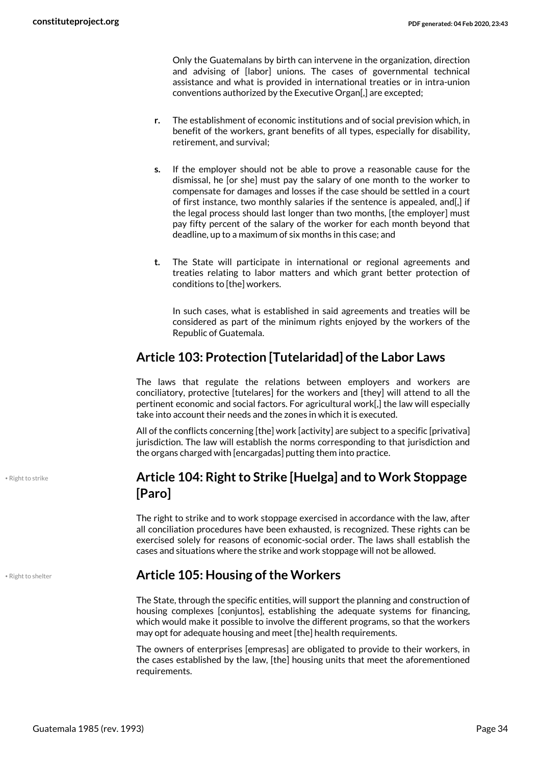Only the Guatemalans by birth can intervene in the organization, direction and advising of [labor] unions. The cases of governmental technical assistance and what is provided in international treaties or in intra-union conventions authorized by the Executive Organ[,] are excepted;

- **r.** The establishment of economic institutions and of social prevision which, in benefit of the workers, grant benefits of all types, especially for disability, retirement, and survival;
- **s.** If the employer should not be able to prove a reasonable cause for the dismissal, he [or she] must pay the salary of one month to the worker to compensate for damages and losses if the case should be settled in a court of first instance, two monthly salaries if the sentence is appealed, and[,] if the legal process should last longer than two months, [the employer] must pay fifty percent of the salary of the worker for each month beyond that deadline, up to a maximum of six months in this case; and
- **t.** The State will participate in international or regional agreements and treaties relating to labor matters and which grant better protection of conditions to [the] workers.

<span id="page-33-0"></span>In such cases, what is established in said agreements and treaties will be considered as part of the minimum rights enjoyed by the workers of the Republic of Guatemala.

#### **Article 103: Protection [Tutelaridad] of the Labor Laws**

The laws that regulate the relations between employers and workers are conciliatory, protective [tutelares] for the workers and [they] will attend to all the pertinent economic and social factors. For agricultural work[,] the law will especially take into account their needs and the zones in which it is executed.

All of the conflicts concerning [the] work [activity] are subject to a specific [privativa] jurisdiction. The law will establish the norms corresponding to that jurisdiction and the organs charged with [encargadas] putting them into practice.

#### <span id="page-33-1"></span>**Article 104: Right to Strike [Huelga] and to Work Stoppage [Paro]**

The right to strike and to work stoppage exercised in accordance with the law, after all conciliation procedures have been exhausted, is recognized. These rights can be exercised solely for reasons of economic-social order. The laws shall establish the cases and situations where the strike and work stoppage will not be allowed.

#### • Right to shelter **Article 105: Housing of the Workers**

<span id="page-33-2"></span>The State, through the specific entities, will support the planning and construction of housing complexes [conjuntos], establishing the adequate systems for financing, which would make it possible to involve the different programs, so that the workers may opt for adequate housing and meet [the] health requirements.

The owners of enterprises [empresas] are obligated to provide to their workers, in the cases established by the law, [the] housing units that meet the aforementioned requirements.

• Right to strike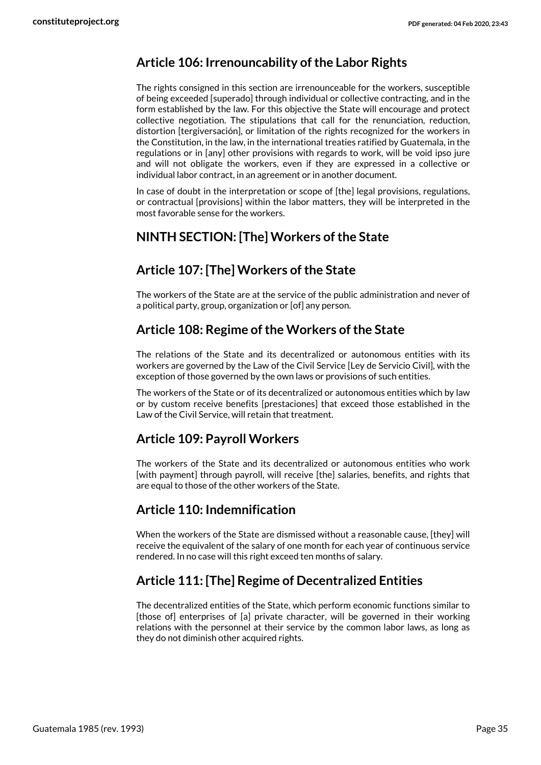#### <span id="page-34-0"></span>**Article 106: Irrenouncability of the Labor Rights**

The rights consigned in this section are irrenounceable for the workers, susceptible of being exceeded [superado] through individual or collective contracting, and in the form established by the law. For this objective the State will encourage and protect collective negotiation. The stipulations that call for the renunciation, reduction, distortion [tergiversación], or limitation of the rights recognized for the workers in the Constitution, in the law, in the international treaties ratified by Guatemala, in the regulations or in [any] other provisions with regards to work, will be void ipso jure and will not obligate the workers, even if they are expressed in a collective or individual labor contract, in an agreement or in another document.

In case of doubt in the interpretation or scope of [the] legal provisions, regulations, or contractual [provisions] within the labor matters, they will be interpreted in the most favorable sense for the workers.

#### <span id="page-34-1"></span>**NINTH SECTION: [The] Workers of the State**

#### <span id="page-34-2"></span>**Article 107: [The] Workers of the State**

The workers of the State are at the service of the public administration and never of a political party, group, organization or [of] any person.

#### <span id="page-34-3"></span>**Article 108: Regime of the Workers of the State**

The relations of the State and its decentralized or autonomous entities with its workers are governed by the Law of the Civil Service [Ley de Servicio Civil], with the exception of those governed by the own laws or provisions of such entities.

The workers of the State or of its decentralized or autonomous entities which by law or by custom receive benefits [prestaciones] that exceed those established in the Law of the Civil Service, will retain that treatment.

#### <span id="page-34-4"></span>**Article 109: Payroll Workers**

The workers of the State and its decentralized or autonomous entities who work [with payment] through payroll, will receive [the] salaries, benefits, and rights that are equal to those of the other workers of the State.

#### <span id="page-34-5"></span>**Article 110: Indemnification**

When the workers of the State are dismissed without a reasonable cause, [they] will receive the equivalent of the salary of one month for each year of continuous service rendered. In no case will this right exceed ten months of salary.

#### <span id="page-34-6"></span>**Article 111: [The] Regime of Decentralized Entities**

The decentralized entities of the State, which perform economic functions similar to [those of] enterprises of [a] private character, will be governed in their working relations with the personnel at their service by the common labor laws, as long as they do not diminish other acquired rights.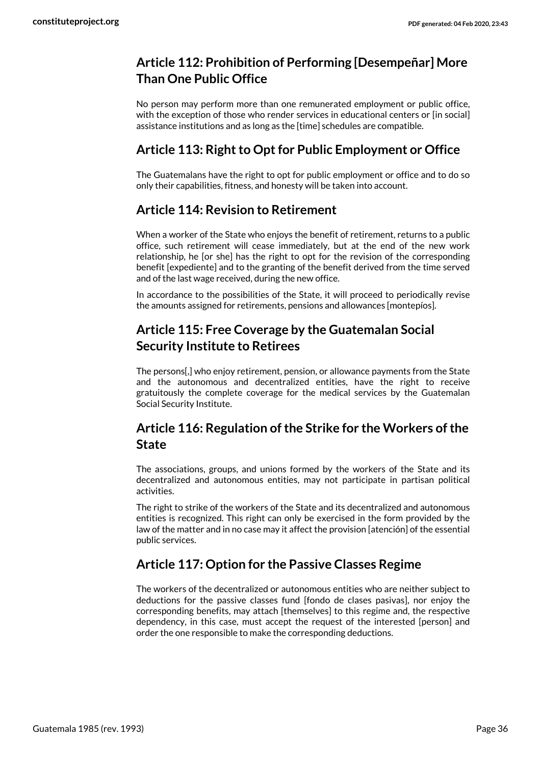### <span id="page-35-0"></span>**Article 112: Prohibition of Performing [Desempeñar] More Than One Public Office**

No person may perform more than one remunerated employment or public office, with the exception of those who render services in educational centers or [in social] assistance institutions and as long as the [time] schedules are compatible.

#### <span id="page-35-1"></span>**Article 113: Right to Opt for Public Employment or Office**

The Guatemalans have the right to opt for public employment or office and to do so only their capabilities, fitness, and honesty will be taken into account.

#### <span id="page-35-2"></span>**Article 114: Revision to Retirement**

When a worker of the State who enjoys the benefit of retirement, returns to a public office, such retirement will cease immediately, but at the end of the new work relationship, he [or she] has the right to opt for the revision of the corresponding benefit [expediente] and to the granting of the benefit derived from the time served and of the last wage received, during the new office.

In accordance to the possibilities of the State, it will proceed to periodically revise the amounts assigned for retirements, pensions and allowances [montepíos].

#### <span id="page-35-3"></span>**Article 115: Free Coverage by the Guatemalan Social Security Institute to Retirees**

The persons[,] who enjoy retirement, pension, or allowance payments from the State and the autonomous and decentralized entities, have the right to receive gratuitously the complete coverage for the medical services by the Guatemalan Social Security Institute.

#### <span id="page-35-4"></span>**Article 116: Regulation of the Strike for the Workers of the State**

The associations, groups, and unions formed by the workers of the State and its decentralized and autonomous entities, may not participate in partisan political activities.

The right to strike of the workers of the State and its decentralized and autonomous entities is recognized. This right can only be exercised in the form provided by the law of the matter and in no case may it affect the provision [atención] of the essential public services.

#### <span id="page-35-5"></span>**Article 117: Option for the Passive Classes Regime**

The workers of the decentralized or autonomous entities who are neither subject to deductions for the passive classes fund [fondo de clases pasivas], nor enjoy the corresponding benefits, may attach [themselves] to this regime and, the respective dependency, in this case, must accept the request of the interested [person] and order the one responsible to make the corresponding deductions.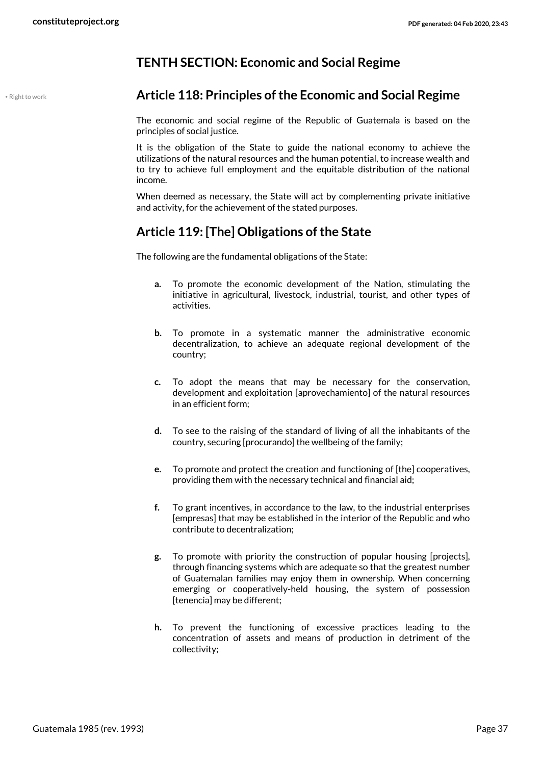#### **TENTH SECTION: Economic and Social Regime**

#### • Right to work **Article 118: Principles of the Economic and Social Regime**

The economic and social regime of the Republic of Guatemala is based on the principles of social justice.

It is the obligation of the State to guide the national economy to achieve the utilizations of the natural resources and the human potential, to increase wealth and to try to achieve full employment and the equitable distribution of the national income.

When deemed as necessary, the State will act by complementing private initiative and activity, for the achievement of the stated purposes.

### **Article 119: [The] Obligations of the State**

The following are the fundamental obligations of the State:

- **a.** To promote the economic development of the Nation, stimulating the initiative in agricultural, livestock, industrial, tourist, and other types of activities.
- **b.** To promote in a systematic manner the administrative economic decentralization, to achieve an adequate regional development of the country;
- **c.** To adopt the means that may be necessary for the conservation, development and exploitation [aprovechamiento] of the natural resources in an efficient form;
- **d.** To see to the raising of the standard of living of all the inhabitants of the country, securing [procurando] the wellbeing of the family;
- **e.** To promote and protect the creation and functioning of [the] cooperatives, providing them with the necessary technical and financial aid;
- **f.** To grant incentives, in accordance to the law, to the industrial enterprises [empresas] that may be established in the interior of the Republic and who contribute to decentralization;
- **g.** To promote with priority the construction of popular housing [projects], through financing systems which are adequate so that the greatest number of Guatemalan families may enjoy them in ownership. When concerning emerging or cooperatively-held housing, the system of possession [tenencia] may be different;
- **h.** To prevent the functioning of excessive practices leading to the concentration of assets and means of production in detriment of the collectivity;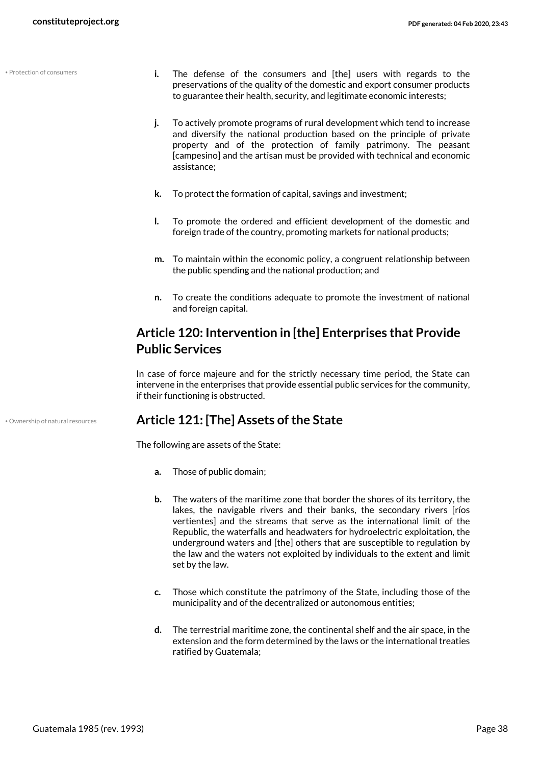**i.** The defense of the consumers and [the] users with regards to the preservations of the quality of the domestic and export consumer products to guarantee their health, security, and legitimate economic interests; • Protection of consumers **j.** To actively promote programs of rural development which tend to increase and diversify the national production based on the principle of private property and of the protection of family patrimony. The peasant [campesino] and the artisan must be provided with technical and economic assistance; **k.** To protect the formation of capital, savings and investment; **l.** To promote the ordered and efficient development of the domestic and foreign trade of the country, promoting markets for national products; **m.** To maintain within the economic policy, a congruent relationship between the public spending and the national production; and **n.** To create the conditions adequate to promote the investment of national and foreign capital. **Article 120: Intervention in [the] Enterprises that Provide Public Services** In case of force majeure and for the strictly necessary time period, the State can intervene in the enterprises that provide essential public services for the community, if their functioning is obstructed.

### • Ownership of natural resources **Article 121: [The] Assets of the State**

The following are assets of the State:

- **a.** Those of public domain;
- **b.** The waters of the maritime zone that border the shores of its territory, the lakes, the navigable rivers and their banks, the secondary rivers [ríos vertientes] and the streams that serve as the international limit of the Republic, the waterfalls and headwaters for hydroelectric exploitation, the underground waters and [the] others that are susceptible to regulation by the law and the waters not exploited by individuals to the extent and limit set by the law.
- **c.** Those which constitute the patrimony of the State, including those of the municipality and of the decentralized or autonomous entities;
- **d.** The terrestrial maritime zone, the continental shelf and the air space, in the extension and the form determined by the laws or the international treaties ratified by Guatemala;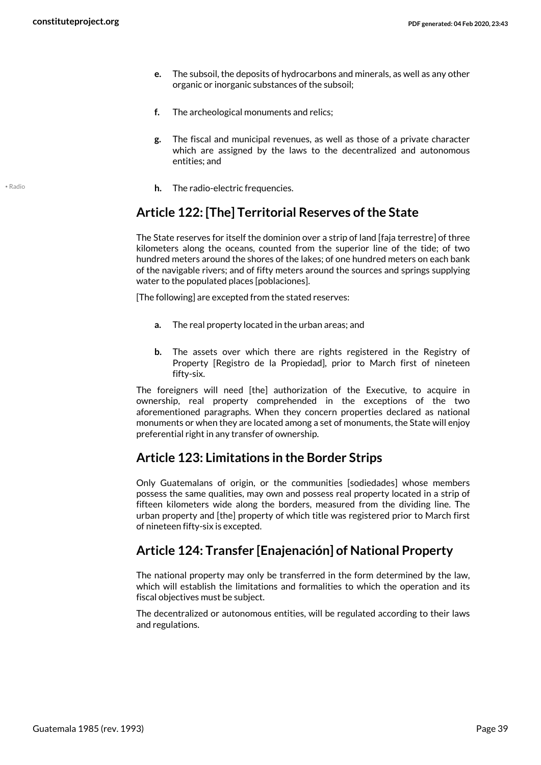- **e.** The subsoil, the deposits of hydrocarbons and minerals, as well as any other organic or inorganic substances of the subsoil;
- **f.** The archeological monuments and relics;
- **g.** The fiscal and municipal revenues, as well as those of a private character which are assigned by the laws to the decentralized and autonomous entities; and
- **h.** The radio-electric frequencies.

#### **Article 122: [The] Territorial Reserves of the State**

The State reserves for itself the dominion over a strip of land [faja terrestre] of three kilometers along the oceans, counted from the superior line of the tide; of two hundred meters around the shores of the lakes; of one hundred meters on each bank of the navigable rivers; and of fifty meters around the sources and springs supplying water to the populated places [poblaciones].

[The following] are excepted from the stated reserves:

- **a.** The real property located in the urban areas; and
- **b.** The assets over which there are rights registered in the Registry of Property [Registro de la Propiedad], prior to March first of nineteen fifty-six.

The foreigners will need [the] authorization of the Executive, to acquire in ownership, real property comprehended in the exceptions of the two aforementioned paragraphs. When they concern properties declared as national monuments or when they are located among a set of monuments, the State will enjoy preferential right in any transfer of ownership.

### **Article 123: Limitations in the Border Strips**

Only Guatemalans of origin, or the communities [sodiedades] whose members possess the same qualities, may own and possess real property located in a strip of fifteen kilometers wide along the borders, measured from the dividing line. The urban property and [the] property of which title was registered prior to March first of nineteen fifty-six is excepted.

### **Article 124: Transfer [Enajenación] of National Property**

The national property may only be transferred in the form determined by the law, which will establish the limitations and formalities to which the operation and its fiscal objectives must be subject.

The decentralized or autonomous entities, will be regulated according to their laws and regulations.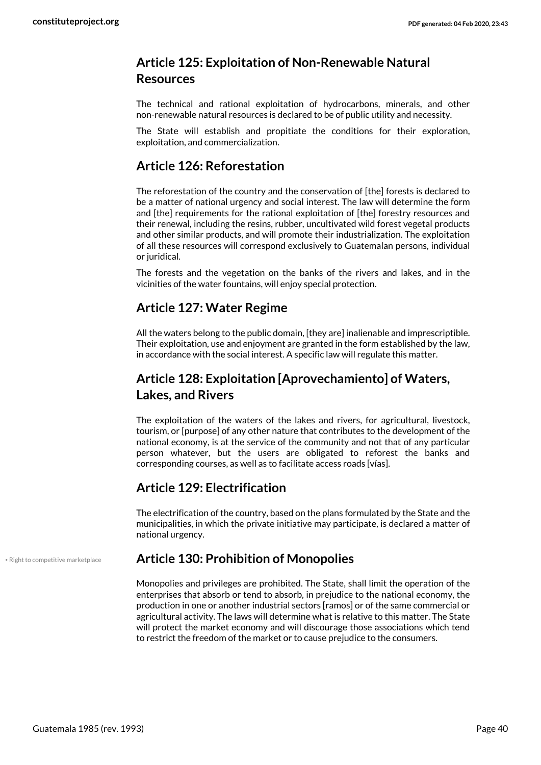### **Article 125: Exploitation of Non-Renewable Natural Resources**

The technical and rational exploitation of hydrocarbons, minerals, and other non-renewable natural resources is declared to be of public utility and necessity.

The State will establish and propitiate the conditions for their exploration, exploitation, and commercialization.

### **Article 126: Reforestation**

The reforestation of the country and the conservation of [the] forests is declared to be a matter of national urgency and social interest. The law will determine the form and [the] requirements for the rational exploitation of [the] forestry resources and their renewal, including the resins, rubber, uncultivated wild forest vegetal products and other similar products, and will promote their industrialization. The exploitation of all these resources will correspond exclusively to Guatemalan persons, individual or juridical.

The forests and the vegetation on the banks of the rivers and lakes, and in the vicinities of the water fountains, will enjoy special protection.

### **Article 127: Water Regime**

All the waters belong to the public domain, [they are] inalienable and imprescriptible. Their exploitation, use and enjoyment are granted in the form established by the law, in accordance with the social interest. A specific law will regulate this matter.

### **Article 128: Exploitation [Aprovechamiento] of Waters, Lakes, and Rivers**

The exploitation of the waters of the lakes and rivers, for agricultural, livestock, tourism, or [purpose] of any other nature that contributes to the development of the national economy, is at the service of the community and not that of any particular person whatever, but the users are obligated to reforest the banks and corresponding courses, as well as to facilitate access roads [vías].

### **Article 129: Electrification**

The electrification of the country, based on the plans formulated by the State and the municipalities, in which the private initiative may participate, is declared a matter of national urgency.

#### • Right to competitive marketplace **Article 130: Prohibition of Monopolies**

Monopolies and privileges are prohibited. The State, shall limit the operation of the enterprises that absorb or tend to absorb, in prejudice to the national economy, the production in one or another industrial sectors [ramos] or of the same commercial or agricultural activity. The laws will determine what is relative to this matter. The State will protect the market economy and will discourage those associations which tend to restrict the freedom of the market or to cause prejudice to the consumers.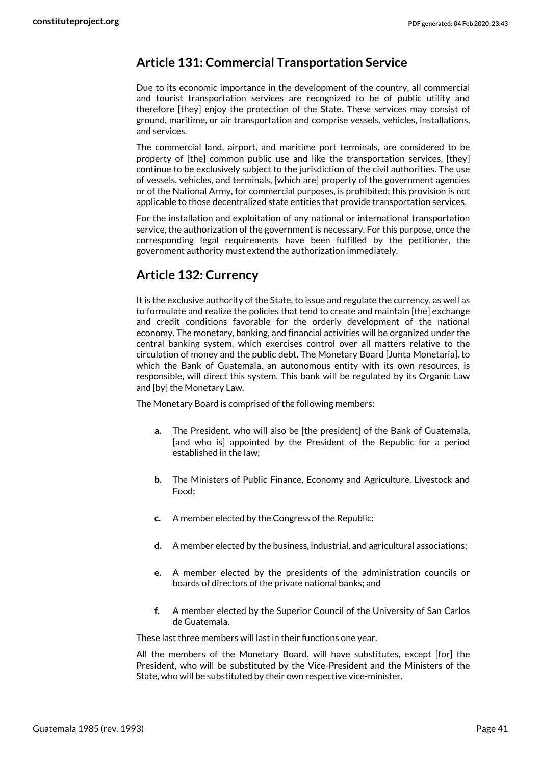#### **Article 131: Commercial Transportation Service**

Due to its economic importance in the development of the country, all commercial and tourist transportation services are recognized to be of public utility and therefore [they] enjoy the protection of the State. These services may consist of ground, maritime, or air transportation and comprise vessels, vehicles, installations, and services.

The commercial land, airport, and maritime port terminals, are considered to be property of [the] common public use and like the transportation services, [they] continue to be exclusively subject to the jurisdiction of the civil authorities. The use of vessels, vehicles, and terminals, [which are] property of the government agencies or of the National Army, for commercial purposes, is prohibited; this provision is not applicable to those decentralized state entities that provide transportation services.

For the installation and exploitation of any national or international transportation service, the authorization of the government is necessary. For this purpose, once the corresponding legal requirements have been fulfilled by the petitioner, the government authority must extend the authorization immediately.

#### **Article 132: Currency**

It is the exclusive authority of the State, to issue and regulate the currency, as well as to formulate and realize the policies that tend to create and maintain [the] exchange and credit conditions favorable for the orderly development of the national economy. The monetary, banking, and financial activities will be organized under the central banking system, which exercises control over all matters relative to the circulation of money and the public debt. The Monetary Board [Junta Monetaria], to which the Bank of Guatemala, an autonomous entity with its own resources, is responsible, will direct this system. This bank will be regulated by its Organic Law and [by] the Monetary Law.

The Monetary Board is comprised of the following members:

- **a.** The President, who will also be [the president] of the Bank of Guatemala, [and who is] appointed by the President of the Republic for a period established in the law;
- **b.** The Ministers of Public Finance, Economy and Agriculture, Livestock and Food;
- **c.** A member elected by the Congress of the Republic;
- **d.** A member elected by the business, industrial, and agricultural associations;
- **e.** A member elected by the presidents of the administration councils or boards of directors of the private national banks; and
- **f.** A member elected by the Superior Council of the University of San Carlos de Guatemala.

These last three members will last in their functions one year.

All the members of the Monetary Board, will have substitutes, except [for] the President, who will be substituted by the Vice-President and the Ministers of the State, who will be substituted by their own respective vice-minister.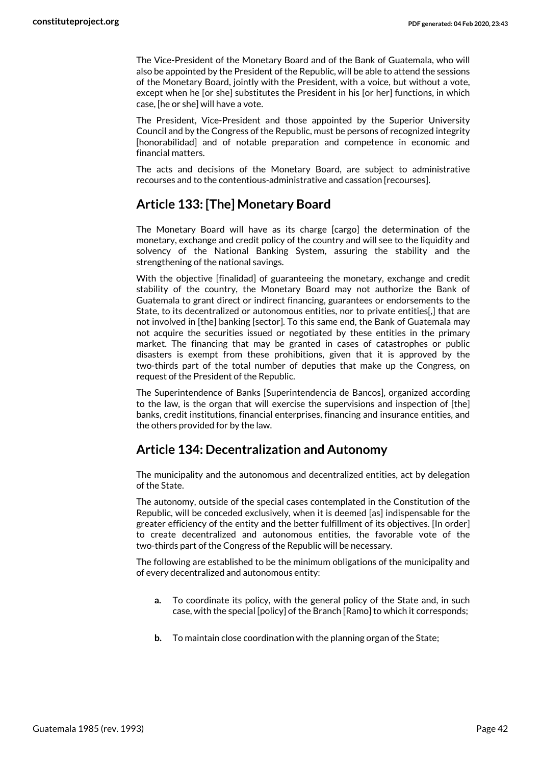The Vice-President of the Monetary Board and of the Bank of Guatemala, who will also be appointed by the President of the Republic, will be able to attend the sessions of the Monetary Board, jointly with the President, with a voice, but without a vote, except when he [or she] substitutes the President in his [or her] functions, in which case, [he or she] will have a vote.

The President, Vice-President and those appointed by the Superior University Council and by the Congress of the Republic, must be persons of recognized integrity [honorabilidad] and of notable preparation and competence in economic and financial matters.

The acts and decisions of the Monetary Board, are subject to administrative recourses and to the contentious-administrative and cassation [recourses].

#### **Article 133: [The] Monetary Board**

The Monetary Board will have as its charge [cargo] the determination of the monetary, exchange and credit policy of the country and will see to the liquidity and solvency of the National Banking System, assuring the stability and the strengthening of the national savings.

With the objective [finalidad] of guaranteeing the monetary, exchange and credit stability of the country, the Monetary Board may not authorize the Bank of Guatemala to grant direct or indirect financing, guarantees or endorsements to the State, to its decentralized or autonomous entities, nor to private entities[,] that are not involved in [the] banking [sector]. To this same end, the Bank of Guatemala may not acquire the securities issued or negotiated by these entities in the primary market. The financing that may be granted in cases of catastrophes or public disasters is exempt from these prohibitions, given that it is approved by the two-thirds part of the total number of deputies that make up the Congress, on request of the President of the Republic.

The Superintendence of Banks [Superintendencia de Bancos], organized according to the law, is the organ that will exercise the supervisions and inspection of [the] banks, credit institutions, financial enterprises, financing and insurance entities, and the others provided for by the law.

#### **Article 134: Decentralization and Autonomy**

The municipality and the autonomous and decentralized entities, act by delegation of the State.

The autonomy, outside of the special cases contemplated in the Constitution of the Republic, will be conceded exclusively, when it is deemed [as] indispensable for the greater efficiency of the entity and the better fulfillment of its objectives. [In order] to create decentralized and autonomous entities, the favorable vote of the two-thirds part of the Congress of the Republic will be necessary.

The following are established to be the minimum obligations of the municipality and of every decentralized and autonomous entity:

- **a.** To coordinate its policy, with the general policy of the State and, in such case, with the special [policy] of the Branch [Ramo] to which it corresponds;
- **b.** To maintain close coordination with the planning organ of the State;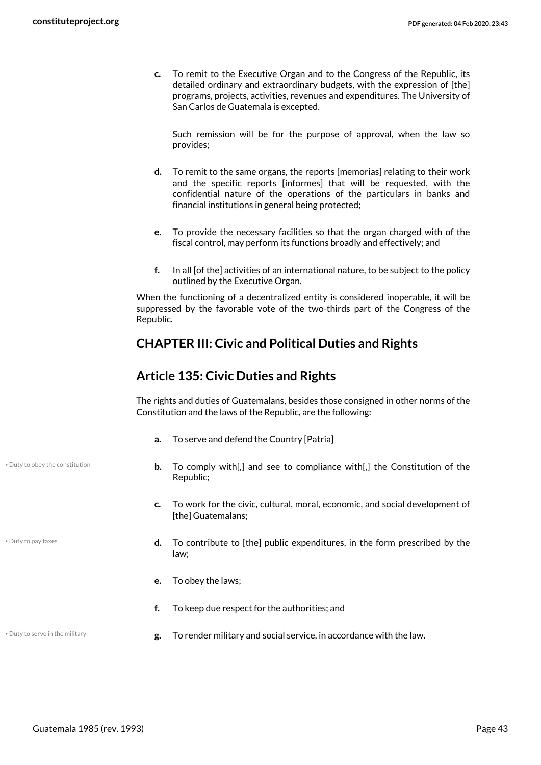**c.** To remit to the Executive Organ and to the Congress of the Republic, its detailed ordinary and extraordinary budgets, with the expression of [the] programs, projects, activities, revenues and expenditures. The University of San Carlos de Guatemala is excepted.

Such remission will be for the purpose of approval, when the law so provides;

- **d.** To remit to the same organs, the reports [memorias] relating to their work and the specific reports [informes] that will be requested, with the confidential nature of the operations of the particulars in banks and financial institutions in general being protected;
- **e.** To provide the necessary facilities so that the organ charged with of the fiscal control, may perform its functions broadly and effectively; and
- **f.** In all [of the] activities of an international nature, to be subject to the policy outlined by the Executive Organ.

When the functioning of a decentralized entity is considered inoperable, it will be suppressed by the favorable vote of the two-thirds part of the Congress of the Republic.

#### **CHAPTER III: Civic and Political Duties and Rights**

#### **Article 135: Civic Duties and Rights**

The rights and duties of Guatemalans, besides those consigned in other norms of the Constitution and the laws of the Republic, are the following:

- **a.** To serve and defend the Country [Patria]
- **b.** To comply with[,] and see to compliance with[,] the Constitution of the Republic;
- **c.** To work for the civic, cultural, moral, economic, and social development of [the] Guatemalans;
- **d.** To contribute to [the] public expenditures, in the form prescribed by the law;
- **e.** To obey the laws;
- **f.** To keep due respect for the authorities; and

• Duty to obey the constitution

• Duty to pay taxes

• Duty to serve in the military **render military and social service, in accordance with the law.**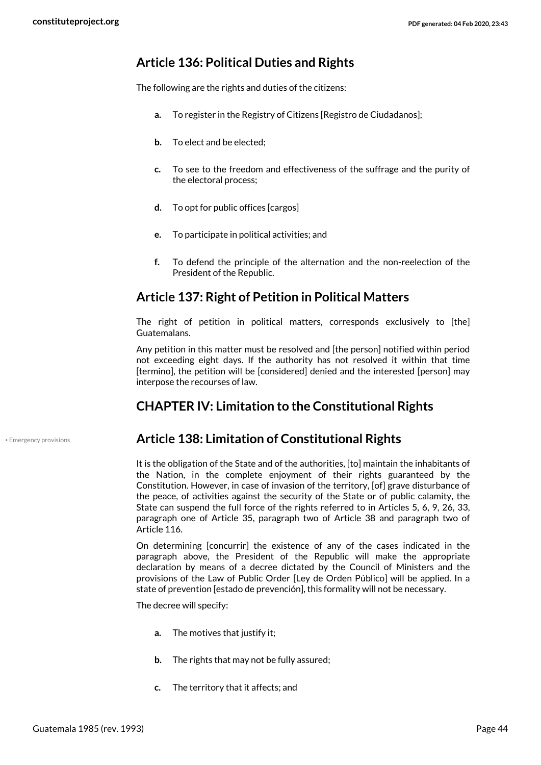#### **Article 136: Political Duties and Rights**

The following are the rights and duties of the citizens:

- **a.** To register in the Registry of Citizens [Registro de Ciudadanos];
- **b.** To elect and be elected;
- **c.** To see to the freedom and effectiveness of the suffrage and the purity of the electoral process;
- **d.** To opt for public offices [cargos]
- **e.** To participate in political activities; and
- **f.** To defend the principle of the alternation and the non-reelection of the President of the Republic.

#### **Article 137: Right of Petition in Political Matters**

The right of petition in political matters, corresponds exclusively to [the] Guatemalans.

Any petition in this matter must be resolved and [the person] notified within period not exceeding eight days. If the authority has not resolved it within that time [termino], the petition will be [considered] denied and the interested [person] may interpose the recourses of law.

#### **CHAPTER IV: Limitation to the Constitutional Rights**

#### • Emergency provisions **Article 138: Limitation of Constitutional Rights**

It is the obligation of the State and of the authorities, [to] maintain the inhabitants of the Nation, in the complete enjoyment of their rights guaranteed by the Constitution. However, in case of invasion of the territory, [of] grave disturbance of the peace, of activities against the security of the State or of public calamity, the State can suspend the full force of the rights referred to in Articles 5, 6, 9, 26, 33, paragraph one of Article 35, paragraph two of Article 38 and paragraph two of Article 116.

On determining [concurrir] the existence of any of the cases indicated in the paragraph above, the President of the Republic will make the appropriate declaration by means of a decree dictated by the Council of Ministers and the provisions of the Law of Public Order [Ley de Orden Público] will be applied. In a state of prevention [estado de prevención], this formality will not be necessary.

The decree will specify:

- **a.** The motives that justify it;
- **b.** The rights that may not be fully assured;
- **c.** The territory that it affects; and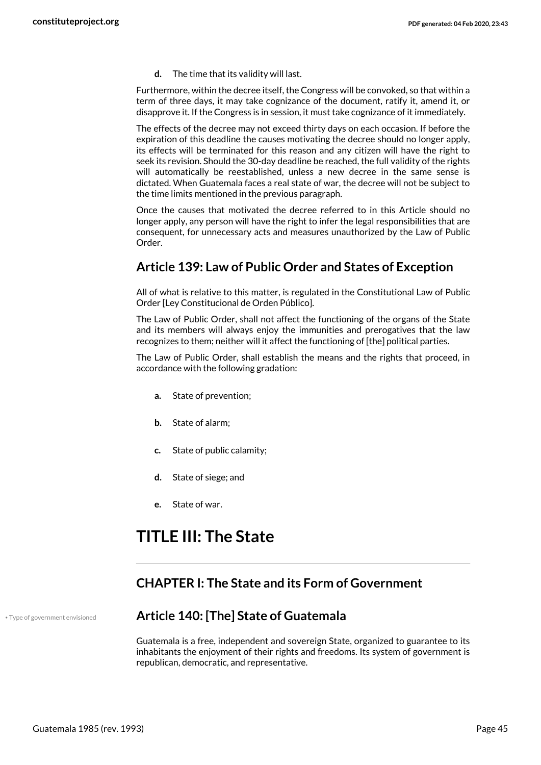**d.** The time that its validity will last.

Furthermore, within the decree itself, the Congress will be convoked, so that within a term of three days, it may take cognizance of the document, ratify it, amend it, or disapprove it. If the Congress is in session, it must take cognizance of it immediately.

The effects of the decree may not exceed thirty days on each occasion. If before the expiration of this deadline the causes motivating the decree should no longer apply, its effects will be terminated for this reason and any citizen will have the right to seek its revision. Should the 30-day deadline be reached, the full validity of the rights will automatically be reestablished, unless a new decree in the same sense is dictated. When Guatemala faces a real state of war, the decree will not be subject to the time limits mentioned in the previous paragraph.

Once the causes that motivated the decree referred to in this Article should no longer apply, any person will have the right to infer the legal responsibilities that are consequent, for unnecessary acts and measures unauthorized by the Law of Public Order.

#### **Article 139: Law of Public Order and States of Exception**

All of what is relative to this matter, is regulated in the Constitutional Law of Public Order [Ley Constitucional de Orden Público].

The Law of Public Order, shall not affect the functioning of the organs of the State and its members will always enjoy the immunities and prerogatives that the law recognizes to them; neither will it affect the functioning of [the] political parties.

The Law of Public Order, shall establish the means and the rights that proceed, in accordance with the following gradation:

- **a.** State of prevention;
- **b.** State of alarm;
- **c.** State of public calamity;
- **d.** State of siege; and
- **e.** State of war.

# **TITLE III: The State**

#### **CHAPTER I: The State and its Form of Government**

#### • Type of government envisioned **Article 140: [The] State of Guatemala**

Guatemala is a free, independent and sovereign State, organized to guarantee to its inhabitants the enjoyment of their rights and freedoms. Its system of government is republican, democratic, and representative.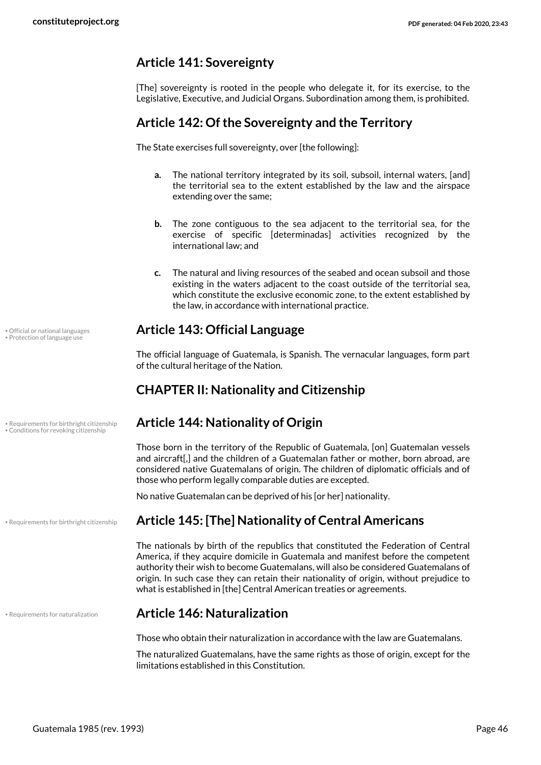### **Article 141: Sovereignty**

[The] sovereignty is rooted in the people who delegate it, for its exercise, to the Legislative, Executive, and Judicial Organs. Subordination among them, is prohibited.

### **Article 142: Of the Sovereignty and the Territory**

The State exercises full sovereignty, over [the following]:

- **a.** The national territory integrated by its soil, subsoil, internal waters, [and] the territorial sea to the extent established by the law and the airspace extending over the same;
- **b.** The zone contiguous to the sea adjacent to the territorial sea, for the exercise of specific [determinadas] activities recognized by the international law; and
- **c.** The natural and living resources of the seabed and ocean subsoil and those existing in the waters adjacent to the coast outside of the territorial sea, which constitute the exclusive economic zone, to the extent established by the law, in accordance with international practice.

#### • Official or national languages **Article 143: Official Language**

The official language of Guatemala, is Spanish. The vernacular languages, form part of the cultural heritage of the Nation.

### **CHAPTER II: Nationality and Citizenship**

#### • Requirements for birthright citizenship **Article 144: Nationality of Origin**

Those born in the territory of the Republic of Guatemala, [on] Guatemalan vessels and aircraft[,] and the children of a Guatemalan father or mother, born abroad, are considered native Guatemalans of origin. The children of diplomatic officials and of those who perform legally comparable duties are excepted.

No native Guatemalan can be deprived of his [or her] nationality.

#### • Requirements for birthright citizenship **Article 145: [The] Nationality of Central Americans**

The nationals by birth of the republics that constituted the Federation of Central America, if they acquire domicile in Guatemala and manifest before the competent authority their wish to become Guatemalans, will also be considered Guatemalans of origin. In such case they can retain their nationality of origin, without prejudice to what is established in [the] Central American treaties or agreements.

#### • Requirements for naturalization **Article 146: Naturalization**

Those who obtain their naturalization in accordance with the law are Guatemalans.

The naturalized Guatemalans, have the same rights as those of origin, except for the limitations established in this Constitution.

• Protection of language use

• Conditions for revoking citizenship

Guatemala 1985 (rev. 1993) Page 46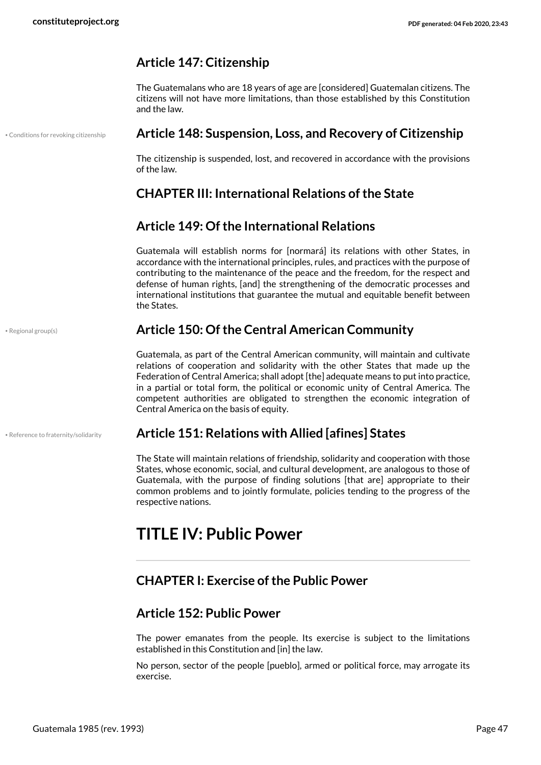#### **Article 147: Citizenship**

The Guatemalans who are 18 years of age are [considered] Guatemalan citizens. The citizens will not have more limitations, than those established by this Constitution and the law.

#### • Conditions for revoking citizenship **Article 148: Suspension, Loss, and Recovery of Citizenship**

The citizenship is suspended, lost, and recovered in accordance with the provisions of the law.

#### **CHAPTER III: International Relations of the State**

#### **Article 149: Of the International Relations**

Guatemala will establish norms for [normará] its relations with other States, in accordance with the international principles, rules, and practices with the purpose of contributing to the maintenance of the peace and the freedom, for the respect and defense of human rights, [and] the strengthening of the democratic processes and international institutions that guarantee the mutual and equitable benefit between the States.

#### • Regional group(s) **Article 150: Of the Central American Community**

Guatemala, as part of the Central American community, will maintain and cultivate relations of cooperation and solidarity with the other States that made up the Federation of Central America; shall adopt [the] adequate means to put into practice, in a partial or total form, the political or economic unity of Central America. The competent authorities are obligated to strengthen the economic integration of Central America on the basis of equity.

#### • Reference to fraternity/solidarity **Article 151: Relations with Allied [afines] States**

The State will maintain relations of friendship, solidarity and cooperation with those States, whose economic, social, and cultural development, are analogous to those of Guatemala, with the purpose of finding solutions [that are] appropriate to their common problems and to jointly formulate, policies tending to the progress of the respective nations.

## **TITLE IV: Public Power**

#### **CHAPTER I: Exercise of the Public Power**

#### **Article 152: Public Power**

The power emanates from the people. Its exercise is subject to the limitations established in this Constitution and [in] the law.

No person, sector of the people [pueblo], armed or political force, may arrogate its exercise.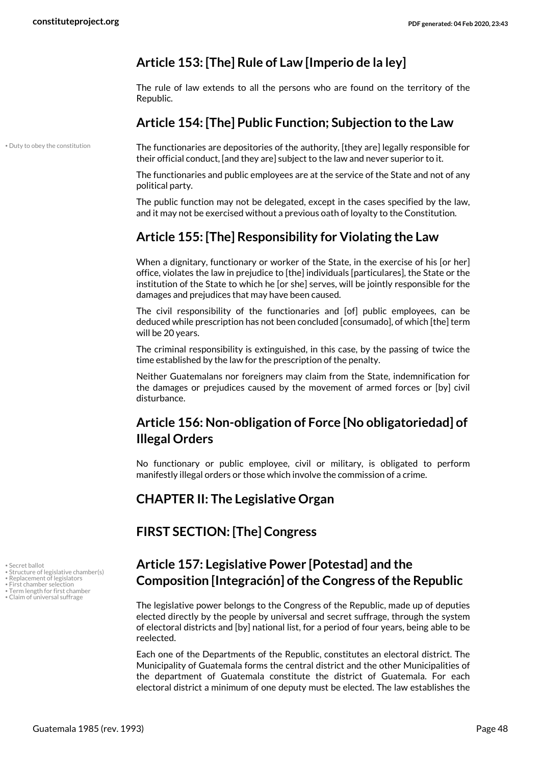### **Article 153: [The] Rule of Law [Imperio de la ley]**

The rule of law extends to all the persons who are found on the territory of the Republic.

#### **Article 154: [The] Public Function; Subjection to the Law**

• Duty to obey the constitution

The functionaries are depositories of the authority, [they are] legally responsible for their official conduct, [and they are] subject to the law and never superior to it.

The functionaries and public employees are at the service of the State and not of any political party.

The public function may not be delegated, except in the cases specified by the law, and it may not be exercised without a previous oath of loyalty to the Constitution.

### **Article 155: [The] Responsibility for Violating the Law**

When a dignitary, functionary or worker of the State, in the exercise of his [or her] office, violates the law in prejudice to [the] individuals [particulares], the State or the institution of the State to which he [or she] serves, will be jointly responsible for the damages and prejudices that may have been caused.

The civil responsibility of the functionaries and [of] public employees, can be deduced while prescription has not been concluded [consumado], of which [the] term will be 20 years.

The criminal responsibility is extinguished, in this case, by the passing of twice the time established by the law for the prescription of the penalty.

Neither Guatemalans nor foreigners may claim from the State, indemnification for the damages or prejudices caused by the movement of armed forces or [by] civil disturbance.

### **Article 156: Non-obligation of Force [No obligatoriedad] of Illegal Orders**

No functionary or public employee, civil or military, is obligated to perform manifestly illegal orders or those which involve the commission of a crime.

### **CHAPTER II: The Legislative Organ**

### **FIRST SECTION: [The] Congress**

### **Article 157: Legislative Power [Potestad] and the Composition [Integración] of the Congress of the Republic**

The legislative power belongs to the Congress of the Republic, made up of deputies elected directly by the people by universal and secret suffrage, through the system of electoral districts and [by] national list, for a period of four years, being able to be reelected.

Each one of the Departments of the Republic, constitutes an electoral district. The Municipality of Guatemala forms the central district and the other Municipalities of the department of Guatemala constitute the district of Guatemala. For each electoral district a minimum of one deputy must be elected. The law establishes the

• Secret ballot

- 
- Structure of legislative chamber(s) Replacement of legislators
- First chamber selection
- erm length for first chamber • Claim of universal suffrage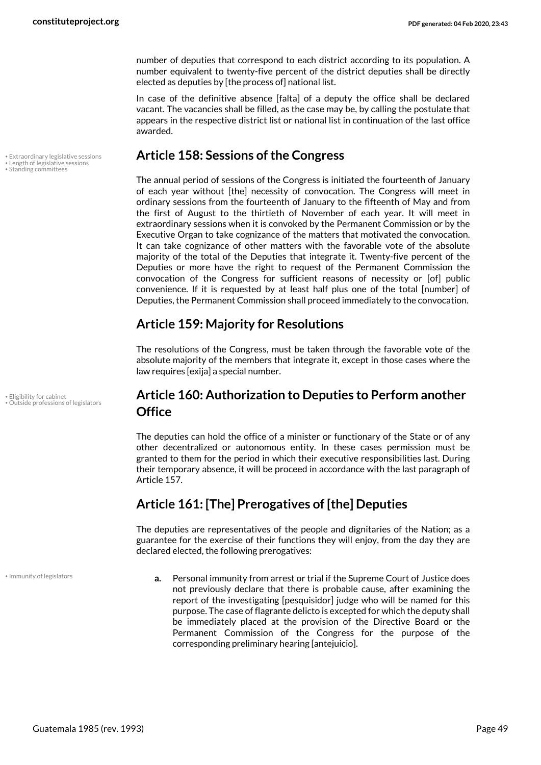• Length of legislative sessions • Standing committees

number of deputies that correspond to each district according to its population. A number equivalent to twenty-five percent of the district deputies shall be directly elected as deputies by [the process of] national list.

In case of the definitive absence [falta] of a deputy the office shall be declared vacant. The vacancies shall be filled, as the case may be, by calling the postulate that appears in the respective district list or national list in continuation of the last office awarded.

#### • Extraordinary legislative sessions **Article 158: Sessions of the Congress**

The annual period of sessions of the Congress is initiated the fourteenth of January of each year without [the] necessity of convocation. The Congress will meet in ordinary sessions from the fourteenth of January to the fifteenth of May and from the first of August to the thirtieth of November of each year. It will meet in extraordinary sessions when it is convoked by the Permanent Commission or by the Executive Organ to take cognizance of the matters that motivated the convocation. It can take cognizance of other matters with the favorable vote of the absolute majority of the total of the Deputies that integrate it. Twenty-five percent of the Deputies or more have the right to request of the Permanent Commission the convocation of the Congress for sufficient reasons of necessity or [of] public convenience. If it is requested by at least half plus one of the total [number] of Deputies, the Permanent Commission shall proceed immediately to the convocation.

#### **Article 159: Majority for Resolutions**

The resolutions of the Congress, must be taken through the favorable vote of the absolute majority of the members that integrate it, except in those cases where the law requires [exija] a special number.

#### **Article 160: Authorization to Deputies to Perform another Office**

The deputies can hold the office of a minister or functionary of the State or of any other decentralized or autonomous entity. In these cases permission must be granted to them for the period in which their executive responsibilities last. During their temporary absence, it will be proceed in accordance with the last paragraph of Article 157.

### **Article 161: [The] Prerogatives of [the] Deputies**

The deputies are representatives of the people and dignitaries of the Nation; as a guarantee for the exercise of their functions they will enjoy, from the day they are declared elected, the following prerogatives:

• Immunity of legislators

• Eligibility for cabinet

• Outside professions of legislators

**a.** Personal immunity from arrest or trial if the Supreme Court of Justice does not previously declare that there is probable cause, after examining the report of the investigating [pesquisidor] judge who will be named for this purpose. The case of flagrante delicto is excepted for which the deputy shall be immediately placed at the provision of the Directive Board or the Permanent Commission of the Congress for the purpose of the corresponding preliminary hearing [antejuicio].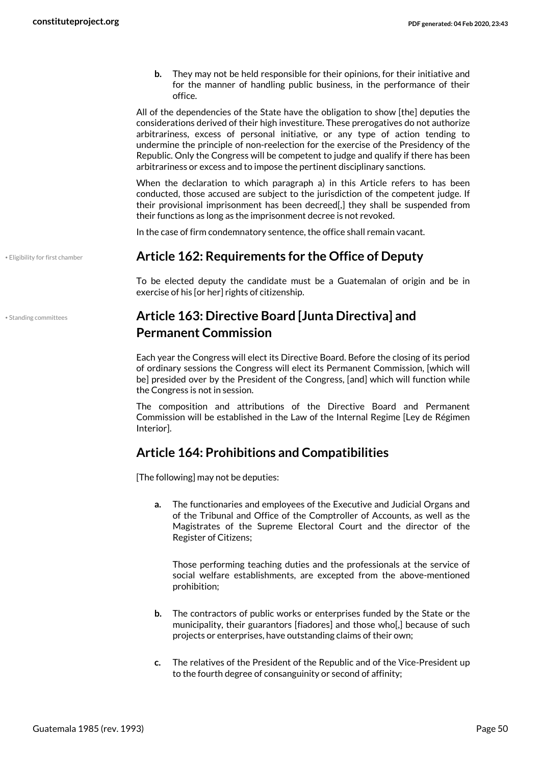**b.** They may not be held responsible for their opinions, for their initiative and for the manner of handling public business, in the performance of their office.

All of the dependencies of the State have the obligation to show [the] deputies the considerations derived of their high investiture. These prerogatives do not authorize arbitrariness, excess of personal initiative, or any type of action tending to undermine the principle of non-reelection for the exercise of the Presidency of the Republic. Only the Congress will be competent to judge and qualify if there has been arbitrariness or excess and to impose the pertinent disciplinary sanctions.

When the declaration to which paragraph a) in this Article refers to has been conducted, those accused are subject to the jurisdiction of the competent judge. If their provisional imprisonment has been decreed[,] they shall be suspended from their functions as long as the imprisonment decree is not revoked.

In the case of firm condemnatory sentence, the office shall remain vacant.

• Standing committees

#### • Eligibility for first chamber **Article 162: Requirements for the Office of Deputy**

To be elected deputy the candidate must be a Guatemalan of origin and be in exercise of his [or her] rights of citizenship.

#### **Article 163: Directive Board [Junta Directiva] and Permanent Commission**

Each year the Congress will elect its Directive Board. Before the closing of its period of ordinary sessions the Congress will elect its Permanent Commission, [which will be] presided over by the President of the Congress, [and] which will function while the Congress is not in session.

The composition and attributions of the Directive Board and Permanent Commission will be established in the Law of the Internal Regime [Ley de Régimen Interior].

### **Article 164: Prohibitions and Compatibilities**

[The following] may not be deputies:

**a.** The functionaries and employees of the Executive and Judicial Organs and of the Tribunal and Office of the Comptroller of Accounts, as well as the Magistrates of the Supreme Electoral Court and the director of the Register of Citizens;

Those performing teaching duties and the professionals at the service of social welfare establishments, are excepted from the above-mentioned prohibition;

- **b.** The contractors of public works or enterprises funded by the State or the municipality, their guarantors [fiadores] and those who[,] because of such projects or enterprises, have outstanding claims of their own;
- **c.** The relatives of the President of the Republic and of the Vice-President up to the fourth degree of consanguinity or second of affinity;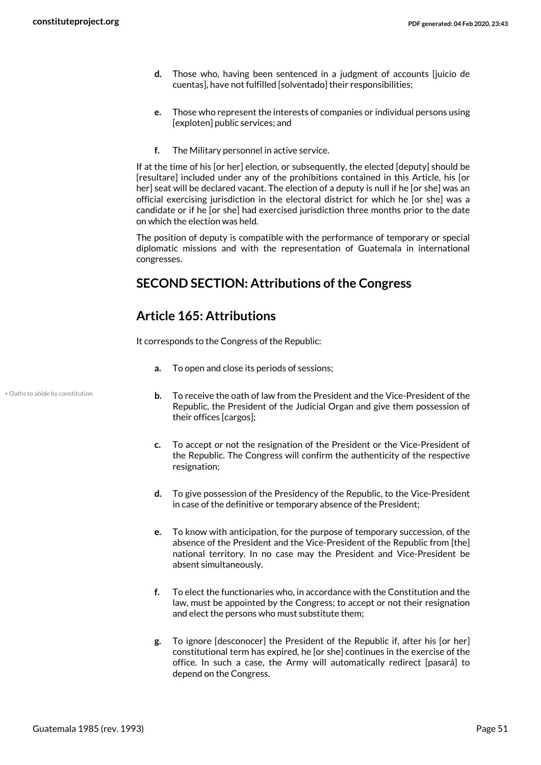- **d.** Those who, having been sentenced in a judgment of accounts [juicio de cuentas], have not fulfilled [solventado] their responsibilities;
- **e.** Those who represent the interests of companies or individual persons using [exploten] public services; and
- **f.** The Military personnel in active service.

If at the time of his [or her] election, or subsequently, the elected [deputy] should be [resultare] included under any of the prohibitions contained in this Article, his [or her] seat will be declared vacant. The election of a deputy is null if he [or she] was an official exercising jurisdiction in the electoral district for which he [or she] was a candidate or if he [or she] had exercised jurisdiction three months prior to the date on which the election was held.

The position of deputy is compatible with the performance of temporary or special diplomatic missions and with the representation of Guatemala in international congresses.

#### **SECOND SECTION: Attributions of the Congress**

#### **Article 165: Attributions**

It corresponds to the Congress of the Republic:

- **a.** To open and close its periods of sessions;
- Oaths to abide by constitution
- **b.** To receive the oath of law from the President and the Vice-President of the Republic, the President of the Judicial Organ and give them possession of their offices [cargos];
- **c.** To accept or not the resignation of the President or the Vice-President of the Republic. The Congress will confirm the authenticity of the respective resignation;
- **d.** To give possession of the Presidency of the Republic, to the Vice-President in case of the definitive or temporary absence of the President;
- **e.** To know with anticipation, for the purpose of temporary succession, of the absence of the President and the Vice-President of the Republic from [the] national territory. In no case may the President and Vice-President be absent simultaneously.
- **f.** To elect the functionaries who, in accordance with the Constitution and the law, must be appointed by the Congress; to accept or not their resignation and elect the persons who must substitute them;
- **g.** To ignore [desconocer] the President of the Republic if, after his [or her] constitutional term has expired, he [or she] continues in the exercise of the office. In such a case, the Army will automatically redirect [pasará] to depend on the Congress.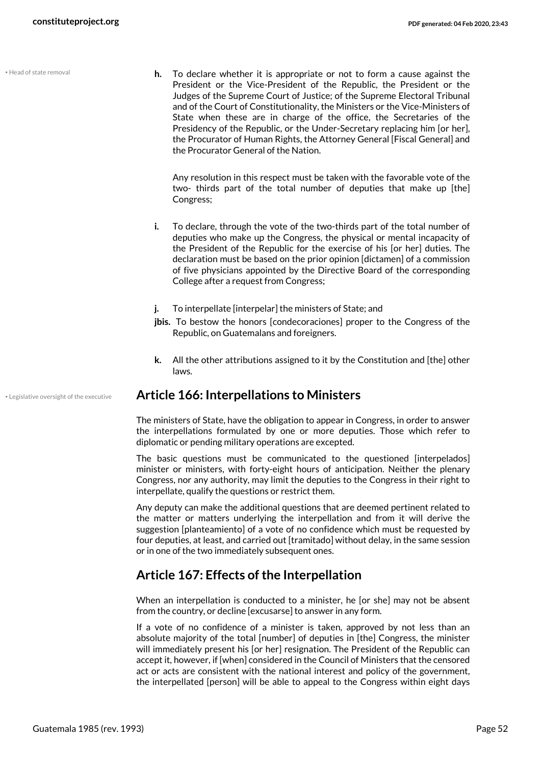• Head of state removal

**h.** To declare whether it is appropriate or not to form a cause against the President or the Vice-President of the Republic, the President or the Judges of the Supreme Court of Justice; of the Supreme Electoral Tribunal and of the Court of Constitutionality, the Ministers or the Vice-Ministers of State when these are in charge of the office, the Secretaries of the Presidency of the Republic, or the Under-Secretary replacing him [or her], the Procurator of Human Rights, the Attorney General [Fiscal General] and the Procurator General of the Nation.

Any resolution in this respect must be taken with the favorable vote of the two- thirds part of the total number of deputies that make up [the] Congress;

- **i.** To declare, through the vote of the two-thirds part of the total number of deputies who make up the Congress, the physical or mental incapacity of the President of the Republic for the exercise of his [or her] duties. The declaration must be based on the prior opinion [dictamen] of a commission of five physicians appointed by the Directive Board of the corresponding College after a request from Congress;
- **j.** To interpellate [interpelar] the ministers of State; and
- **jbis.** To bestow the honors [condecoraciones] proper to the Congress of the Republic, on Guatemalans and foreigners.
- **k.** All the other attributions assigned to it by the Constitution and [the] other laws.

#### • Legislative oversight of the executive **Article 166: Interpellations to Ministers**

The ministers of State, have the obligation to appear in Congress, in order to answer the interpellations formulated by one or more deputies. Those which refer to diplomatic or pending military operations are excepted.

The basic questions must be communicated to the questioned [interpelados] minister or ministers, with forty-eight hours of anticipation. Neither the plenary Congress, nor any authority, may limit the deputies to the Congress in their right to interpellate, qualify the questions or restrict them.

Any deputy can make the additional questions that are deemed pertinent related to the matter or matters underlying the interpellation and from it will derive the suggestion [planteamiento] of a vote of no confidence which must be requested by four deputies, at least, and carried out [tramitado] without delay, in the same session or in one of the two immediately subsequent ones.

#### **Article 167: Effects of the Interpellation**

When an interpellation is conducted to a minister, he [or she] may not be absent from the country, or decline [excusarse] to answer in any form.

If a vote of no confidence of a minister is taken, approved by not less than an absolute majority of the total [number] of deputies in [the] Congress, the minister will immediately present his [or her] resignation. The President of the Republic can accept it, however, if [when] considered in the Council of Ministers that the censored act or acts are consistent with the national interest and policy of the government, the interpellated [person] will be able to appeal to the Congress within eight days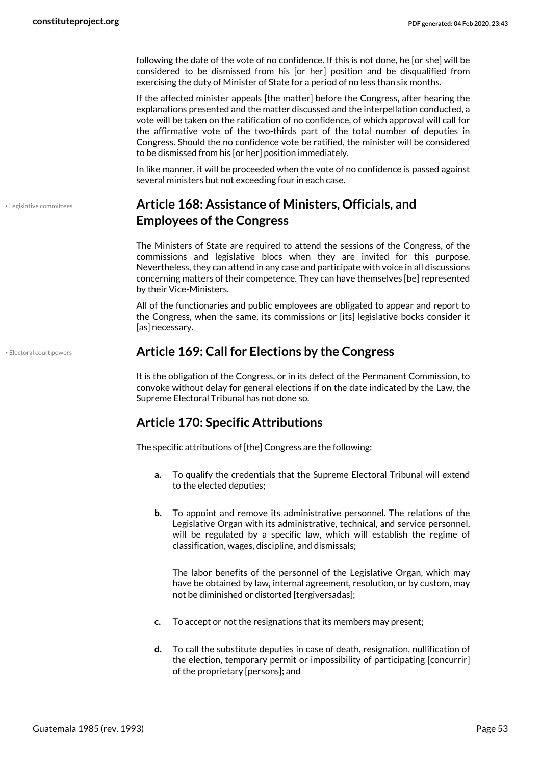following the date of the vote of no confidence. If this is not done, he [or she] will be considered to be dismissed from his [or her] position and be disqualified from exercising the duty of Minister of State for a period of no less than six months.

If the affected minister appeals [the matter] before the Congress, after hearing the explanations presented and the matter discussed and the interpellation conducted, a vote will be taken on the ratification of no confidence, of which approval will call for the affirmative vote of the two-thirds part of the total number of deputies in Congress. Should the no confidence vote be ratified, the minister will be considered to be dismissed from his [or her] position immediately.

In like manner, it will be proceeded when the vote of no confidence is passed against several ministers but not exceeding four in each case.

• Legislative committees

### **Article 168: Assistance of Ministers, Officials, and Employees of the Congress**

The Ministers of State are required to attend the sessions of the Congress, of the commissions and legislative blocs when they are invited for this purpose. Nevertheless, they can attend in any case and participate with voice in all discussions concerning matters of their competence. They can have themselves [be] represented by their Vice-Ministers.

All of the functionaries and public employees are obligated to appear and report to the Congress, when the same, its commissions or [its] legislative bocks consider it [as] necessary.

#### • Electoral court powers **Article 169: Call for Elections by the Congress**

It is the obligation of the Congress, or in its defect of the Permanent Commission, to convoke without delay for general elections if on the date indicated by the Law, the Supreme Electoral Tribunal has not done so.

#### **Article 170: Specific Attributions**

The specific attributions of [the] Congress are the following:

- **a.** To qualify the credentials that the Supreme Electoral Tribunal will extend to the elected deputies;
- **b.** To appoint and remove its administrative personnel. The relations of the Legislative Organ with its administrative, technical, and service personnel, will be regulated by a specific law, which will establish the regime of classification, wages, discipline, and dismissals;

The labor benefits of the personnel of the Legislative Organ, which may have be obtained by law, internal agreement, resolution, or by custom, may not be diminished or distorted [tergiversadas];

- **c.** To accept or not the resignations that its members may present;
- **d.** To call the substitute deputies in case of death, resignation, nullification of the election, temporary permit or impossibility of participating [concurrir] of the proprietary [persons]; and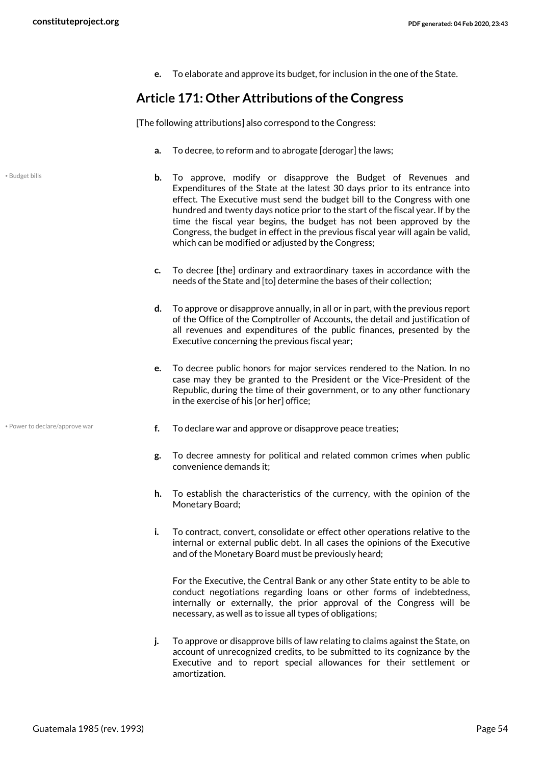**e.** To elaborate and approve its budget, for inclusion in the one of the State.

#### **Article 171: Other Attributions of the Congress**

[The following attributions] also correspond to the Congress:

- **a.** To decree, to reform and to abrogate [derogar] the laws;
- **b.** To approve, modify or disapprove the Budget of Revenues and Expenditures of the State at the latest 30 days prior to its entrance into effect. The Executive must send the budget bill to the Congress with one hundred and twenty days notice prior to the start of the fiscal year. If by the time the fiscal year begins, the budget has not been approved by the Congress, the budget in effect in the previous fiscal year will again be valid, which can be modified or adjusted by the Congress;
- **c.** To decree [the] ordinary and extraordinary taxes in accordance with the needs of the State and [to] determine the bases of their collection;
- **d.** To approve or disapprove annually, in all or in part, with the previous report of the Office of the Comptroller of Accounts, the detail and justification of all revenues and expenditures of the public finances, presented by the Executive concerning the previous fiscal year;
- **e.** To decree public honors for major services rendered to the Nation. In no case may they be granted to the President or the Vice-President of the Republic, during the time of their government, or to any other functionary in the exercise of his [or her] office;
- **.** Power to declare/approve war **f.** To declare war and approve or disapprove peace treaties;
	- **g.** To decree amnesty for political and related common crimes when public convenience demands it;
	- **h.** To establish the characteristics of the currency, with the opinion of the Monetary Board;
	- **i.** To contract, convert, consolidate or effect other operations relative to the internal or external public debt. In all cases the opinions of the Executive and of the Monetary Board must be previously heard;

For the Executive, the Central Bank or any other State entity to be able to conduct negotiations regarding loans or other forms of indebtedness, internally or externally, the prior approval of the Congress will be necessary, as well as to issue all types of obligations;

**j.** To approve or disapprove bills of law relating to claims against the State, on account of unrecognized credits, to be submitted to its cognizance by the Executive and to report special allowances for their settlement or amortization.

• Budget bills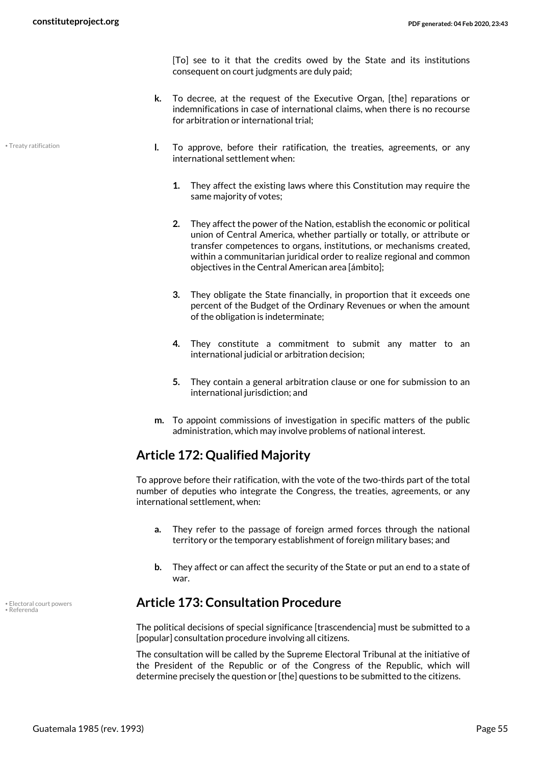[To] see to it that the credits owed by the State and its institutions consequent on court judgments are duly paid;

- **k.** To decree, at the request of the Executive Organ, [the] reparations or indemnifications in case of international claims, when there is no recourse for arbitration or international trial;
- **l.** To approve, before their ratification, the treaties, agreements, or any international settlement when:
	- **1.** They affect the existing laws where this Constitution may require the same majority of votes;
	- **2.** They affect the power of the Nation, establish the economic or political union of Central America, whether partially or totally, or attribute or transfer competences to organs, institutions, or mechanisms created, within a communitarian juridical order to realize regional and common objectives in the Central American area [ámbito];
	- **3.** They obligate the State financially, in proportion that it exceeds one percent of the Budget of the Ordinary Revenues or when the amount of the obligation is indeterminate;
	- **4.** They constitute a commitment to submit any matter to an international judicial or arbitration decision;
	- **5.** They contain a general arbitration clause or one for submission to an international jurisdiction; and
- **m.** To appoint commissions of investigation in specific matters of the public administration, which may involve problems of national interest.

### **Article 172: Qualified Majority**

To approve before their ratification, with the vote of the two-thirds part of the total number of deputies who integrate the Congress, the treaties, agreements, or any international settlement, when:

- **a.** They refer to the passage of foreign armed forces through the national territory or the temporary establishment of foreign military bases; and
- **b.** They affect or can affect the security of the State or put an end to a state of war.

#### • Electoral court powers **Article 173: Consultation Procedure**

The political decisions of special significance [trascendencia] must be submitted to a [popular] consultation procedure involving all citizens.

The consultation will be called by the Supreme Electoral Tribunal at the initiative of the President of the Republic or of the Congress of the Republic, which will determine precisely the question or [the] questions to be submitted to the citizens.

• Treaty ratification

• Referenda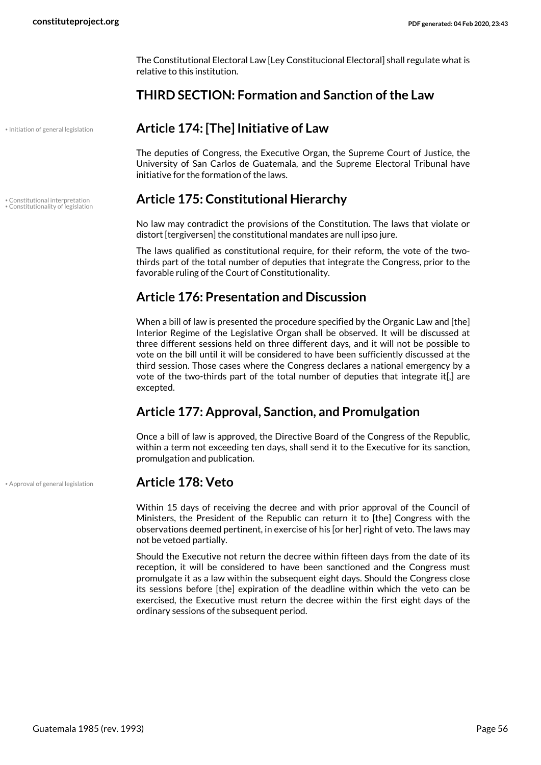The Constitutional Electoral Law [Ley Constitucional Electoral] shall regulate what is relative to this institution.

#### **THIRD SECTION: Formation and Sanction of the Law**

• Constitutionality of legislation

#### • Initiation of general legislation **Article 174: [The] Initiative of Law**

The deputies of Congress, the Executive Organ, the Supreme Court of Justice, the University of San Carlos de Guatemala, and the Supreme Electoral Tribunal have initiative for the formation of the laws.

#### • Constitutional interpretation **Article 175: Constitutional Hierarchy**

No law may contradict the provisions of the Constitution. The laws that violate or distort [tergiversen] the constitutional mandates are null ipso jure.

The laws qualified as constitutional require, for their reform, the vote of the twothirds part of the total number of deputies that integrate the Congress, prior to the favorable ruling of the Court of Constitutionality.

### **Article 176: Presentation and Discussion**

When a bill of law is presented the procedure specified by the Organic Law and [the] Interior Regime of the Legislative Organ shall be observed. It will be discussed at three different sessions held on three different days, and it will not be possible to vote on the bill until it will be considered to have been sufficiently discussed at the third session. Those cases where the Congress declares a national emergency by a vote of the two-thirds part of the total number of deputies that integrate it[,] are excepted.

### **Article 177: Approval, Sanction, and Promulgation**

Once a bill of law is approved, the Directive Board of the Congress of the Republic, within a term not exceeding ten days, shall send it to the Executive for its sanction, promulgation and publication.

### • Approval of general legislation **Article 178: Veto**

Within 15 days of receiving the decree and with prior approval of the Council of Ministers, the President of the Republic can return it to [the] Congress with the observations deemed pertinent, in exercise of his [or her] right of veto. The laws may not be vetoed partially.

Should the Executive not return the decree within fifteen days from the date of its reception, it will be considered to have been sanctioned and the Congress must promulgate it as a law within the subsequent eight days. Should the Congress close its sessions before [the] expiration of the deadline within which the veto can be exercised, the Executive must return the decree within the first eight days of the ordinary sessions of the subsequent period.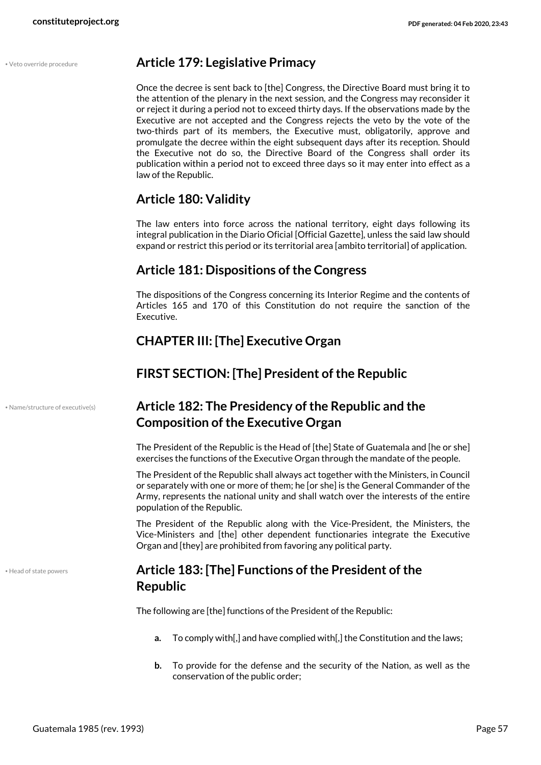#### • Veto override procedure **Article 179: Legislative Primacy**

Once the decree is sent back to [the] Congress, the Directive Board must bring it to the attention of the plenary in the next session, and the Congress may reconsider it or reject it during a period not to exceed thirty days. If the observations made by the Executive are not accepted and the Congress rejects the veto by the vote of the two-thirds part of its members, the Executive must, obligatorily, approve and promulgate the decree within the eight subsequent days after its reception. Should the Executive not do so, the Directive Board of the Congress shall order its publication within a period not to exceed three days so it may enter into effect as a law of the Republic.

#### **Article 180: Validity**

The law enters into force across the national territory, eight days following its integral publication in the Diario Oficial [Official Gazette], unless the said law should expand or restrict this period or its territorial area [ambito territorial] of application.

#### **Article 181: Dispositions of the Congress**

The dispositions of the Congress concerning its Interior Regime and the contents of Articles 165 and 170 of this Constitution do not require the sanction of the Executive.

#### **CHAPTER III: [The] Executive Organ**

**FIRST SECTION: [The] President of the Republic**

• Name/structure of executive(s)

### **Article 182: The Presidency of the Republic and the Composition of the Executive Organ**

The President of the Republic is the Head of [the] State of Guatemala and [he or she] exercises the functions of the Executive Organ through the mandate of the people.

The President of the Republic shall always act together with the Ministers, in Council or separately with one or more of them; he [or she] is the General Commander of the Army, represents the national unity and shall watch over the interests of the entire population of the Republic.

The President of the Republic along with the Vice-President, the Ministers, the Vice-Ministers and [the] other dependent functionaries integrate the Executive Organ and [they] are prohibited from favoring any political party.

• Head of state powers

### **Article 183: [The] Functions of the President of the Republic**

The following are [the] functions of the President of the Republic:

- **a.** To comply with[,] and have complied with[,] the Constitution and the laws;
- **b.** To provide for the defense and the security of the Nation, as well as the conservation of the public order;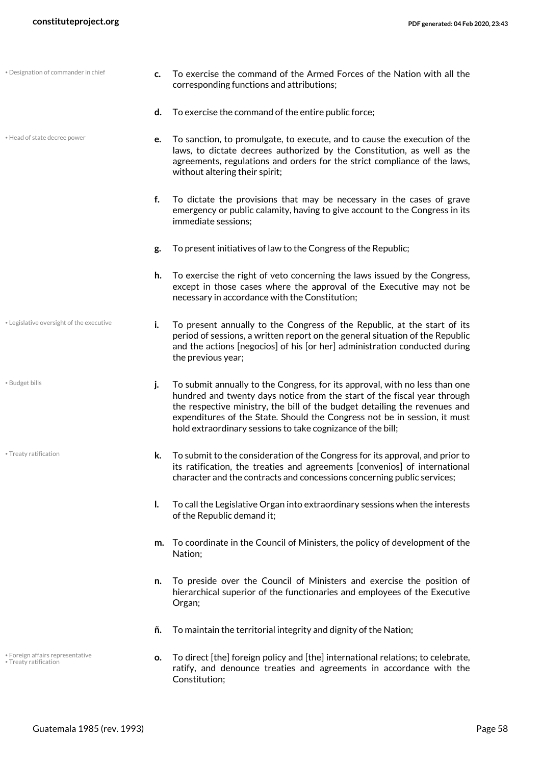| • Designation of commander in chief                       | c. | To exercise the command of the Armed Forces of the Nation with all the<br>corresponding functions and attributions;                                                                                                                                                                                                                                                               |  |
|-----------------------------------------------------------|----|-----------------------------------------------------------------------------------------------------------------------------------------------------------------------------------------------------------------------------------------------------------------------------------------------------------------------------------------------------------------------------------|--|
|                                                           | d. | To exercise the command of the entire public force;                                                                                                                                                                                                                                                                                                                               |  |
| · Head of state decree power                              | e. | To sanction, to promulgate, to execute, and to cause the execution of the<br>laws, to dictate decrees authorized by the Constitution, as well as the<br>agreements, regulations and orders for the strict compliance of the laws,<br>without altering their spirit;                                                                                                               |  |
|                                                           | f. | To dictate the provisions that may be necessary in the cases of grave<br>emergency or public calamity, having to give account to the Congress in its<br>immediate sessions;                                                                                                                                                                                                       |  |
|                                                           | g. | To present initiatives of law to the Congress of the Republic;                                                                                                                                                                                                                                                                                                                    |  |
|                                                           | h. | To exercise the right of veto concerning the laws issued by the Congress,<br>except in those cases where the approval of the Executive may not be<br>necessary in accordance with the Constitution;                                                                                                                                                                               |  |
| . Legislative oversight of the executive                  | i. | To present annually to the Congress of the Republic, at the start of its<br>period of sessions, a written report on the general situation of the Republic<br>and the actions [negocios] of his [or her] administration conducted during<br>the previous year;                                                                                                                     |  |
| • Budget bills                                            | j. | To submit annually to the Congress, for its approval, with no less than one<br>hundred and twenty days notice from the start of the fiscal year through<br>the respective ministry, the bill of the budget detailing the revenues and<br>expenditures of the State. Should the Congress not be in session, it must<br>hold extraordinary sessions to take cognizance of the bill; |  |
| · Treaty ratification                                     | k. | To submit to the consideration of the Congress for its approval, and prior to<br>its ratification, the treaties and agreements [convenios] of international<br>character and the contracts and concessions concerning public services;                                                                                                                                            |  |
|                                                           | I. | To call the Legislative Organ into extraordinary sessions when the interests<br>of the Republic demand it;                                                                                                                                                                                                                                                                        |  |
|                                                           | m. | To coordinate in the Council of Ministers, the policy of development of the<br>Nation;                                                                                                                                                                                                                                                                                            |  |
|                                                           | n. | To preside over the Council of Ministers and exercise the position of<br>hierarchical superior of the functionaries and employees of the Executive<br>Organ;                                                                                                                                                                                                                      |  |
|                                                           | ñ. | To maintain the territorial integrity and dignity of the Nation;                                                                                                                                                                                                                                                                                                                  |  |
| · Foreign affairs representative<br>• Treaty ratification | о. | To direct [the] foreign policy and [the] international relations; to celebrate,<br>ratify, and denounce treaties and agreements in accordance with the<br>Constitution;                                                                                                                                                                                                           |  |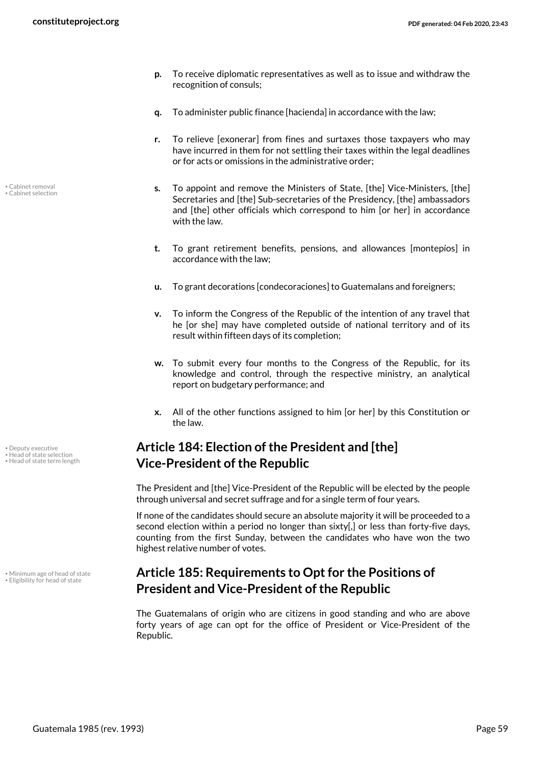- **p.** To receive diplomatic representatives as well as to issue and withdraw the recognition of consuls;
- **q.** To administer public finance [hacienda] in accordance with the law;
- **r.** To relieve [exonerar] from fines and surtaxes those taxpayers who may have incurred in them for not settling their taxes within the legal deadlines or for acts or omissions in the administrative order;
- **s.** To appoint and remove the Ministers of State, [the] Vice-Ministers, [the] Secretaries and [the] Sub-secretaries of the Presidency, [the] ambassadors and [the] other officials which correspond to him [or her] in accordance with the law.
- **t.** To grant retirement benefits, pensions, and allowances [montepíos] in accordance with the law;
- **u.** To grant decorations [condecoraciones] to Guatemalans and foreigners;
- **v.** To inform the Congress of the Republic of the intention of any travel that he [or she] may have completed outside of national territory and of its result within fifteen days of its completion;
- **w.** To submit every four months to the Congress of the Republic, for its knowledge and control, through the respective ministry, an analytical report on budgetary performance; and
- **x.** All of the other functions assigned to him [or her] by this Constitution or the law.

### **Article 184: Election of the President and [the] Vice-President of the Republic**

The President and [the] Vice-President of the Republic will be elected by the people through universal and secret suffrage and for a single term of four years.

If none of the candidates should secure an absolute majority it will be proceeded to a second election within a period no longer than sixty[,] or less than forty-five days, counting from the first Sunday, between the candidates who have won the two highest relative number of votes.

### **Article 185: Requirements to Opt for the Positions of President and Vice-President of the Republic**

The Guatemalans of origin who are citizens in good standing and who are above forty years of age can opt for the office of President or Vice-President of the Republic.

• Cabinet removal • Cabinet selection

• Deputy executive • Head of state selection

• Head of state term length

• Minimum age of head of state • Eligibility for head of state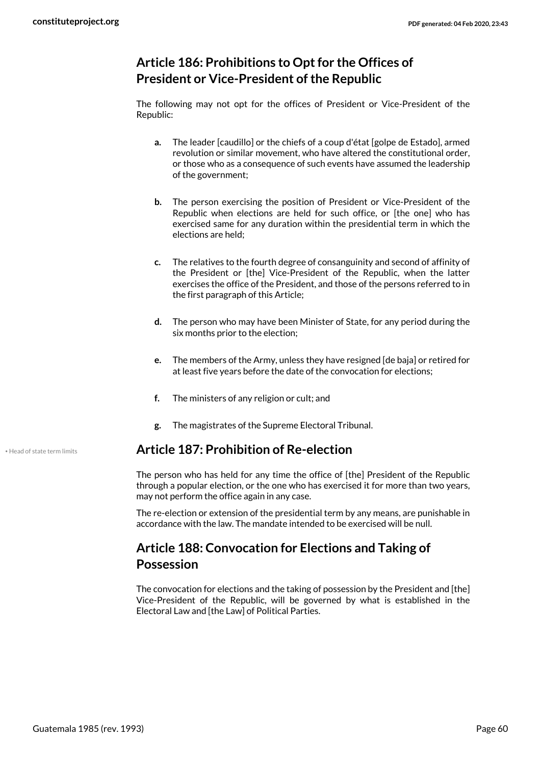### **Article 186: Prohibitions to Opt for the Offices of President or Vice-President of the Republic**

The following may not opt for the offices of President or Vice-President of the Republic:

- **a.** The leader [caudillo] or the chiefs of a coup d'état [golpe de Estado], armed revolution or similar movement, who have altered the constitutional order, or those who as a consequence of such events have assumed the leadership of the government;
- **b.** The person exercising the position of President or Vice-President of the Republic when elections are held for such office, or [the one] who has exercised same for any duration within the presidential term in which the elections are held;
- **c.** The relatives to the fourth degree of consanguinity and second of affinity of the President or [the] Vice-President of the Republic, when the latter exercises the office of the President, and those of the persons referred to in the first paragraph of this Article;
- **d.** The person who may have been Minister of State, for any period during the six months prior to the election;
- **e.** The members of the Army, unless they have resigned [de baja] or retired for at least five years before the date of the convocation for elections;
- **f.** The ministers of any religion or cult; and
- **g.** The magistrates of the Supreme Electoral Tribunal.

#### • Head of state term limits **Article 187: Prohibition of Re-election**

The person who has held for any time the office of [the] President of the Republic through a popular election, or the one who has exercised it for more than two years, may not perform the office again in any case.

The re-election or extension of the presidential term by any means, are punishable in accordance with the law. The mandate intended to be exercised will be null.

### **Article 188: Convocation for Elections and Taking of Possession**

The convocation for elections and the taking of possession by the President and [the] Vice-President of the Republic, will be governed by what is established in the Electoral Law and [the Law] of Political Parties.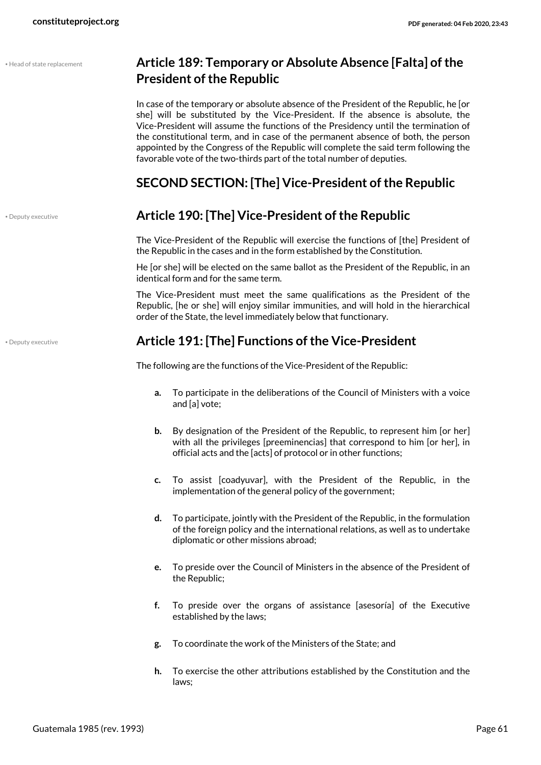|  |  | • Head of state replacement |  |
|--|--|-----------------------------|--|

### **Article 189: Temporary or Absolute Absence [Falta] of the President of the Republic**

In case of the temporary or absolute absence of the President of the Republic, he [or she] will be substituted by the Vice-President. If the absence is absolute, the Vice-President will assume the functions of the Presidency until the termination of the constitutional term, and in case of the permanent absence of both, the person appointed by the Congress of the Republic will complete the said term following the favorable vote of the two-thirds part of the total number of deputies.

#### **SECOND SECTION: [The] Vice-President of the Republic**

#### • Deputy executive **Article 190: [The] Vice-President of the Republic**

The Vice-President of the Republic will exercise the functions of [the] President of the Republic in the cases and in the form established by the Constitution.

He [or she] will be elected on the same ballot as the President of the Republic, in an identical form and for the same term.

The Vice-President must meet the same qualifications as the President of the Republic, [he or she] will enjoy similar immunities, and will hold in the hierarchical order of the State, the level immediately below that functionary.

#### • Deputy executive **Article 191: [The] Functions of the Vice-President**

The following are the functions of the Vice-President of the Republic:

- **a.** To participate in the deliberations of the Council of Ministers with a voice and [a] vote;
- **b.** By designation of the President of the Republic, to represent him [or her] with all the privileges [preeminencias] that correspond to him [or her], in official acts and the [acts] of protocol or in other functions;
- **c.** To assist [coadyuvar], with the President of the Republic, in the implementation of the general policy of the government;
- **d.** To participate, jointly with the President of the Republic, in the formulation of the foreign policy and the international relations, as well as to undertake diplomatic or other missions abroad;
- **e.** To preside over the Council of Ministers in the absence of the President of the Republic;
- **f.** To preside over the organs of assistance [asesoría] of the Executive established by the laws;
- **g.** To coordinate the work of the Ministers of the State; and
- **h.** To exercise the other attributions established by the Constitution and the laws;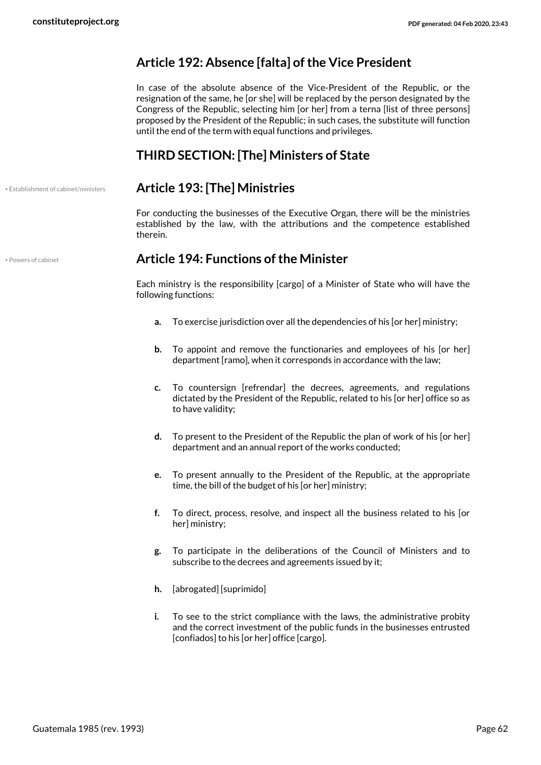### **Article 192: Absence [falta] of the Vice President**

In case of the absolute absence of the Vice-President of the Republic, or the resignation of the same, he [or she] will be replaced by the person designated by the Congress of the Republic, selecting him [or her] from a terna [list of three persons] proposed by the President of the Republic; in such cases, the substitute will function until the end of the term with equal functions and privileges.

### **THIRD SECTION: [The] Ministers of State**

#### • Establishment of cabinet/ministers **Article 193: [The] Ministries**

For conducting the businesses of the Executive Organ, there will be the ministries established by the law, with the attributions and the competence established therein.

#### • Powers of cabinet **Article 194: Functions of the Minister**

Each ministry is the responsibility [cargo] of a Minister of State who will have the following functions:

- **a.** To exercise jurisdiction over all the dependencies of his [or her] ministry;
- **b.** To appoint and remove the functionaries and employees of his [or her] department [ramo], when it corresponds in accordance with the law;
- **c.** To countersign [refrendar] the decrees, agreements, and regulations dictated by the President of the Republic, related to his [or her] office so as to have validity;
- **d.** To present to the President of the Republic the plan of work of his [or her] department and an annual report of the works conducted;
- **e.** To present annually to the President of the Republic, at the appropriate time, the bill of the budget of his [or her] ministry;
- **f.** To direct, process, resolve, and inspect all the business related to his [or her] ministry;
- **g.** To participate in the deliberations of the Council of Ministers and to subscribe to the decrees and agreements issued by it;
- **h.** [abrogated] [suprimido]
- **i.** To see to the strict compliance with the laws, the administrative probity and the correct investment of the public funds in the businesses entrusted [confiados] to his [or her] office [cargo].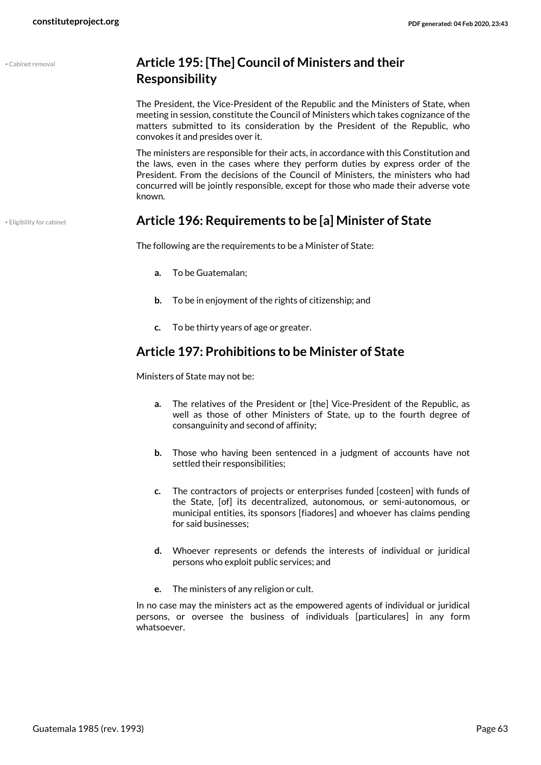• Cabinet removal

### **Article 195: [The] Council of Ministers and their Responsibility**

The President, the Vice-President of the Republic and the Ministers of State, when meeting in session, constitute the Council of Ministers which takes cognizance of the matters submitted to its consideration by the President of the Republic, who convokes it and presides over it.

The ministers are responsible for their acts, in accordance with this Constitution and the laws, even in the cases where they perform duties by express order of the President. From the decisions of the Council of Ministers, the ministers who had concurred will be jointly responsible, except for those who made their adverse vote known.

#### • Eligibility for cabinet **Article 196: Requirements to be [a] Minister of State**

The following are the requirements to be a Minister of State:

- **a.** To be Guatemalan;
- **b.** To be in enjoyment of the rights of citizenship; and
- **c.** To be thirty years of age or greater.

#### **Article 197: Prohibitions to be Minister of State**

Ministers of State may not be:

- **a.** The relatives of the President or [the] Vice-President of the Republic, as well as those of other Ministers of State, up to the fourth degree of consanguinity and second of affinity;
- **b.** Those who having been sentenced in a judgment of accounts have not settled their responsibilities;
- **c.** The contractors of projects or enterprises funded [costeen] with funds of the State, [of] its decentralized, autonomous, or semi-autonomous, or municipal entities, its sponsors [fiadores] and whoever has claims pending for said businesses;
- **d.** Whoever represents or defends the interests of individual or juridical persons who exploit public services; and
- **e.** The ministers of any religion or cult.

In no case may the ministers act as the empowered agents of individual or juridical persons, or oversee the business of individuals [particulares] in any form whatsoever.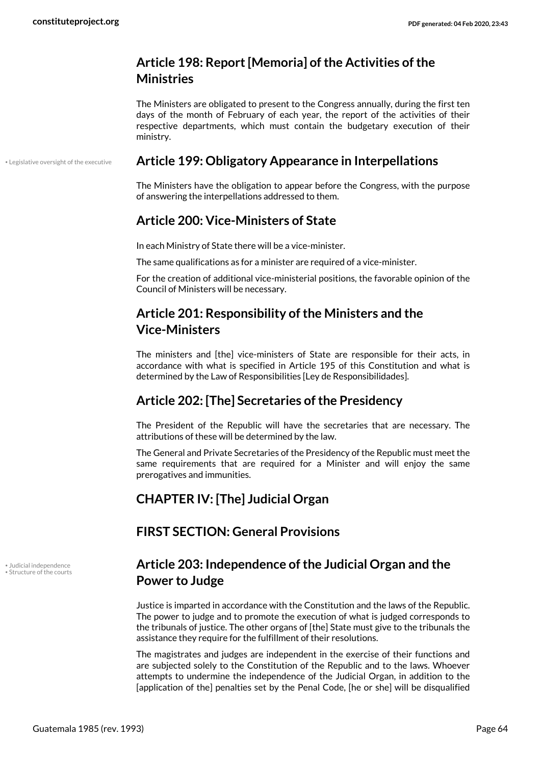### **Article 198: Report [Memoria] of the Activities of the Ministries**

The Ministers are obligated to present to the Congress annually, during the first ten days of the month of February of each year, the report of the activities of their respective departments, which must contain the budgetary execution of their ministry.

#### • Legislative oversight of the executive **Article 199: Obligatory Appearance in Interpellations**

The Ministers have the obligation to appear before the Congress, with the purpose of answering the interpellations addressed to them.

#### **Article 200: Vice-Ministers of State**

In each Ministry of State there will be a vice-minister.

The same qualifications as for a minister are required of a vice-minister.

For the creation of additional vice-ministerial positions, the favorable opinion of the Council of Ministers will be necessary.

### **Article 201: Responsibility of the Ministers and the Vice-Ministers**

The ministers and [the] vice-ministers of State are responsible for their acts, in accordance with what is specified in Article 195 of this Constitution and what is determined by the Law of Responsibilities [Ley de Responsibilidades].

### **Article 202: [The] Secretaries of the Presidency**

The President of the Republic will have the secretaries that are necessary. The attributions of these will be determined by the law.

The General and Private Secretaries of the Presidency of the Republic must meet the same requirements that are required for a Minister and will enjoy the same prerogatives and immunities.

### **CHAPTER IV: [The] Judicial Organ**

#### **FIRST SECTION: General Provisions**

### **Article 203: Independence of the Judicial Organ and the Power to Judge**

Justice is imparted in accordance with the Constitution and the laws of the Republic. The power to judge and to promote the execution of what is judged corresponds to the tribunals of justice. The other organs of [the] State must give to the tribunals the assistance they require for the fulfillment of their resolutions.

The magistrates and judges are independent in the exercise of their functions and are subjected solely to the Constitution of the Republic and to the laws. Whoever attempts to undermine the independence of the Judicial Organ, in addition to the [application of the] penalties set by the Penal Code, [he or she] will be disqualified

• Judicial independence • Structure of the courts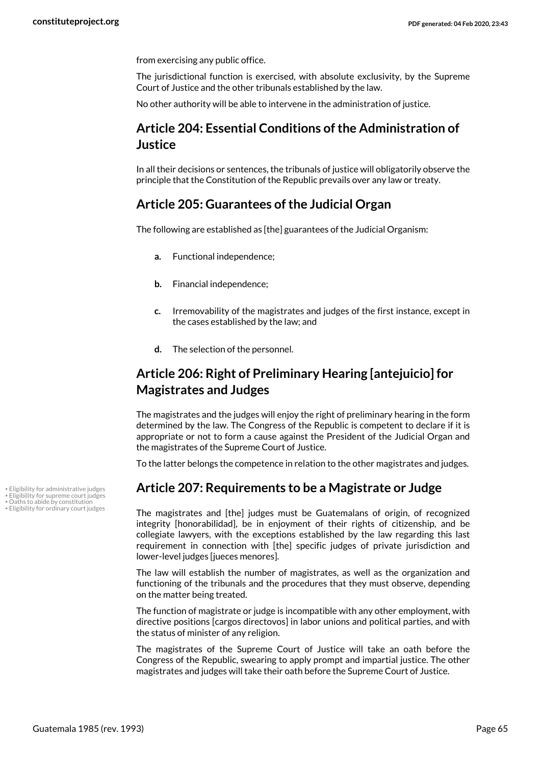from exercising any public office.

The jurisdictional function is exercised, with absolute exclusivity, by the Supreme Court of Justice and the other tribunals established by the law.

No other authority will be able to intervene in the administration of justice.

### **Article 204: Essential Conditions of the Administration of Justice**

In all their decisions or sentences, the tribunals of justice will obligatorily observe the principle that the Constitution of the Republic prevails over any law or treaty.

#### **Article 205: Guarantees of the Judicial Organ**

The following are established as [the] guarantees of the Judicial Organism:

- **a.** Functional independence;
- **b.** Financial independence;
- **c.** Irremovability of the magistrates and judges of the first instance, except in the cases established by the law; and
- **d.** The selection of the personnel.

### **Article 206: Right of Preliminary Hearing [antejuicio] for Magistrates and Judges**

The magistrates and the judges will enjoy the right of preliminary hearing in the form determined by the law. The Congress of the Republic is competent to declare if it is appropriate or not to form a cause against the President of the Judicial Organ and the magistrates of the Supreme Court of Justice.

To the latter belongs the competence in relation to the other magistrates and judges.

#### • Eligibility for administrative judges **Article 207: Requirements to be a Magistrate or Judge**

• Eligibility for ordinary court judges The magistrates and [the] judges must be Guatemalans of origin, of recognized integrity [honorabilidad], be in enjoyment of their rights of citizenship, and be collegiate lawyers, with the exceptions established by the law regarding this last requirement in connection with [the] specific judges of private jurisdiction and lower-level judges [jueces menores].

> The law will establish the number of magistrates, as well as the organization and functioning of the tribunals and the procedures that they must observe, depending on the matter being treated.

> The function of magistrate or judge is incompatible with any other employment, with directive positions [cargos directovos] in labor unions and political parties, and with the status of minister of any religion.

> The magistrates of the Supreme Court of Justice will take an oath before the Congress of the Republic, swearing to apply prompt and impartial justice. The other magistrates and judges will take their oath before the Supreme Court of Justice.

- Eligibility for supreme court judges Oaths to abide by constitution
-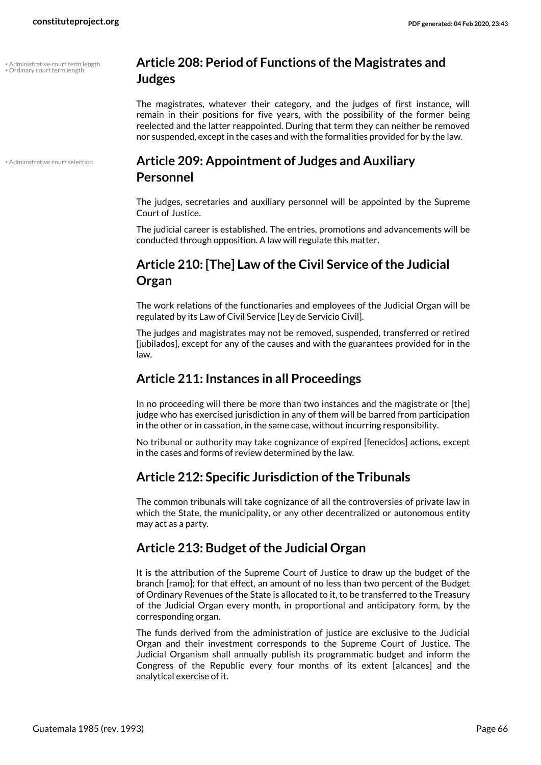• Administrative court term length • Ordinary court term length

#### **Article 208: Period of Functions of the Magistrates and Judges**

The magistrates, whatever their category, and the judges of first instance, will remain in their positions for five years, with the possibility of the former being reelected and the latter reappointed. During that term they can neither be removed nor suspended, except in the cases and with the formalities provided for by the law.

• Administrative court selection

### **Article 209: Appointment of Judges and Auxiliary Personnel**

The judges, secretaries and auxiliary personnel will be appointed by the Supreme Court of Justice.

The judicial career is established. The entries, promotions and advancements will be conducted through opposition. A law will regulate this matter.

### **Article 210: [The] Law of the Civil Service of the Judicial Organ**

The work relations of the functionaries and employees of the Judicial Organ will be regulated by its Law of Civil Service [Ley de Servicio Civil].

The judges and magistrates may not be removed, suspended, transferred or retired [jubilados], except for any of the causes and with the guarantees provided for in the law.

#### **Article 211: Instances in all Proceedings**

In no proceeding will there be more than two instances and the magistrate or [the] judge who has exercised jurisdiction in any of them will be barred from participation in the other or in cassation, in the same case, without incurring responsibility.

No tribunal or authority may take cognizance of expired [fenecidos] actions, except in the cases and forms of review determined by the law.

### **Article 212: Specific Jurisdiction of the Tribunals**

The common tribunals will take cognizance of all the controversies of private law in which the State, the municipality, or any other decentralized or autonomous entity may act as a party.

### **Article 213: Budget of the Judicial Organ**

It is the attribution of the Supreme Court of Justice to draw up the budget of the branch [ramo]; for that effect, an amount of no less than two percent of the Budget of Ordinary Revenues of the State is allocated to it, to be transferred to the Treasury of the Judicial Organ every month, in proportional and anticipatory form, by the corresponding organ.

The funds derived from the administration of justice are exclusive to the Judicial Organ and their investment corresponds to the Supreme Court of Justice. The Judicial Organism shall annually publish its programmatic budget and inform the Congress of the Republic every four months of its extent [alcances] and the analytical exercise of it.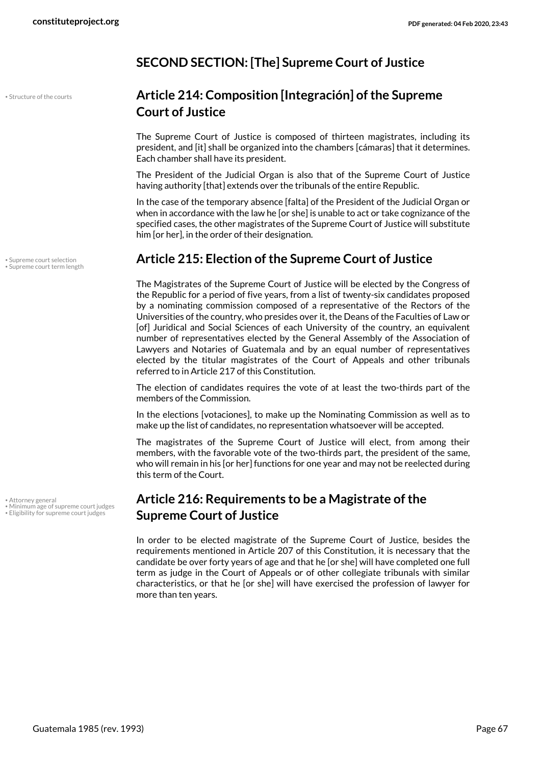#### **SECOND SECTION: [The] Supreme Court of Justice**

• Structure of the courts

• Supreme court term length

#### **Article 214: Composition [Integración] of the Supreme Court of Justice**

The Supreme Court of Justice is composed of thirteen magistrates, including its president, and [it] shall be organized into the chambers [cámaras] that it determines. Each chamber shall have its president.

The President of the Judicial Organ is also that of the Supreme Court of Justice having authority [that] extends over the tribunals of the entire Republic.

In the case of the temporary absence [falta] of the President of the Judicial Organ or when in accordance with the law he [or she] is unable to act or take cognizance of the specified cases, the other magistrates of the Supreme Court of Justice will substitute him [or her], in the order of their designation.

#### • Supreme court selection **Article 215: Election of the Supreme Court of Justice**

The Magistrates of the Supreme Court of Justice will be elected by the Congress of the Republic for a period of five years, from a list of twenty-six candidates proposed by a nominating commission composed of a representative of the Rectors of the Universities of the country, who presides over it, the Deans of the Faculties of Law or [of] Juridical and Social Sciences of each University of the country, an equivalent number of representatives elected by the General Assembly of the Association of Lawyers and Notaries of Guatemala and by an equal number of representatives elected by the titular magistrates of the Court of Appeals and other tribunals referred to in Article 217 of this Constitution.

The election of candidates requires the vote of at least the two-thirds part of the members of the Commission.

In the elections [votaciones], to make up the Nominating Commission as well as to make up the list of candidates, no representation whatsoever will be accepted.

The magistrates of the Supreme Court of Justice will elect, from among their members, with the favorable vote of the two-thirds part, the president of the same, who will remain in his [or her] functions for one year and may not be reelected during this term of the Court.

• Attorney general

#### • Minimum age of supreme court judges • Eligibility for supreme court judges

### **Article 216: Requirements to be a Magistrate of the Supreme Court of Justice**

In order to be elected magistrate of the Supreme Court of Justice, besides the requirements mentioned in Article 207 of this Constitution, it is necessary that the candidate be over forty years of age and that he [or she] will have completed one full term as judge in the Court of Appeals or of other collegiate tribunals with similar characteristics, or that he [or she] will have exercised the profession of lawyer for more than ten years.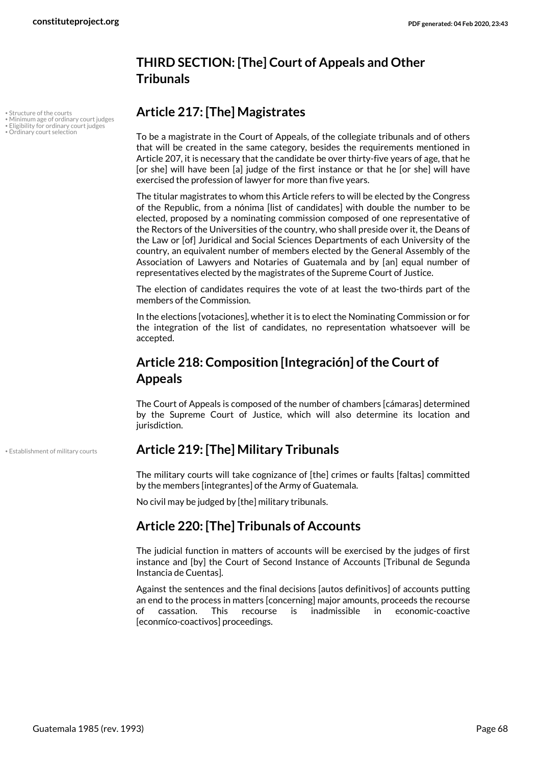• Minimum age of ordinary court judges • Eligibility for ordinary court judges

### **THIRD SECTION: [The] Court of Appeals and Other Tribunals**

### • Structure of the courts **Article 217: [The] Magistrates**

• Ordinary court selection To be a magistrate in the Court of Appeals, of the collegiate tribunals and of others that will be created in the same category, besides the requirements mentioned in Article 207, it is necessary that the candidate be over thirty-five years of age, that he [or she] will have been [a] judge of the first instance or that he [or she] will have exercised the profession of lawyer for more than five years.

> The titular magistrates to whom this Article refers to will be elected by the Congress of the Republic, from a nónima [list of candidates] with double the number to be elected, proposed by a nominating commission composed of one representative of the Rectors of the Universities of the country, who shall preside over it, the Deans of the Law or [of] Juridical and Social Sciences Departments of each University of the country, an equivalent number of members elected by the General Assembly of the Association of Lawyers and Notaries of Guatemala and by [an] equal number of representatives elected by the magistrates of the Supreme Court of Justice.

> The election of candidates requires the vote of at least the two-thirds part of the members of the Commission.

> In the elections [votaciones], whether it is to elect the Nominating Commission or for the integration of the list of candidates, no representation whatsoever will be accepted.

### **Article 218: Composition [Integración] of the Court of Appeals**

The Court of Appeals is composed of the number of chambers [cámaras] determined by the Supreme Court of Justice, which will also determine its location and jurisdiction.

#### • Establishment of military courts **Article 219: [The] Military Tribunals**

The military courts will take cognizance of [the] crimes or faults [faltas] committed by the members [integrantes] of the Army of Guatemala.

No civil may be judged by [the] military tribunals.

### **Article 220: [The] Tribunals of Accounts**

The judicial function in matters of accounts will be exercised by the judges of first instance and [by] the Court of Second Instance of Accounts [Tribunal de Segunda Instancia de Cuentas].

Against the sentences and the final decisions [autos definitivos] of accounts putting an end to the process in matters [concerning] major amounts, proceeds the recourse of cassation. This recourse is inadmissible in economic-coactive [econmíco-coactivos] proceedings.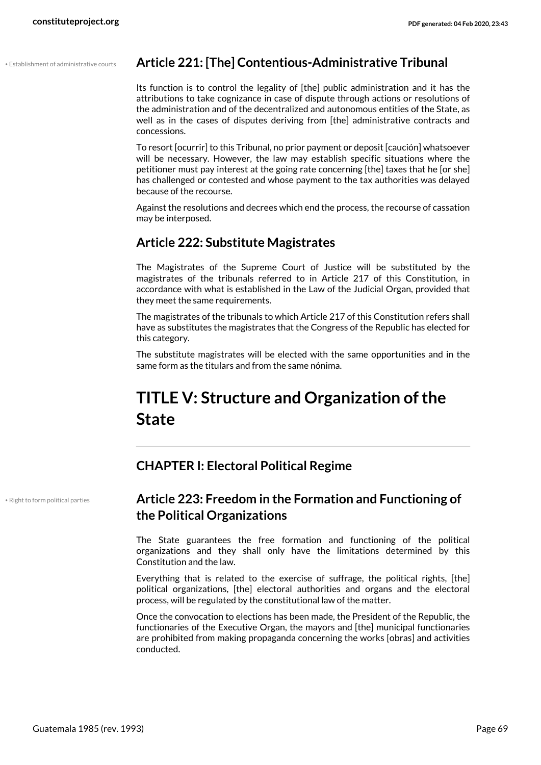#### • Establishment of administrative courts **Article 221: [The] Contentious-Administrative Tribunal**

Its function is to control the legality of [the] public administration and it has the attributions to take cognizance in case of dispute through actions or resolutions of the administration and of the decentralized and autonomous entities of the State, as well as in the cases of disputes deriving from [the] administrative contracts and concessions.

To resort [ocurrir] to this Tribunal, no prior payment or deposit [caución] whatsoever will be necessary. However, the law may establish specific situations where the petitioner must pay interest at the going rate concerning [the] taxes that he [or she] has challenged or contested and whose payment to the tax authorities was delayed because of the recourse.

Against the resolutions and decrees which end the process, the recourse of cassation may be interposed.

#### **Article 222: Substitute Magistrates**

The Magistrates of the Supreme Court of Justice will be substituted by the magistrates of the tribunals referred to in Article 217 of this Constitution, in accordance with what is established in the Law of the Judicial Organ, provided that they meet the same requirements.

The magistrates of the tribunals to which Article 217 of this Constitution refers shall have as substitutes the magistrates that the Congress of the Republic has elected for this category.

The substitute magistrates will be elected with the same opportunities and in the same form as the titulars and from the same nónima.

# **TITLE V: Structure and Organization of the State**

### **CHAPTER I: Electoral Political Regime**

• Right to form political parties

### **Article 223: Freedom in the Formation and Functioning of the Political Organizations**

The State guarantees the free formation and functioning of the political organizations and they shall only have the limitations determined by this Constitution and the law.

Everything that is related to the exercise of suffrage, the political rights, [the] political organizations, [the] electoral authorities and organs and the electoral process, will be regulated by the constitutional law of the matter.

Once the convocation to elections has been made, the President of the Republic, the functionaries of the Executive Organ, the mayors and [the] municipal functionaries are prohibited from making propaganda concerning the works [obras] and activities conducted.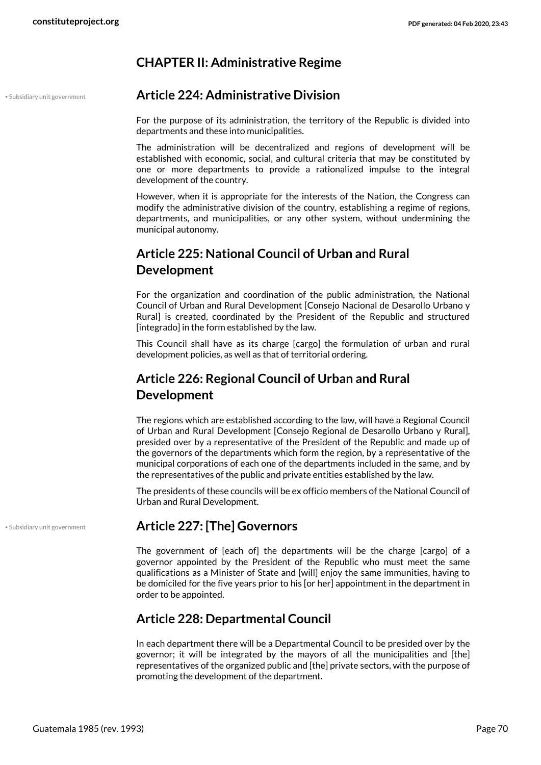#### **CHAPTER II: Administrative Regime**

#### • Subsidiary unit government **Article 224: Administrative Division**

For the purpose of its administration, the territory of the Republic is divided into departments and these into municipalities.

The administration will be decentralized and regions of development will be established with economic, social, and cultural criteria that may be constituted by one or more departments to provide a rationalized impulse to the integral development of the country.

However, when it is appropriate for the interests of the Nation, the Congress can modify the administrative division of the country, establishing a regime of regions, departments, and municipalities, or any other system, without undermining the municipal autonomy.

### **Article 225: National Council of Urban and Rural Development**

For the organization and coordination of the public administration, the National Council of Urban and Rural Development [Consejo Nacional de Desarollo Urbano y Rural] is created, coordinated by the President of the Republic and structured [integrado] in the form established by the law.

This Council shall have as its charge [cargo] the formulation of urban and rural development policies, as well as that of territorial ordering.

### **Article 226: Regional Council of Urban and Rural Development**

The regions which are established according to the law, will have a Regional Council of Urban and Rural Development [Consejo Regional de Desarollo Urbano y Rural], presided over by a representative of the President of the Republic and made up of the governors of the departments which form the region, by a representative of the municipal corporations of each one of the departments included in the same, and by the representatives of the public and private entities established by the law.

The presidents of these councils will be ex officio members of the National Council of Urban and Rural Development.

#### • Subsidiary unit government **Article 227: [The] Governors**

The government of [each of] the departments will be the charge [cargo] of a governor appointed by the President of the Republic who must meet the same qualifications as a Minister of State and [will] enjoy the same immunities, having to be domiciled for the five years prior to his [or her] appointment in the department in order to be appointed.

### **Article 228: Departmental Council**

In each department there will be a Departmental Council to be presided over by the governor; it will be integrated by the mayors of all the municipalities and [the] representatives of the organized public and [the] private sectors, with the purpose of promoting the development of the department.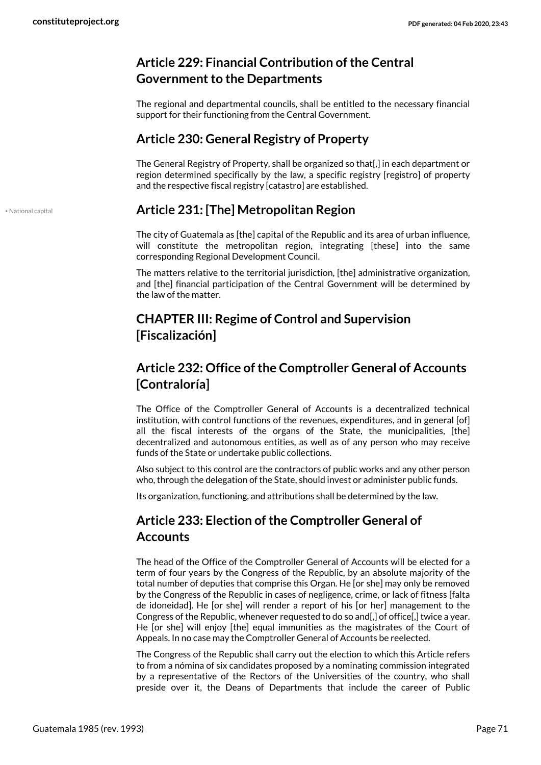### **Article 229: Financial Contribution of the Central Government to the Departments**

The regional and departmental councils, shall be entitled to the necessary financial support for their functioning from the Central Government.

### **Article 230: General Registry of Property**

The General Registry of Property, shall be organized so that[,] in each department or region determined specifically by the law, a specific registry [registro] of property and the respective fiscal registry [catastro] are established.

### • National capital **Article 231: [The] Metropolitan Region**

The city of Guatemala as [the] capital of the Republic and its area of urban influence, will constitute the metropolitan region, integrating [these] into the same corresponding Regional Development Council.

The matters relative to the territorial jurisdiction, [the] administrative organization, and [the] financial participation of the Central Government will be determined by the law of the matter.

### **CHAPTER III: Regime of Control and Supervision [Fiscalización]**

### **Article 232: Office of the Comptroller General of Accounts [Contraloría]**

The Office of the Comptroller General of Accounts is a decentralized technical institution, with control functions of the revenues, expenditures, and in general [of] all the fiscal interests of the organs of the State, the municipalities, [the] decentralized and autonomous entities, as well as of any person who may receive funds of the State or undertake public collections.

Also subject to this control are the contractors of public works and any other person who, through the delegation of the State, should invest or administer public funds.

Its organization, functioning, and attributions shall be determined by the law.

### **Article 233: Election of the Comptroller General of Accounts**

The head of the Office of the Comptroller General of Accounts will be elected for a term of four years by the Congress of the Republic, by an absolute majority of the total number of deputies that comprise this Organ. He [or she] may only be removed by the Congress of the Republic in cases of negligence, crime, or lack of fitness [falta de idoneidad]. He [or she] will render a report of his [or her] management to the Congress of the Republic, whenever requested to do so and[,] of office[,] twice a year. He [or she] will enjoy [the] equal immunities as the magistrates of the Court of Appeals. In no case may the Comptroller General of Accounts be reelected.

The Congress of the Republic shall carry out the election to which this Article refers to from a nómina of six candidates proposed by a nominating commission integrated by a representative of the Rectors of the Universities of the country, who shall preside over it, the Deans of Departments that include the career of Public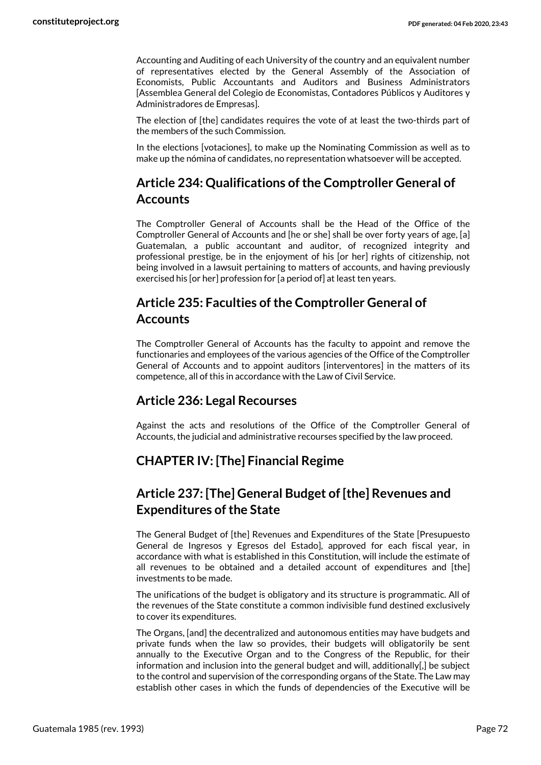Accounting and Auditing of each University of the country and an equivalent number of representatives elected by the General Assembly of the Association of Economists, Public Accountants and Auditors and Business Administrators [Assemblea General del Colegio de Economistas, Contadores Públicos y Auditores y Administradores de Empresas].

The election of [the] candidates requires the vote of at least the two-thirds part of the members of the such Commission.

In the elections [votaciones], to make up the Nominating Commission as well as to make up the nómina of candidates, no representation whatsoever will be accepted.

### **Article 234: Qualifications of the Comptroller General of Accounts**

The Comptroller General of Accounts shall be the Head of the Office of the Comptroller General of Accounts and [he or she] shall be over forty years of age, [a] Guatemalan, a public accountant and auditor, of recognized integrity and professional prestige, be in the enjoyment of his [or her] rights of citizenship, not being involved in a lawsuit pertaining to matters of accounts, and having previously exercised his [or her] profession for [a period of] at least ten years.

### **Article 235: Faculties of the Comptroller General of Accounts**

The Comptroller General of Accounts has the faculty to appoint and remove the functionaries and employees of the various agencies of the Office of the Comptroller General of Accounts and to appoint auditors [interventores] in the matters of its competence, all of this in accordance with the Law of Civil Service.

#### **Article 236: Legal Recourses**

Against the acts and resolutions of the Office of the Comptroller General of Accounts, the judicial and administrative recourses specified by the law proceed.

#### **CHAPTER IV: [The] Financial Regime**

### **Article 237: [The] General Budget of [the] Revenues and Expenditures of the State**

The General Budget of [the] Revenues and Expenditures of the State [Presupuesto General de Ingresos y Egresos del Estado], approved for each fiscal year, in accordance with what is established in this Constitution, will include the estimate of all revenues to be obtained and a detailed account of expenditures and [the] investments to be made.

The unifications of the budget is obligatory and its structure is programmatic. All of the revenues of the State constitute a common indivisible fund destined exclusively to cover its expenditures.

The Organs, [and] the decentralized and autonomous entities may have budgets and private funds when the law so provides, their budgets will obligatorily be sent annually to the Executive Organ and to the Congress of the Republic, for their information and inclusion into the general budget and will, additionally[,] be subject to the control and supervision of the corresponding organs of the State. The Law may establish other cases in which the funds of dependencies of the Executive will be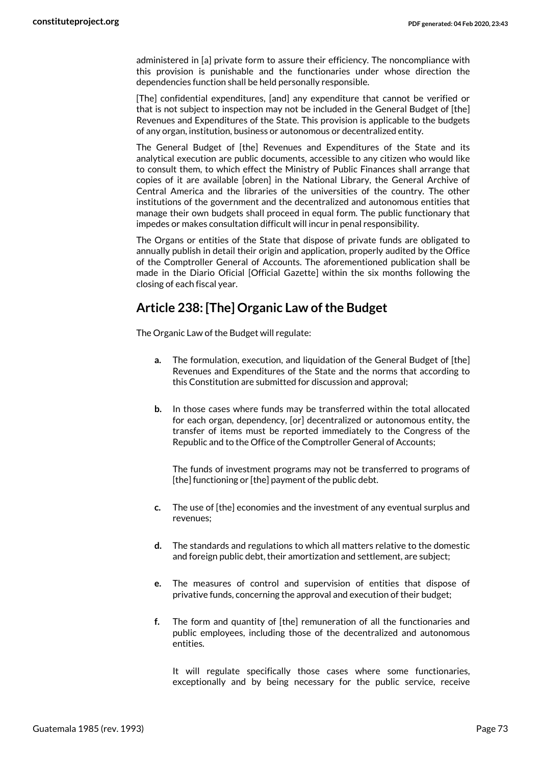administered in [a] private form to assure their efficiency. The noncompliance with this provision is punishable and the functionaries under whose direction the dependencies function shall be held personally responsible.

[The] confidential expenditures, [and] any expenditure that cannot be verified or that is not subject to inspection may not be included in the General Budget of [the] Revenues and Expenditures of the State. This provision is applicable to the budgets of any organ, institution, business or autonomous or decentralized entity.

The General Budget of [the] Revenues and Expenditures of the State and its analytical execution are public documents, accessible to any citizen who would like to consult them, to which effect the Ministry of Public Finances shall arrange that copies of it are available [obren] in the National Library, the General Archive of Central America and the libraries of the universities of the country. The other institutions of the government and the decentralized and autonomous entities that manage their own budgets shall proceed in equal form. The public functionary that impedes or makes consultation difficult will incur in penal responsibility.

The Organs or entities of the State that dispose of private funds are obligated to annually publish in detail their origin and application, properly audited by the Office of the Comptroller General of Accounts. The aforementioned publication shall be made in the Diario Oficial [Official Gazette] within the six months following the closing of each fiscal year.

### **Article 238: [The] Organic Law of the Budget**

The Organic Law of the Budget will regulate:

- **a.** The formulation, execution, and liquidation of the General Budget of [the] Revenues and Expenditures of the State and the norms that according to this Constitution are submitted for discussion and approval;
- **b.** In those cases where funds may be transferred within the total allocated for each organ, dependency, [or] decentralized or autonomous entity, the transfer of items must be reported immediately to the Congress of the Republic and to the Office of the Comptroller General of Accounts;

The funds of investment programs may not be transferred to programs of [the] functioning or [the] payment of the public debt.

- **c.** The use of [the] economies and the investment of any eventual surplus and revenues;
- **d.** The standards and regulations to which all matters relative to the domestic and foreign public debt, their amortization and settlement, are subject;
- **e.** The measures of control and supervision of entities that dispose of privative funds, concerning the approval and execution of their budget;
- **f.** The form and quantity of [the] remuneration of all the functionaries and public employees, including those of the decentralized and autonomous entities.

It will regulate specifically those cases where some functionaries, exceptionally and by being necessary for the public service, receive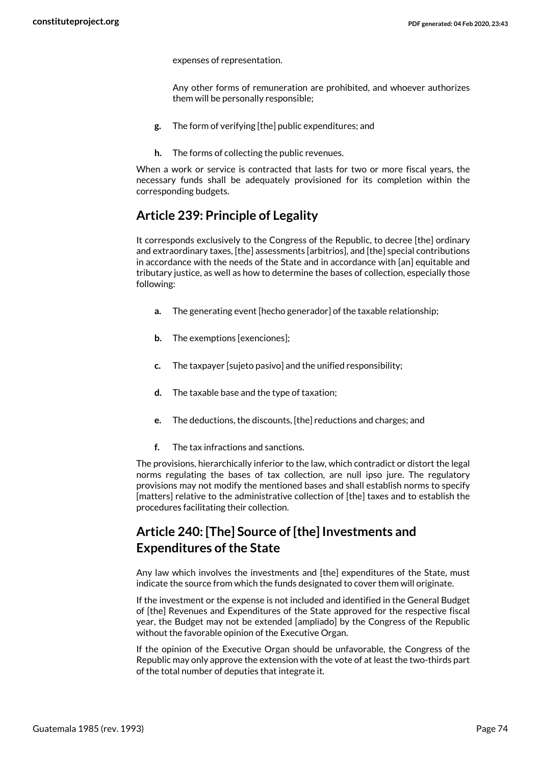expenses of representation.

Any other forms of remuneration are prohibited, and whoever authorizes them will be personally responsible;

- **g.** The form of verifying [the] public expenditures; and
- **h.** The forms of collecting the public revenues.

When a work or service is contracted that lasts for two or more fiscal years, the necessary funds shall be adequately provisioned for its completion within the corresponding budgets.

#### **Article 239: Principle of Legality**

It corresponds exclusively to the Congress of the Republic, to decree [the] ordinary and extraordinary taxes, [the] assessments [arbitrios], and [the] special contributions in accordance with the needs of the State and in accordance with [an] equitable and tributary justice, as well as how to determine the bases of collection, especially those following:

- **a.** The generating event [hecho generador] of the taxable relationship;
- **b.** The exemptions [exenciones];
- **c.** The taxpayer [sujeto pasivo] and the unified responsibility;
- **d.** The taxable base and the type of taxation;
- **e.** The deductions, the discounts, [the] reductions and charges; and
- **f.** The tax infractions and sanctions.

The provisions, hierarchically inferior to the law, which contradict or distort the legal norms regulating the bases of tax collection, are null ipso jure. The regulatory provisions may not modify the mentioned bases and shall establish norms to specify [matters] relative to the administrative collection of [the] taxes and to establish the procedures facilitating their collection.

### **Article 240: [The] Source of [the] Investments and Expenditures of the State**

Any law which involves the investments and [the] expenditures of the State, must indicate the source from which the funds designated to cover them will originate.

If the investment or the expense is not included and identified in the General Budget of [the] Revenues and Expenditures of the State approved for the respective fiscal year, the Budget may not be extended [ampliado] by the Congress of the Republic without the favorable opinion of the Executive Organ.

If the opinion of the Executive Organ should be unfavorable, the Congress of the Republic may only approve the extension with the vote of at least the two-thirds part of the total number of deputies that integrate it.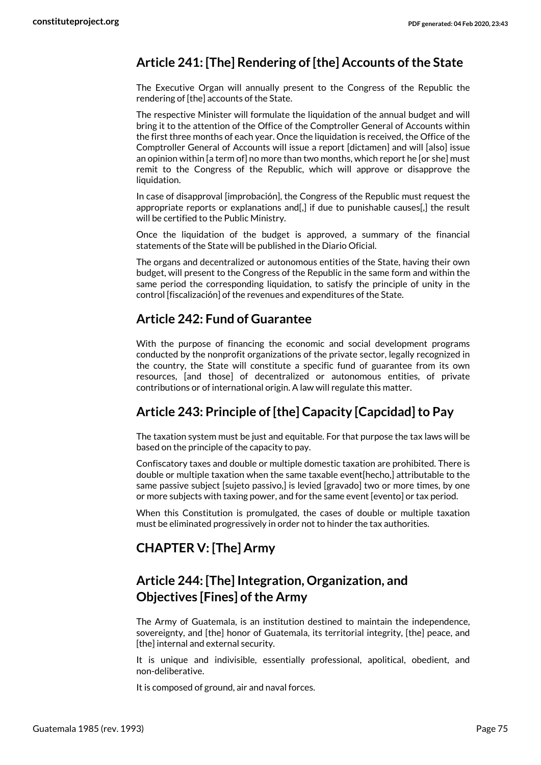### **Article 241: [The] Rendering of [the] Accounts of the State**

The Executive Organ will annually present to the Congress of the Republic the rendering of [the] accounts of the State.

The respective Minister will formulate the liquidation of the annual budget and will bring it to the attention of the Office of the Comptroller General of Accounts within the first three months of each year. Once the liquidation is received, the Office of the Comptroller General of Accounts will issue a report [dictamen] and will [also] issue an opinion within [a term of] no more than two months, which report he [or she] must remit to the Congress of the Republic, which will approve or disapprove the liquidation.

In case of disapproval [improbación], the Congress of the Republic must request the appropriate reports or explanations and[,] if due to punishable causes[,] the result will be certified to the Public Ministry.

Once the liquidation of the budget is approved, a summary of the financial statements of the State will be published in the Diario Oficial.

The organs and decentralized or autonomous entities of the State, having their own budget, will present to the Congress of the Republic in the same form and within the same period the corresponding liquidation, to satisfy the principle of unity in the control [fiscalización] of the revenues and expenditures of the State.

### **Article 242: Fund of Guarantee**

With the purpose of financing the economic and social development programs conducted by the nonprofit organizations of the private sector, legally recognized in the country, the State will constitute a specific fund of guarantee from its own resources, [and those] of decentralized or autonomous entities, of private contributions or of international origin. A law will regulate this matter.

### **Article 243: Principle of [the] Capacity [Capcidad] to Pay**

The taxation system must be just and equitable. For that purpose the tax laws will be based on the principle of the capacity to pay.

Confiscatory taxes and double or multiple domestic taxation are prohibited. There is double or multiple taxation when the same taxable event[hecho,] attributable to the same passive subject [sujeto passivo,] is levied [gravado] two or more times, by one or more subjects with taxing power, and for the same event [evento] or tax period.

When this Constitution is promulgated, the cases of double or multiple taxation must be eliminated progressively in order not to hinder the tax authorities.

### **CHAPTER V: [The] Army**

### **Article 244: [The] Integration, Organization, and Objectives [Fines] of the Army**

The Army of Guatemala, is an institution destined to maintain the independence, sovereignty, and [the] honor of Guatemala, its territorial integrity, [the] peace, and [the] internal and external security.

It is unique and indivisible, essentially professional, apolitical, obedient, and non-deliberative.

It is composed of ground, air and naval forces.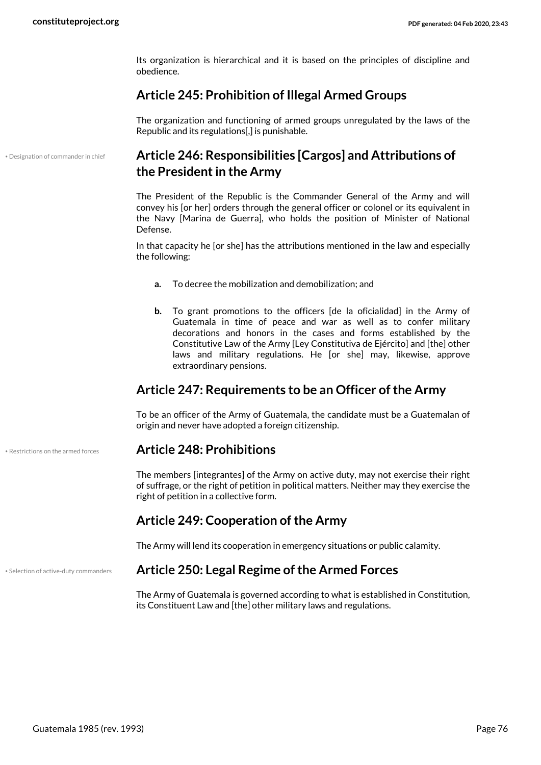Its organization is hierarchical and it is based on the principles of discipline and obedience.

### **Article 245: Prohibition of Illegal Armed Groups**

The organization and functioning of armed groups unregulated by the laws of the Republic and its regulations[,] is punishable.

• Designation of commander in chief

### <span id="page-75-0"></span>**Article 246: Responsibilities [Cargos] and Attributions of the President in the Army**

The President of the Republic is the Commander General of the Army and will convey his [or her] orders through the general officer or colonel or its equivalent in the Navy [Marina de Guerra], who holds the position of Minister of National Defense.

In that capacity he [or she] has the attributions mentioned in the law and especially the following:

- **a.** To decree the mobilization and demobilization; and
- **b.** To grant promotions to the officers [de la oficialidad] in the Army of Guatemala in time of peace and war as well as to confer military decorations and honors in the cases and forms established by the Constitutive Law of the Army [Ley Constitutiva de Ejército] and [the] other laws and military regulations. He [or she] may, likewise, approve extraordinary pensions.

### **Article 247: Requirements to be an Officer of the Army**

To be an officer of the Army of Guatemala, the candidate must be a Guatemalan of origin and never have adopted a foreign citizenship.

• Restrictions on the armed forces **Article 248: Prohibitions**

<span id="page-75-1"></span>The members [integrantes] of the Army on active duty, may not exercise their right of suffrage, or the right of petition in political matters. Neither may they exercise the right of petition in a collective form.

### **Article 249: Cooperation of the Army**

The Army will lend its cooperation in emergency situations or public calamity.

#### • Selection of active-duty commanders **Article 250: Legal Regime of the Armed Forces**

<span id="page-75-2"></span>The Army of Guatemala is governed according to what is established in Constitution, its Constituent Law and [the] other military laws and regulations.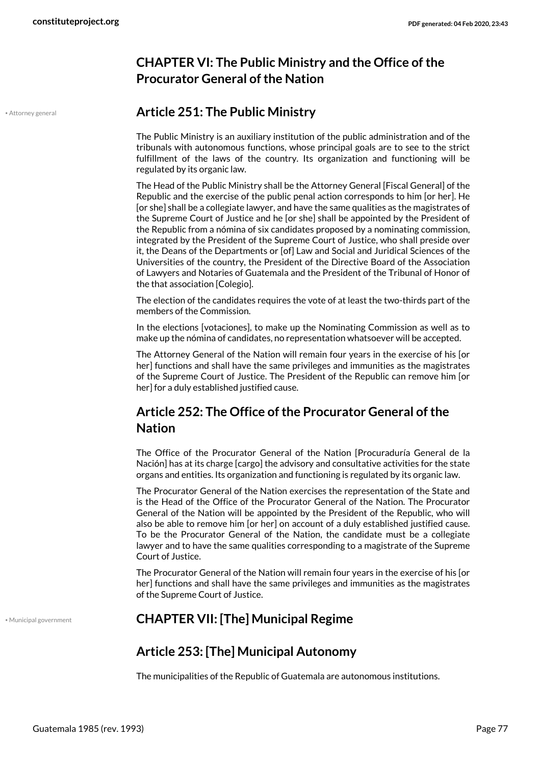### **CHAPTER VI: The Public Ministry and the Office of the Procurator General of the Nation**

<span id="page-76-0"></span>

### • Attorney general **Article 251: The Public Ministry**

The Public Ministry is an auxiliary institution of the public administration and of the tribunals with autonomous functions, whose principal goals are to see to the strict fulfillment of the laws of the country. Its organization and functioning will be regulated by its organic law.

The Head of the Public Ministry shall be the Attorney General [Fiscal General] of the Republic and the exercise of the public penal action corresponds to him [or her]. He [or she] shall be a collegiate lawyer, and have the same qualities as the magistrates of the Supreme Court of Justice and he [or she] shall be appointed by the President of the Republic from a nómina of six candidates proposed by a nominating commission, integrated by the President of the Supreme Court of Justice, who shall preside over it, the Deans of the Departments or [of] Law and Social and Juridical Sciences of the Universities of the country, the President of the Directive Board of the Association of Lawyers and Notaries of Guatemala and the President of the Tribunal of Honor of the that association [Colegio].

The election of the candidates requires the vote of at least the two-thirds part of the members of the Commission.

In the elections [votaciones], to make up the Nominating Commission as well as to make up the nómina of candidates, no representation whatsoever will be accepted.

The Attorney General of the Nation will remain four years in the exercise of his [or her] functions and shall have the same privileges and immunities as the magistrates of the Supreme Court of Justice. The President of the Republic can remove him [or her] for a duly established justified cause.

### **Article 252: The Office of the Procurator General of the Nation**

The Office of the Procurator General of the Nation [Procuraduría General de la Nación] has at its charge [cargo] the advisory and consultative activities for the state organs and entities. Its organization and functioning is regulated by its organic law.

The Procurator General of the Nation exercises the representation of the State and is the Head of the Office of the Procurator General of the Nation. The Procurator General of the Nation will be appointed by the President of the Republic, who will also be able to remove him [or her] on account of a duly established justified cause. To be the Procurator General of the Nation, the candidate must be a collegiate lawyer and to have the same qualities corresponding to a magistrate of the Supreme Court of Justice.

The Procurator General of the Nation will remain four years in the exercise of his [or her] functions and shall have the same privileges and immunities as the magistrates of the Supreme Court of Justice.

<span id="page-76-1"></span>

### • Municipal government **CHAPTER VII: [The] Municipal Regime**

### **Article 253: [The] Municipal Autonomy**

The municipalities of the Republic of Guatemala are autonomous institutions.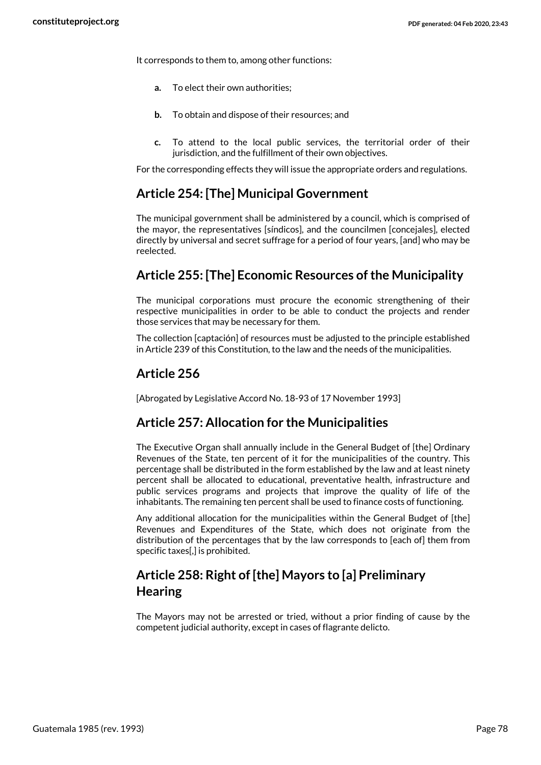It corresponds to them to, among other functions:

- **a.** To elect their own authorities;
- **b.** To obtain and dispose of their resources; and
- **c.** To attend to the local public services, the territorial order of their jurisdiction, and the fulfillment of their own objectives.

For the corresponding effects they will issue the appropriate orders and regulations.

#### **Article 254: [The] Municipal Government**

The municipal government shall be administered by a council, which is comprised of the mayor, the representatives [síndicos], and the councilmen [concejales], elected directly by universal and secret suffrage for a period of four years, [and] who may be reelected.

### **Article 255: [The] Economic Resources of the Municipality**

The municipal corporations must procure the economic strengthening of their respective municipalities in order to be able to conduct the projects and render those services that may be necessary for them.

The collection [captación] of resources must be adjusted to the principle established in Article 239 of this Constitution, to the law and the needs of the municipalities.

#### **Article 256**

[Abrogated by Legislative Accord No. 18-93 of 17 November 1993]

### **Article 257: Allocation for the Municipalities**

The Executive Organ shall annually include in the General Budget of [the] Ordinary Revenues of the State, ten percent of it for the municipalities of the country. This percentage shall be distributed in the form established by the law and at least ninety percent shall be allocated to educational, preventative health, infrastructure and public services programs and projects that improve the quality of life of the inhabitants. The remaining ten percent shall be used to finance costs of functioning.

Any additional allocation for the municipalities within the General Budget of [the] Revenues and Expenditures of the State, which does not originate from the distribution of the percentages that by the law corresponds to [each of] them from specific taxes[,] is prohibited.

### **Article 258: Right of [the] Mayors to [a] Preliminary Hearing**

The Mayors may not be arrested or tried, without a prior finding of cause by the competent judicial authority, except in cases of flagrante delicto.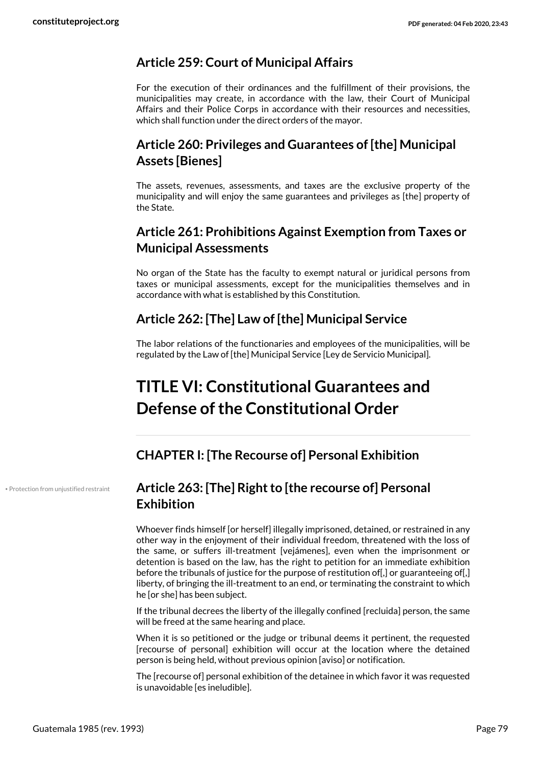### **Article 259: Court of Municipal Affairs**

For the execution of their ordinances and the fulfillment of their provisions, the municipalities may create, in accordance with the law, their Court of Municipal Affairs and their Police Corps in accordance with their resources and necessities, which shall function under the direct orders of the mayor.

### **Article 260: Privileges and Guarantees of [the] Municipal Assets [Bienes]**

The assets, revenues, assessments, and taxes are the exclusive property of the municipality and will enjoy the same guarantees and privileges as [the] property of the State.

### **Article 261: Prohibitions Against Exemption from Taxes or Municipal Assessments**

No organ of the State has the faculty to exempt natural or juridical persons from taxes or municipal assessments, except for the municipalities themselves and in accordance with what is established by this Constitution.

### **Article 262: [The] Law of [the] Municipal Service**

The labor relations of the functionaries and employees of the municipalities, will be regulated by the Law of [the] Municipal Service [Ley de Servicio Municipal].

# **TITLE VI: Constitutional Guarantees and Defense of the Constitutional Order**

**CHAPTER I: [The Recourse of] Personal Exhibition**

### <span id="page-78-0"></span>**Article 263: [The] Right to [the recourse of] Personal Exhibition**

Whoever finds himself [or herself] illegally imprisoned, detained, or restrained in any other way in the enjoyment of their individual freedom, threatened with the loss of the same, or suffers ill-treatment [vejámenes], even when the imprisonment or detention is based on the law, has the right to petition for an immediate exhibition before the tribunals of justice for the purpose of restitution of[,] or guaranteeing of[,] liberty, of bringing the ill-treatment to an end, or terminating the constraint to which he [or she] has been subject.

If the tribunal decrees the liberty of the illegally confined [recluida] person, the same will be freed at the same hearing and place.

When it is so petitioned or the judge or tribunal deems it pertinent, the requested [recourse of personal] exhibition will occur at the location where the detained person is being held, without previous opinion [aviso] or notification.

The [recourse of] personal exhibition of the detainee in which favor it was requested is unavoidable [es ineludible].

• Protection from unjustified restraint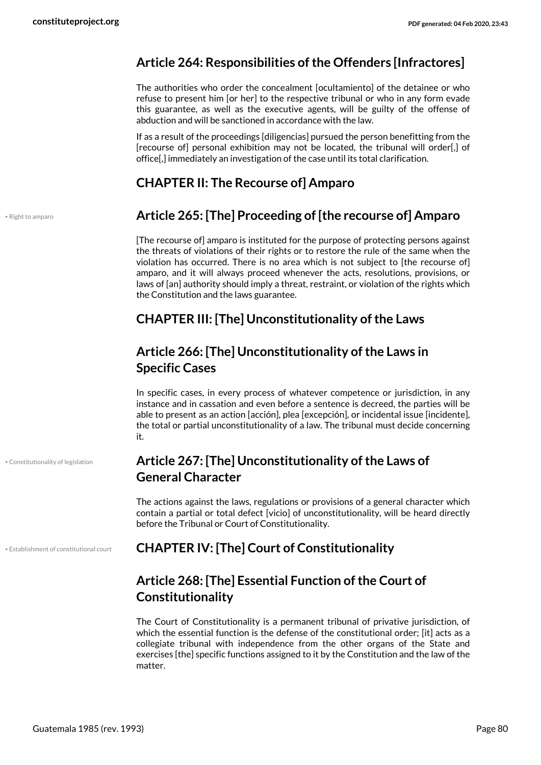### **Article 264: Responsibilities of the Offenders [Infractores]**

The authorities who order the concealment [ocultamiento] of the detainee or who refuse to present him [or her] to the respective tribunal or who in any form evade this guarantee, as well as the executive agents, will be guilty of the offense of abduction and will be sanctioned in accordance with the law.

If as a result of the proceedings [diligencias] pursued the person benefitting from the [recourse of] personal exhibition may not be located, the tribunal will order[,] of office[,] immediately an investigation of the case until its total clarification.

### **CHAPTER II: The Recourse of] Amparo**

### <span id="page-79-2"></span>• Right to amparo **Article 265: [The] Proceeding of [the recourse of] Amparo**

[The recourse of] amparo is instituted for the purpose of protecting persons against the threats of violations of their rights or to restore the rule of the same when the violation has occurred. There is no area which is not subject to [the recourse of] amparo, and it will always proceed whenever the acts, resolutions, provisions, or laws of [an] authority should imply a threat, restraint, or violation of the rights which the Constitution and the laws guarantee.

### **CHAPTER III: [The] Unconstitutionality of the Laws**

### **Article 266: [The] Unconstitutionality of the Laws in Specific Cases**

In specific cases, in every process of whatever competence or jurisdiction, in any instance and in cassation and even before a sentence is decreed, the parties will be able to present as an action [acción], plea [excepción], or incidental issue [incidente], the total or partial unconstitutionality of a law. The tribunal must decide concerning it.

### <span id="page-79-0"></span>**Article 267: [The] Unconstitutionality of the Laws of General Character**

The actions against the laws, regulations or provisions of a general character which contain a partial or total defect [vicio] of unconstitutionality, will be heard directly before the Tribunal or Court of Constitutionality.

• Constitutionality of legislation

### • Establishment of constitutional court **CHAPTER IV: [The] Court of Constitutionality**

### <span id="page-79-1"></span>**Article 268: [The] Essential Function of the Court of Constitutionality**

The Court of Constitutionality is a permanent tribunal of privative jurisdiction, of which the essential function is the defense of the constitutional order; [it] acts as a collegiate tribunal with independence from the other organs of the State and exercises [the] specific functions assigned to it by the Constitution and the law of the matter.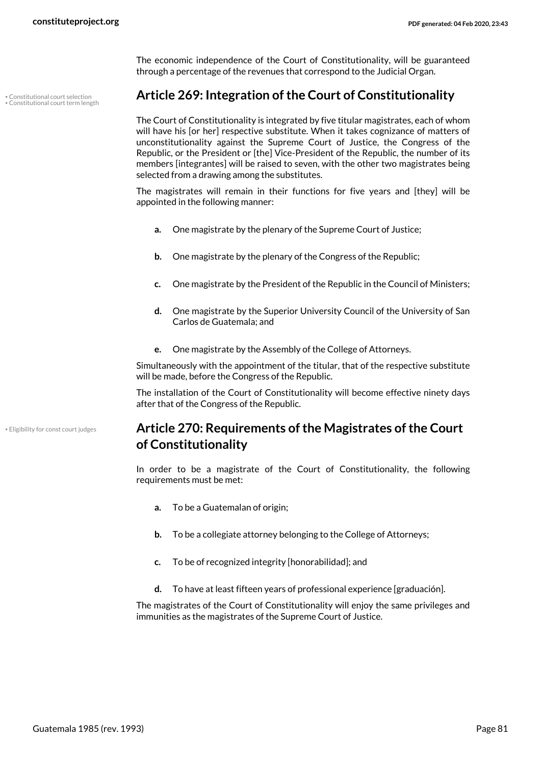The economic independence of the Court of Constitutionality, will be guaranteed through a percentage of the revenues that correspond to the Judicial Organ.

#### • Constitutional court term length

#### • Constitutional court selection **Article 269: Integration of the Court of Constitutionality**

<span id="page-80-1"></span><span id="page-80-0"></span>The Court of Constitutionality is integrated by five titular magistrates, each of whom will have his [or her] respective substitute. When it takes cognizance of matters of unconstitutionality against the Supreme Court of Justice, the Congress of the Republic, or the President or [the] Vice-President of the Republic, the number of its members [integrantes] will be raised to seven, with the other two magistrates being selected from a drawing among the substitutes.

The magistrates will remain in their functions for five years and [they] will be appointed in the following manner:

- **a.** One magistrate by the plenary of the Supreme Court of Justice;
- **b.** One magistrate by the plenary of the Congress of the Republic;
- **c.** One magistrate by the President of the Republic in the Council of Ministers;
- **d.** One magistrate by the Superior University Council of the University of San Carlos de Guatemala; and
- **e.** One magistrate by the Assembly of the College of Attorneys.

Simultaneously with the appointment of the titular, that of the respective substitute will be made, before the Congress of the Republic.

The installation of the Court of Constitutionality will become effective ninety days after that of the Congress of the Republic.

• Eligibility for const court judges

### <span id="page-80-2"></span>**Article 270: Requirements of the Magistrates of the Court of Constitutionality**

In order to be a magistrate of the Court of Constitutionality, the following requirements must be met:

- **a.** To be a Guatemalan of origin;
- **b.** To be a collegiate attorney belonging to the College of Attorneys;
- **c.** To be of recognized integrity [honorabilidad]; and
- **d.** To have at least fifteen years of professional experience [graduación].

The magistrates of the Court of Constitutionality will enjoy the same privileges and immunities as the magistrates of the Supreme Court of Justice.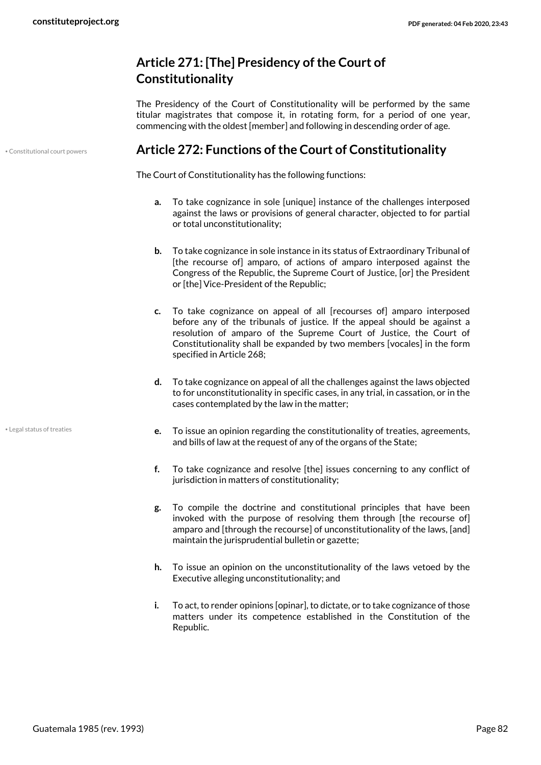### **Article 271: [The] Presidency of the Court of Constitutionality**

The Presidency of the Court of Constitutionality will be performed by the same titular magistrates that compose it, in rotating form, for a period of one year, commencing with the oldest [member] and following in descending order of age.

#### • Constitutional court powers **Article 272: Functions of the Court of Constitutionality**

<span id="page-81-0"></span>The Court of Constitutionality has the following functions:

- **a.** To take cognizance in sole [unique] instance of the challenges interposed against the laws or provisions of general character, objected to for partial or total unconstitutionality;
- **b.** To take cognizance in sole instance in its status of Extraordinary Tribunal of [the recourse of] amparo, of actions of amparo interposed against the Congress of the Republic, the Supreme Court of Justice, [or] the President or [the] Vice-President of the Republic;
- **c.** To take cognizance on appeal of all [recourses of] amparo interposed before any of the tribunals of justice. If the appeal should be against a resolution of amparo of the Supreme Court of Justice, the Court of Constitutionality shall be expanded by two members [vocales] in the form specified in Article 268;
- **d.** To take cognizance on appeal of all the challenges against the laws objected to for unconstitutionality in specific cases, in any trial, in cassation, or in the cases contemplated by the law in the matter;

- <span id="page-81-1"></span>• Legal status of treaties
- **e.** To issue an opinion regarding the constitutionality of treaties, agreements, and bills of law at the request of any of the organs of the State;
- **f.** To take cognizance and resolve [the] issues concerning to any conflict of jurisdiction in matters of constitutionality;
- **g.** To compile the doctrine and constitutional principles that have been invoked with the purpose of resolving them through [the recourse of] amparo and [through the recourse] of unconstitutionality of the laws, [and] maintain the jurisprudential bulletin or gazette;
- **h.** To issue an opinion on the unconstitutionality of the laws vetoed by the Executive alleging unconstitutionality; and
- **i.** To act, to render opinions [opinar], to dictate, or to take cognizance of those matters under its competence established in the Constitution of the Republic.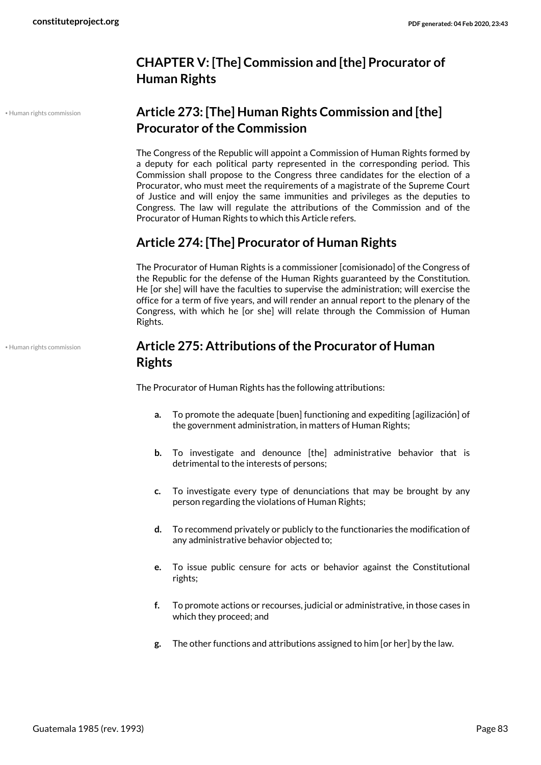### **CHAPTER V: [The] Commission and [the] Procurator of Human Rights**

• Human rights commission

### **Article 273: [The] Human Rights Commission and [the] Procurator of the Commission**

The Congress of the Republic will appoint a Commission of Human Rights formed by a deputy for each political party represented in the corresponding period. This Commission shall propose to the Congress three candidates for the election of a Procurator, who must meet the requirements of a magistrate of the Supreme Court of Justice and will enjoy the same immunities and privileges as the deputies to Congress. The law will regulate the attributions of the Commission and of the Procurator of Human Rights to which this Article refers.

### **Article 274: [The] Procurator of Human Rights**

The Procurator of Human Rights is a commissioner [comisionado] of the Congress of the Republic for the defense of the Human Rights guaranteed by the Constitution. He [or she] will have the faculties to supervise the administration; will exercise the office for a term of five years, and will render an annual report to the plenary of the Congress, with which he [or she] will relate through the Commission of Human Rights.

### <span id="page-82-0"></span>**Article 275: Attributions of the Procurator of Human Rights**

The Procurator of Human Rights has the following attributions:

- **a.** To promote the adequate [buen] functioning and expediting [agilización] of the government administration, in matters of Human Rights;
- **b.** To investigate and denounce [the] administrative behavior that is detrimental to the interests of persons;
- **c.** To investigate every type of denunciations that may be brought by any person regarding the violations of Human Rights;
- **d.** To recommend privately or publicly to the functionaries the modification of any administrative behavior objected to;
- **e.** To issue public censure for acts or behavior against the Constitutional rights;
- **f.** To promote actions or recourses, judicial or administrative, in those cases in which they proceed; and
- **g.** The other functions and attributions assigned to him [or her] by the law.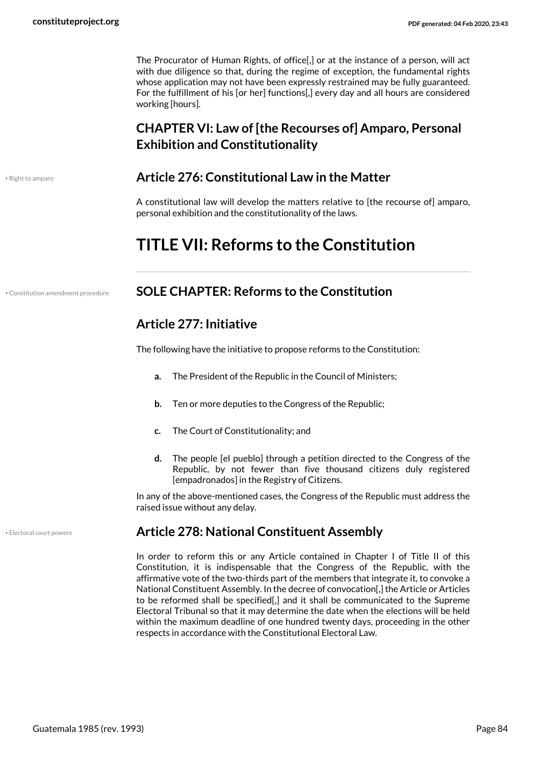The Procurator of Human Rights, of office[,] or at the instance of a person, will act with due diligence so that, during the regime of exception, the fundamental rights whose application may not have been expressly restrained may be fully guaranteed. For the fulfillment of his [or her] functions[,] every day and all hours are considered working [hours].

### **CHAPTER VI: Law of [the Recourses of] Amparo, Personal Exhibition and Constitutionality**

#### <span id="page-83-2"></span>• Right to amparo **Article 276: Constitutional Law in the Matter**

A constitutional law will develop the matters relative to [the recourse of] amparo, personal exhibition and the constitutionality of the laws.

## **TITLE VII: Reforms to the Constitution**

• Constitution amendment procedure **SOLE CHAPTER: Reforms to the Constitution**

#### <span id="page-83-0"></span>**Article 277: Initiative**

The following have the initiative to propose reforms to the Constitution:

- **a.** The President of the Republic in the Council of Ministers;
- **b.** Ten or more deputies to the Congress of the Republic;
- **c.** The Court of Constitutionality; and
- **d.** The people [el pueblo] through a petition directed to the Congress of the Republic, by not fewer than five thousand citizens duly registered [empadronados] in the Registry of Citizens.

In any of the above-mentioned cases, the Congress of the Republic must address the raised issue without any delay.

#### • Electoral court powers **Article 278: National Constituent Assembly**

In order to reform this or any Article contained in Chapter I of Title II of this Constitution, it is indispensable that the Congress of the Republic, with the affirmative vote of the two-thirds part of the members that integrate it, to convoke a National Constituent Assembly. In the decree of convocation[,] the Article or Articles to be reformed shall be specified[,] and it shall be communicated to the Supreme Electoral Tribunal so that it may determine the date when the elections will be held within the maximum deadline of one hundred twenty days, proceeding in the other respects in accordance with the Constitutional Electoral Law.

<span id="page-83-1"></span>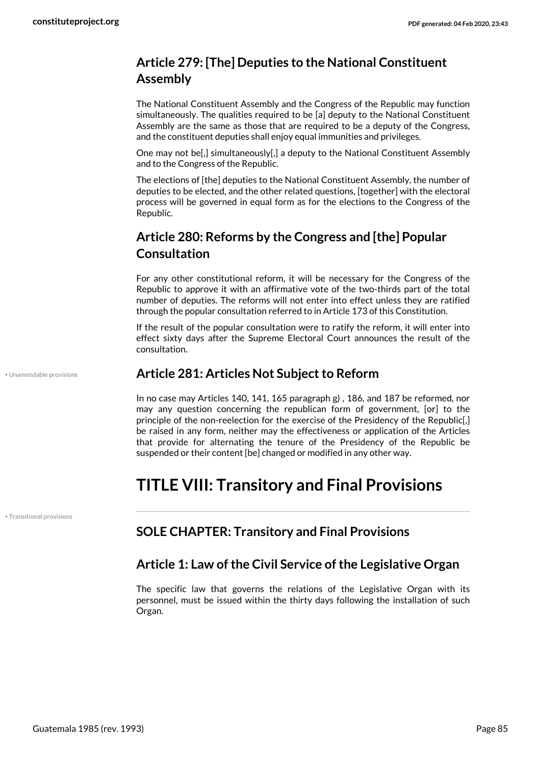### **Article 279: [The] Deputies to the National Constituent Assembly**

The National Constituent Assembly and the Congress of the Republic may function simultaneously. The qualities required to be [a] deputy to the National Constituent Assembly are the same as those that are required to be a deputy of the Congress, and the constituent deputies shall enjoy equal immunities and privileges.

One may not be[,] simultaneously[,] a deputy to the National Constituent Assembly and to the Congress of the Republic.

The elections of [the] deputies to the National Constituent Assembly, the number of deputies to be elected, and the other related questions, [together] with the electoral process will be governed in equal form as for the elections to the Congress of the Republic.

### **Article 280: Reforms by the Congress and [the] Popular Consultation**

For any other constitutional reform, it will be necessary for the Congress of the Republic to approve it with an affirmative vote of the two-thirds part of the total number of deputies. The reforms will not enter into effect unless they are ratified through the popular consultation referred to in Article 173 of this Constitution.

If the result of the popular consultation were to ratify the reform, it will enter into effect sixty days after the Supreme Electoral Court announces the result of the consultation.

#### • Unamendable provisions **Article 281: Articles Not Subject to Reform**

<span id="page-84-1"></span>In no case may Articles 140, 141, 165 paragraph g) , 186, and 187 be reformed, nor may any question concerning the republican form of government, [or] to the principle of the non-reelection for the exercise of the Presidency of the Republic[,] be raised in any form, neither may the effectiveness or application of the Articles that provide for alternating the tenure of the Presidency of the Republic be suspended or their content [be] changed or modified in any other way.

# **TITLE VIII: Transitory and Final Provisions**

• Transitional provisions

### <span id="page-84-0"></span>**SOLE CHAPTER: Transitory and Final Provisions**

### **Article 1: Law of the Civil Service of the Legislative Organ**

The specific law that governs the relations of the Legislative Organ with its personnel, must be issued within the thirty days following the installation of such Organ.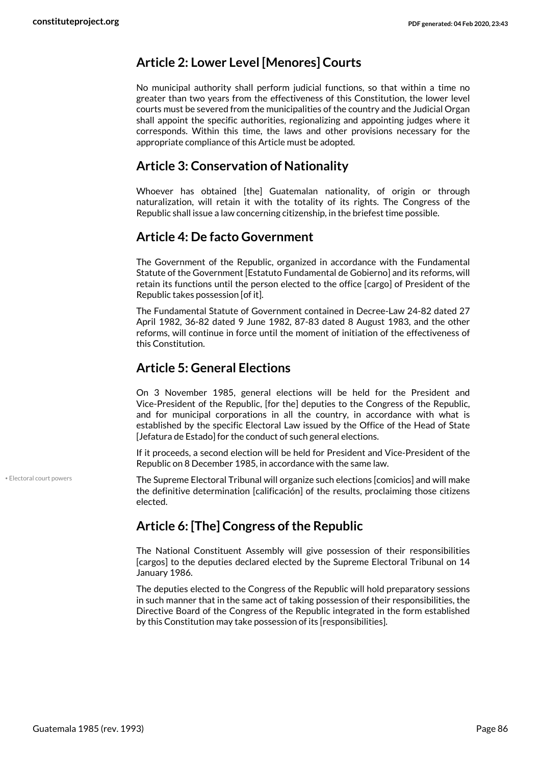### **Article 2: Lower Level [Menores] Courts**

No municipal authority shall perform judicial functions, so that within a time no greater than two years from the effectiveness of this Constitution, the lower level courts must be severed from the municipalities of the country and the Judicial Organ shall appoint the specific authorities, regionalizing and appointing judges where it corresponds. Within this time, the laws and other provisions necessary for the appropriate compliance of this Article must be adopted.

### **Article 3: Conservation of Nationality**

Whoever has obtained [the] Guatemalan nationality, of origin or through naturalization, will retain it with the totality of its rights. The Congress of the Republic shall issue a law concerning citizenship, in the briefest time possible.

### **Article 4: De facto Government**

The Government of the Republic, organized in accordance with the Fundamental Statute of the Government [Estatuto Fundamental de Gobierno] and its reforms, will retain its functions until the person elected to the office [cargo] of President of the Republic takes possession [of it].

The Fundamental Statute of Government contained in Decree-Law 24-82 dated 27 April 1982, 36-82 dated 9 June 1982, 87-83 dated 8 August 1983, and the other reforms, will continue in force until the moment of initiation of the effectiveness of this Constitution.

### **Article 5: General Elections**

On 3 November 1985, general elections will be held for the President and Vice-President of the Republic, [for the] deputies to the Congress of the Republic, and for municipal corporations in all the country, in accordance with what is established by the specific Electoral Law issued by the Office of the Head of State [Jefatura de Estado] for the conduct of such general elections.

If it proceeds, a second election will be held for President and Vice-President of the Republic on 8 December 1985, in accordance with the same law.

<span id="page-85-0"></span>The Supreme Electoral Tribunal will organize such elections [comicios] and will make the definitive determination [calificación] of the results, proclaiming those citizens elected.

### **Article 6: [The] Congress of the Republic**

The National Constituent Assembly will give possession of their responsibilities [cargos] to the deputies declared elected by the Supreme Electoral Tribunal on 14 January 1986.

The deputies elected to the Congress of the Republic will hold preparatory sessions in such manner that in the same act of taking possession of their responsibilities, the Directive Board of the Congress of the Republic integrated in the form established by this Constitution may take possession of its [responsibilities].

• Electoral court powers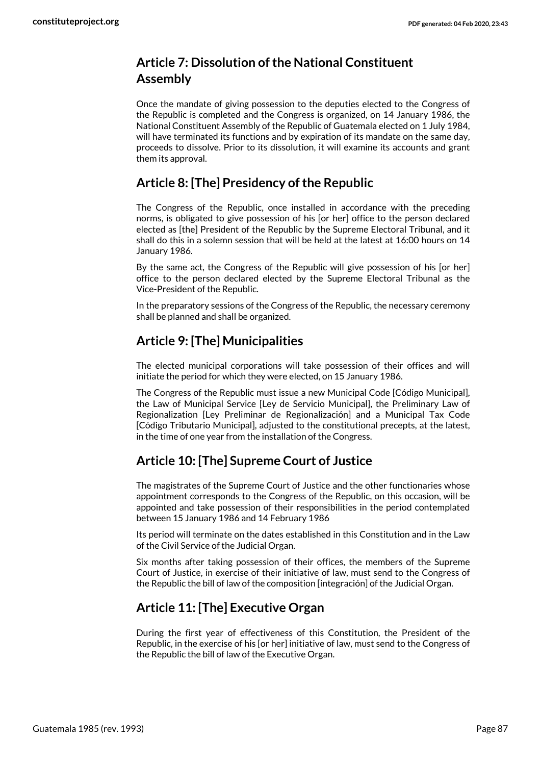### **Article 7: Dissolution of the National Constituent Assembly**

Once the mandate of giving possession to the deputies elected to the Congress of the Republic is completed and the Congress is organized, on 14 January 1986, the National Constituent Assembly of the Republic of Guatemala elected on 1 July 1984, will have terminated its functions and by expiration of its mandate on the same day, proceeds to dissolve. Prior to its dissolution, it will examine its accounts and grant them its approval.

### **Article 8: [The] Presidency of the Republic**

The Congress of the Republic, once installed in accordance with the preceding norms, is obligated to give possession of his [or her] office to the person declared elected as [the] President of the Republic by the Supreme Electoral Tribunal, and it shall do this in a solemn session that will be held at the latest at 16:00 hours on 14 January 1986.

By the same act, the Congress of the Republic will give possession of his [or her] office to the person declared elected by the Supreme Electoral Tribunal as the Vice-President of the Republic.

In the preparatory sessions of the Congress of the Republic, the necessary ceremony shall be planned and shall be organized.

### **Article 9: [The] Municipalities**

The elected municipal corporations will take possession of their offices and will initiate the period for which they were elected, on 15 January 1986.

The Congress of the Republic must issue a new Municipal Code [Código Municipal], the Law of Municipal Service [Ley de Servicio Municipal], the Preliminary Law of Regionalization [Ley Preliminar de Regionalización] and a Municipal Tax Code [Código Tributario Municipal], adjusted to the constitutional precepts, at the latest, in the time of one year from the installation of the Congress.

### **Article 10: [The] Supreme Court of Justice**

The magistrates of the Supreme Court of Justice and the other functionaries whose appointment corresponds to the Congress of the Republic, on this occasion, will be appointed and take possession of their responsibilities in the period contemplated between 15 January 1986 and 14 February 1986

Its period will terminate on the dates established in this Constitution and in the Law of the Civil Service of the Judicial Organ.

Six months after taking possession of their offices, the members of the Supreme Court of Justice, in exercise of their initiative of law, must send to the Congress of the Republic the bill of law of the composition [integración] of the Judicial Organ.

### **Article 11: [The] Executive Organ**

During the first year of effectiveness of this Constitution, the President of the Republic, in the exercise of his [or her] initiative of law, must send to the Congress of the Republic the bill of law of the Executive Organ.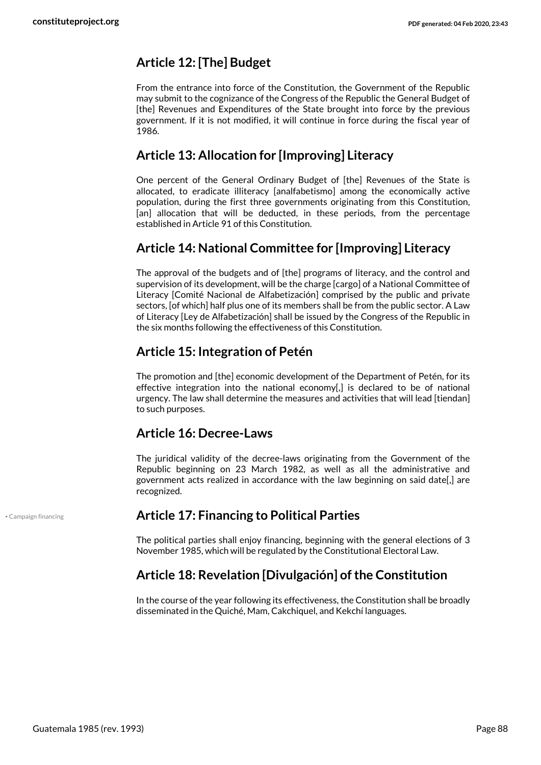### **Article 12: [The] Budget**

From the entrance into force of the Constitution, the Government of the Republic may submit to the cognizance of the Congress of the Republic the General Budget of [the] Revenues and Expenditures of the State brought into force by the previous government. If it is not modified, it will continue in force during the fiscal year of 1986.

### **Article 13: Allocation for [Improving] Literacy**

One percent of the General Ordinary Budget of [the] Revenues of the State is allocated, to eradicate illiteracy [analfabetismo] among the economically active population, during the first three governments originating from this Constitution, [an] allocation that will be deducted, in these periods, from the percentage established in Article 91 of this Constitution.

### **Article 14: National Committee for [Improving] Literacy**

The approval of the budgets and of [the] programs of literacy, and the control and supervision of its development, will be the charge [cargo] of a National Committee of Literacy [Comité Nacional de Alfabetización] comprised by the public and private sectors, [of which] half plus one of its members shall be from the public sector. A Law of Literacy [Ley de Alfabetización] shall be issued by the Congress of the Republic in the six months following the effectiveness of this Constitution.

### **Article 15: Integration of Petén**

The promotion and [the] economic development of the Department of Petén, for its effective integration into the national economy[,] is declared to be of national urgency. The law shall determine the measures and activities that will lead [tiendan] to such purposes.

### **Article 16: Decree-Laws**

The juridical validity of the decree-laws originating from the Government of the Republic beginning on 23 March 1982, as well as all the administrative and government acts realized in accordance with the law beginning on said date[,] are recognized.

<span id="page-87-0"></span>

#### • Campaign financing **Article 17: Financing to Political Parties**

The political parties shall enjoy financing, beginning with the general elections of 3 November 1985, which will be regulated by the Constitutional Electoral Law.

### **Article 18: Revelation [Divulgación] of the Constitution**

In the course of the year following its effectiveness, the Constitution shall be broadly disseminated in the Quiché, Mam, Cakchiquel, and Kekchí languages.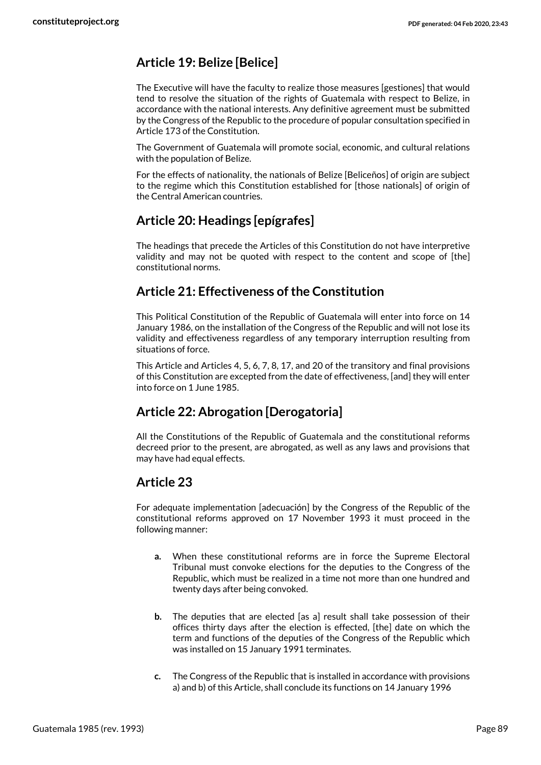### **Article 19: Belize [Belice]**

The Executive will have the faculty to realize those measures [gestiones] that would tend to resolve the situation of the rights of Guatemala with respect to Belize, in accordance with the national interests. Any definitive agreement must be submitted by the Congress of the Republic to the procedure of popular consultation specified in Article 173 of the Constitution.

The Government of Guatemala will promote social, economic, and cultural relations with the population of Belize.

For the effects of nationality, the nationals of Belize [Beliceños] of origin are subject to the regime which this Constitution established for [those nationals] of origin of the Central American countries.

### **Article 20: Headings [epígrafes]**

The headings that precede the Articles of this Constitution do not have interpretive validity and may not be quoted with respect to the content and scope of [the] constitutional norms.

### **Article 21: Effectiveness of the Constitution**

This Political Constitution of the Republic of Guatemala will enter into force on 14 January 1986, on the installation of the Congress of the Republic and will not lose its validity and effectiveness regardless of any temporary interruption resulting from situations of force.

This Article and Articles 4, 5, 6, 7, 8, 17, and 20 of the transitory and final provisions of this Constitution are excepted from the date of effectiveness, [and] they will enter into force on 1 June 1985.

### **Article 22: Abrogation [Derogatoria]**

All the Constitutions of the Republic of Guatemala and the constitutional reforms decreed prior to the present, are abrogated, as well as any laws and provisions that may have had equal effects.

### **Article 23**

For adequate implementation [adecuación] by the Congress of the Republic of the constitutional reforms approved on 17 November 1993 it must proceed in the following manner:

- **a.** When these constitutional reforms are in force the Supreme Electoral Tribunal must convoke elections for the deputies to the Congress of the Republic, which must be realized in a time not more than one hundred and twenty days after being convoked.
- **b.** The deputies that are elected [as a] result shall take possession of their offices thirty days after the election is effected, [the] date on which the term and functions of the deputies of the Congress of the Republic which was installed on 15 January 1991 terminates.
- **c.** The Congress of the Republic that is installed in accordance with provisions a) and b) of this Article, shall conclude its functions on 14 January 1996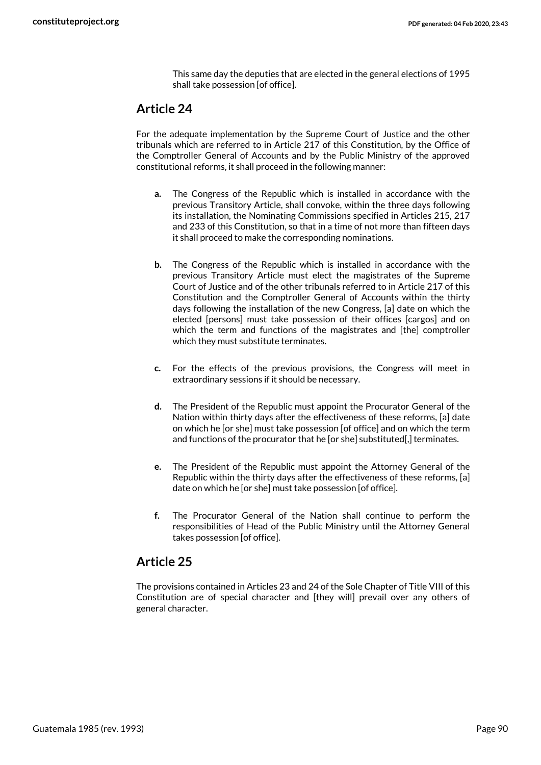This same day the deputies that are elected in the general elections of 1995 shall take possession [of office].

#### **Article 24**

For the adequate implementation by the Supreme Court of Justice and the other tribunals which are referred to in Article 217 of this Constitution, by the Office of the Comptroller General of Accounts and by the Public Ministry of the approved constitutional reforms, it shall proceed in the following manner:

- **a.** The Congress of the Republic which is installed in accordance with the previous Transitory Article, shall convoke, within the three days following its installation, the Nominating Commissions specified in Articles 215, 217 and 233 of this Constitution, so that in a time of not more than fifteen days it shall proceed to make the corresponding nominations.
- **b.** The Congress of the Republic which is installed in accordance with the previous Transitory Article must elect the magistrates of the Supreme Court of Justice and of the other tribunals referred to in Article 217 of this Constitution and the Comptroller General of Accounts within the thirty days following the installation of the new Congress, [a] date on which the elected [persons] must take possession of their offices [cargos] and on which the term and functions of the magistrates and [the] comptroller which they must substitute terminates.
- **c.** For the effects of the previous provisions, the Congress will meet in extraordinary sessions if it should be necessary.
- **d.** The President of the Republic must appoint the Procurator General of the Nation within thirty days after the effectiveness of these reforms, [a] date on which he [or she] must take possession [of office] and on which the term and functions of the procurator that he [or she] substituted[,] terminates.
- **e.** The President of the Republic must appoint the Attorney General of the Republic within the thirty days after the effectiveness of these reforms, [a] date on which he [or she] must take possession [of office].
- **f.** The Procurator General of the Nation shall continue to perform the responsibilities of Head of the Public Ministry until the Attorney General takes possession [of office].

#### **Article 25**

The provisions contained in Articles 23 and 24 of the Sole Chapter of Title VIII of this Constitution are of special character and [they will] prevail over any others of general character.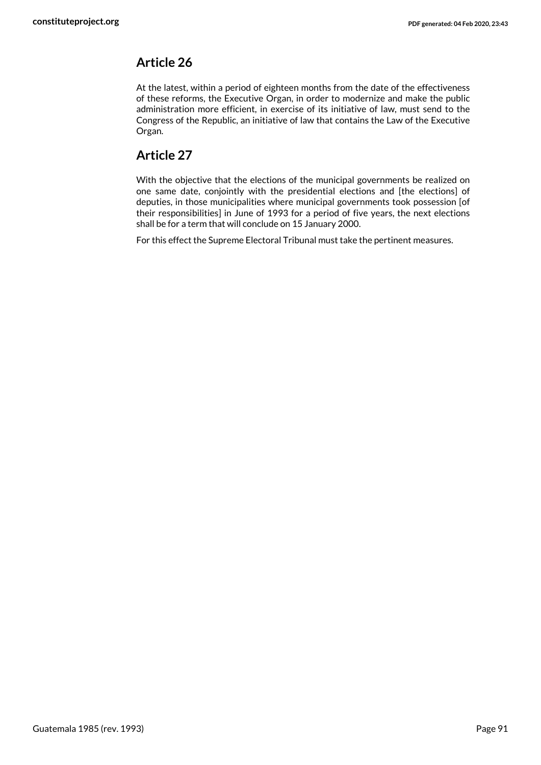### **Article 26**

At the latest, within a period of eighteen months from the date of the effectiveness of these reforms, the Executive Organ, in order to modernize and make the public administration more efficient, in exercise of its initiative of law, must send to the Congress of the Republic, an initiative of law that contains the Law of the Executive Organ.

### **Article 27**

With the objective that the elections of the municipal governments be realized on one same date, conjointly with the presidential elections and [the elections] of deputies, in those municipalities where municipal governments took possession [of their responsibilities] in June of 1993 for a period of five years, the next elections shall be for a term that will conclude on 15 January 2000.

For this effect the Supreme Electoral Tribunal must take the pertinent measures.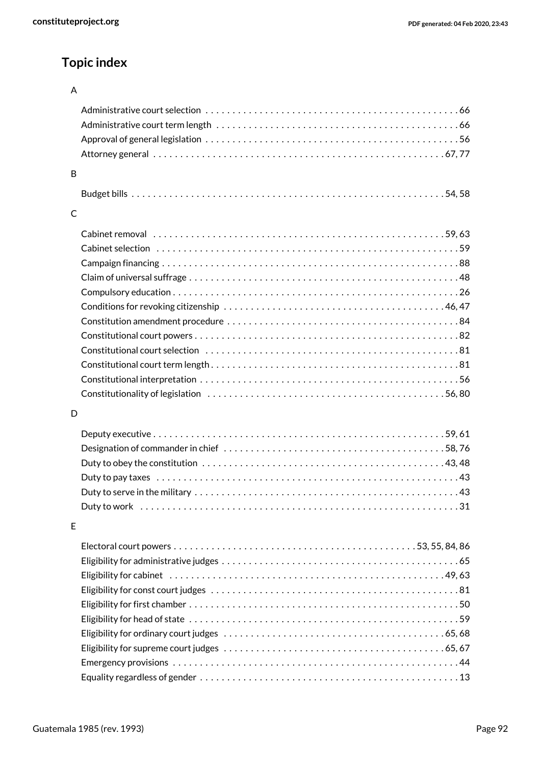### **Topic index**

#### A

| B |                                                                                                             |
|---|-------------------------------------------------------------------------------------------------------------|
|   |                                                                                                             |
| Ċ |                                                                                                             |
|   |                                                                                                             |
|   |                                                                                                             |
|   |                                                                                                             |
|   |                                                                                                             |
|   |                                                                                                             |
|   |                                                                                                             |
|   |                                                                                                             |
|   |                                                                                                             |
|   |                                                                                                             |
|   |                                                                                                             |
|   |                                                                                                             |
|   |                                                                                                             |
| D |                                                                                                             |
|   |                                                                                                             |
|   |                                                                                                             |
|   | Duty to obey the constitution $\dots\dots\dots\dots\dots\dots\dots\dots\dots\dots\dots\dots\dots\dots\dots$ |
|   |                                                                                                             |
|   |                                                                                                             |
|   |                                                                                                             |
| E |                                                                                                             |
|   |                                                                                                             |
|   |                                                                                                             |
|   |                                                                                                             |
|   |                                                                                                             |
|   |                                                                                                             |
|   |                                                                                                             |
|   |                                                                                                             |
|   |                                                                                                             |
|   |                                                                                                             |
|   |                                                                                                             |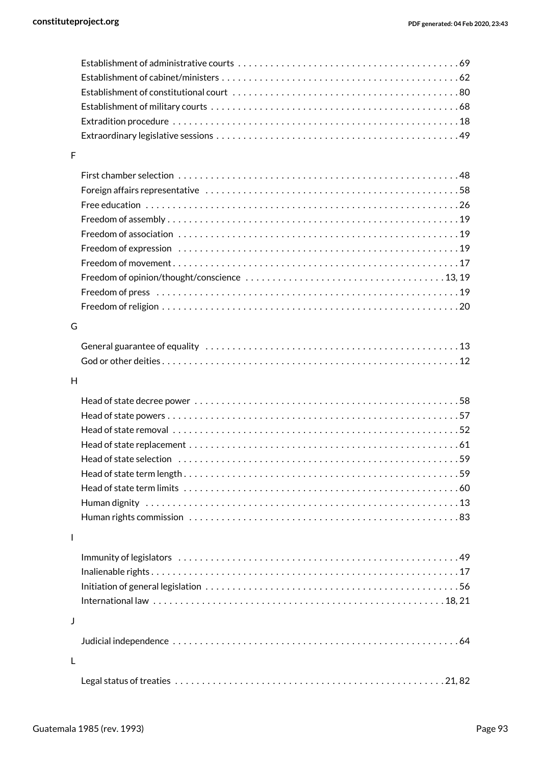| F |  |
|---|--|
|   |  |
|   |  |
|   |  |
|   |  |
|   |  |
|   |  |
|   |  |
|   |  |
|   |  |
|   |  |
|   |  |
| Ġ |  |
|   |  |
|   |  |
|   |  |
| H |  |
|   |  |
|   |  |
|   |  |
|   |  |
|   |  |
|   |  |
|   |  |
|   |  |
|   |  |
| I |  |
|   |  |
|   |  |
|   |  |
|   |  |
|   |  |
| J |  |
|   |  |
|   |  |
| L |  |
|   |  |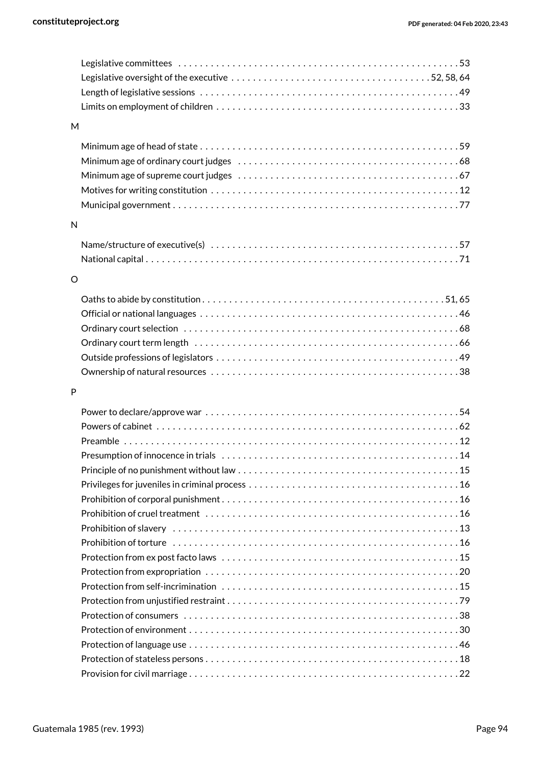| M       |  |
|---------|--|
|         |  |
|         |  |
|         |  |
|         |  |
|         |  |
|         |  |
| N       |  |
|         |  |
|         |  |
|         |  |
| $\circ$ |  |
|         |  |
|         |  |
|         |  |
|         |  |
|         |  |
|         |  |
| P       |  |
|         |  |
|         |  |
|         |  |
|         |  |
|         |  |
|         |  |
|         |  |
|         |  |
|         |  |
|         |  |
|         |  |
|         |  |
|         |  |
|         |  |
|         |  |
|         |  |
|         |  |
|         |  |
|         |  |
|         |  |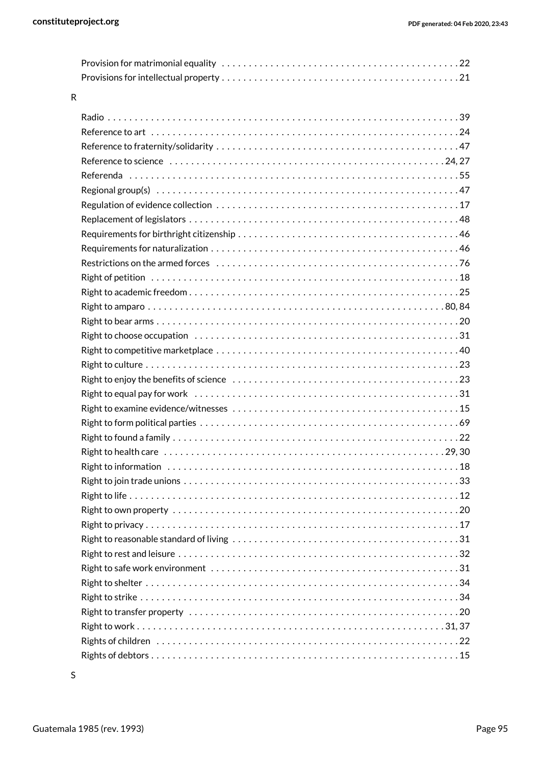| R |                                                                                                           |
|---|-----------------------------------------------------------------------------------------------------------|
|   |                                                                                                           |
|   |                                                                                                           |
|   |                                                                                                           |
|   |                                                                                                           |
|   |                                                                                                           |
|   |                                                                                                           |
|   | Regional group(s) $\dots\dots\dots\dots\dots\dots\dots\dots\dots\dots\dots\dots\dots\dots\dots\dots\dots$ |
|   |                                                                                                           |
|   |                                                                                                           |
|   |                                                                                                           |
|   |                                                                                                           |
|   |                                                                                                           |
|   |                                                                                                           |
|   |                                                                                                           |
|   |                                                                                                           |
|   |                                                                                                           |
|   |                                                                                                           |
|   |                                                                                                           |
|   |                                                                                                           |
|   |                                                                                                           |
|   |                                                                                                           |
|   |                                                                                                           |
|   |                                                                                                           |
|   |                                                                                                           |
|   | Right to health care $\dots\dots\dots\dots\dots\dots\dots\dots\dots\dots\dots\dots\dots\dots\dots\dots$   |
|   |                                                                                                           |
|   |                                                                                                           |
|   |                                                                                                           |
|   |                                                                                                           |
|   |                                                                                                           |
|   |                                                                                                           |
|   |                                                                                                           |
|   |                                                                                                           |
|   |                                                                                                           |
|   |                                                                                                           |
|   |                                                                                                           |
|   |                                                                                                           |
|   | Rights of children $\dots\dots\dots\dots\dots\dots\dots\dots\dots\dots\dots\dots\dots\dots\dots\dots$     |
|   |                                                                                                           |